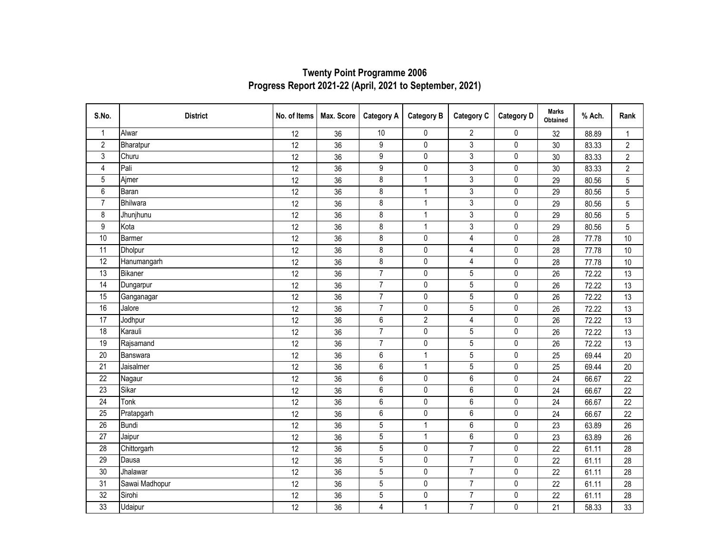| S.No.            | <b>District</b> | No. of Items | Max. Score      | <b>Category A</b>       | <b>Category B</b> | <b>Category C</b> | <b>Category D</b> | <b>Marks</b><br>Obtained | % Ach. | Rank           |
|------------------|-----------------|--------------|-----------------|-------------------------|-------------------|-------------------|-------------------|--------------------------|--------|----------------|
| $\mathbf{1}$     | Alwar           | 12           | 36              | 10                      | $\mathbf{0}$      | $\overline{2}$    | $\mathbf{0}$      | 32                       | 88.89  | 1              |
| $\overline{2}$   | Bharatpur       | 12           | 36              | 9                       | 0                 | 3                 | 0                 | 30                       | 83.33  | $\overline{2}$ |
| 3                | Churu           | 12           | 36              | $\overline{9}$          | $\pmb{0}$         | 3                 | 0                 | 30                       | 83.33  | $\overline{2}$ |
| 4                | Pali            | 12           | 36              | $\boldsymbol{9}$        | $\pmb{0}$         | 3                 | 0                 | 30                       | 83.33  | $\overline{2}$ |
| 5                | Ajmer           | 12           | 36              | 8                       | $\overline{1}$    | 3                 | 0                 | 29                       | 80.56  | 5              |
| $6\,$            | Baran           | 12           | 36              | 8                       | $\overline{1}$    | 3                 | 0                 | 29                       | 80.56  | 5              |
| $\overline{7}$   | <b>Bhilwara</b> | 12           | 36              | $\bf 8$                 | $\mathbf{1}$      | 3                 | 0                 | 29                       | 80.56  | 5              |
| 8                | Jhunjhunu       | 12           | 36              | $\bf 8$                 | $\mathbf{1}$      | 3                 | $\pmb{0}$         | 29                       | 80.56  | 5              |
| $\boldsymbol{9}$ | Kota            | 12           | 36              | 8                       | $\mathbf{1}$      | 3                 | 0                 | 29                       | 80.56  | 5              |
| 10               | Barmer          | 12           | 36              | 8                       | $\pmb{0}$         | $\overline{4}$    | 0                 | 28                       | 77.78  | 10             |
| $\overline{11}$  | <b>Dholpur</b>  | 12           | 36              | $\overline{8}$          | $\pmb{0}$         | 4                 | 0                 | 28                       | 77.78  | 10             |
| 12               | Hanumangarh     | 12           | 36              | 8                       | $\pmb{0}$         | 4                 | 0                 | 28                       | 77.78  | 10             |
| 13               | Bikaner         | 12           | 36              | $\overline{7}$          | $\pmb{0}$         | 5                 | 0                 | 26                       | 72.22  | 13             |
| 14               | Dungarpur       | 12           | 36              | $\overline{7}$          | $\pmb{0}$         | 5                 | 0                 | 26                       | 72.22  | 13             |
| 15               | Ganganagar      | 12           | 36              | $\overline{7}$          | $\pmb{0}$         | 5                 | 0                 | 26                       | 72.22  | 13             |
| 16               | Jalore          | 12           | 36              | $\overline{7}$          | $\pmb{0}$         | 5                 | 0                 | 26                       | 72.22  | 13             |
| 17               | Jodhpur         | 12           | 36              | $\,6\,$                 | $\overline{2}$    | 4                 | 0                 | 26                       | 72.22  | 13             |
| 18               | Karauli         | 12           | 36              | $\overline{7}$          | $\pmb{0}$         | 5                 | 0                 | 26                       | 72.22  | 13             |
| 19               | Rajsamand       | 12           | 36              | $\overline{7}$          | $\mathbf 0$       | 5                 | 0                 | 26                       | 72.22  | 13             |
| $\overline{20}$  | Banswara        | 12           | 36              | $6\,$                   | $\mathbf{1}$      | 5                 | 0                 | 25                       | 69.44  | $20\,$         |
| 21               | Jaisalmer       | 12           | 36              | $\,6\,$                 | $\mathbf{1}$      | $\overline{5}$    | $\pmb{0}$         | 25                       | 69.44  | 20             |
| 22               | Nagaur          | 12           | 36              | $\,6\,$                 | $\pmb{0}$         | 6                 | $\pmb{0}$         | 24                       | 66.67  | 22             |
| $\overline{23}$  | Sikar           | 12           | 36              | $\boldsymbol{6}$        | $\pmb{0}$         | 6                 | 0                 | 24                       | 66.67  | 22             |
| $\overline{24}$  | Tonk            | 12           | 36              | $6\phantom{1}6$         | $\pmb{0}$         | 6                 | 0                 | 24                       | 66.67  | 22             |
| 25               | Pratapgarh      | 12           | 36              | $6\phantom{a}$          | $\pmb{0}$         | 6                 | 0                 | 24                       | 66.67  | 22             |
| 26               | <b>Bundi</b>    | 12           | 36              | 5                       | $\overline{1}$    | 6                 | 0                 | 23                       | 63.89  | 26             |
| 27               | Jaipur          | 12           | 36              | 5                       | $\overline{1}$    | 6                 | 0                 | 23                       | 63.89  | 26             |
| $\overline{28}$  | Chittorgarh     | 12           | 36              | $\sqrt{5}$              | $\pmb{0}$         | $\overline{7}$    | $\pmb{0}$         | 22                       | 61.11  | 28             |
| 29               | Dausa           | 12           | 36              | 5                       | $\pmb{0}$         | $\overline{7}$    | 0                 | 22                       | 61.11  | 28             |
| 30               | Jhalawar        | 12           | 36              | 5                       | $\pmb{0}$         | $\overline{7}$    | 0                 | 22                       | 61.11  | 28             |
| 31               | Sawai Madhopur  | 12           | 36              | $\overline{5}$          | $\pmb{0}$         | $\overline{7}$    | 0                 | 22                       | 61.11  | 28             |
| 32               | Sirohi          | 12           | 36              | 5                       | $\pmb{0}$         | $\overline{7}$    | 0                 | 22                       | 61.11  | 28             |
| 33               | Udaipur         | 12           | $\overline{36}$ | $\overline{\mathbf{4}}$ | $\overline{1}$    | $\overline{7}$    | 0                 | 21                       | 58.33  | 33             |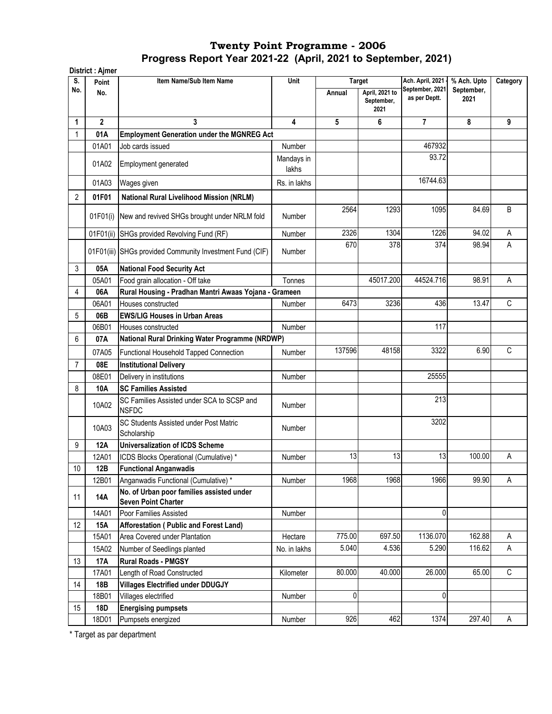|                | District : Ajmer |                                                                         |                     |        |                                                       |                                                      |                                   |             |
|----------------|------------------|-------------------------------------------------------------------------|---------------------|--------|-------------------------------------------------------|------------------------------------------------------|-----------------------------------|-------------|
| S.<br>No.      | Point<br>No.     | Item Name/Sub Item Name                                                 | Unit                | Annual | <b>Target</b><br>April, 2021 to<br>September,<br>2021 | Ach. April, 2021<br>September, 2021<br>as per Deptt. | % Ach. Upto<br>September,<br>2021 | Category    |
| 1              | $\mathbf{2}$     | 3                                                                       | 4                   | 5      | 6                                                     | 7                                                    | 8                                 | 9           |
| 1              | 01A              | <b>Employment Generation under the MGNREG Act</b>                       |                     |        |                                                       |                                                      |                                   |             |
|                | 01A01            | Job cards issued                                                        | Number              |        |                                                       | 467932                                               |                                   |             |
|                | 01A02            | Employment generated                                                    | Mandays in<br>lakhs |        |                                                       | 93.72                                                |                                   |             |
|                | 01A03            | Wages given                                                             | Rs. in lakhs        |        |                                                       | 16744.63                                             |                                   |             |
| $\overline{2}$ | 01F01            | <b>National Rural Livelihood Mission (NRLM)</b>                         |                     |        |                                                       |                                                      |                                   |             |
|                | 01F01(i)         | New and revived SHGs brought under NRLM fold                            | Number              | 2564   | 1293                                                  | 1095                                                 | 84.69                             | B           |
|                | 01F01(ii)        | SHGs provided Revolving Fund (RF)                                       | Number              | 2326   | 1304                                                  | 1226                                                 | 94.02                             | Α           |
|                |                  | 01F01(iii) SHGs provided Community Investment Fund (CIF)                | <b>Number</b>       | 670    | 378                                                   | 374                                                  | 98.94                             | A           |
| 3              | 05A              | <b>National Food Security Act</b>                                       |                     |        |                                                       |                                                      |                                   |             |
|                | 05A01            | Food grain allocation - Off take                                        | Tonnes              |        | 45017.200                                             | 44524.716                                            | 98.91                             | A           |
| 4              | 06A              | Rural Housing - Pradhan Mantri Awaas Yojana - Grameen                   |                     |        |                                                       |                                                      |                                   |             |
|                | 06A01            | Houses constructed                                                      | Number              | 6473   | 3236                                                  | 436                                                  | 13.47                             | $\mathsf C$ |
| 5              | 06B              | <b>EWS/LIG Houses in Urban Areas</b>                                    |                     |        |                                                       |                                                      |                                   |             |
|                | 06B01            | Houses constructed                                                      | Number              |        |                                                       | 117                                                  |                                   |             |
| 6              | 07A              | National Rural Drinking Water Programme (NRDWP)                         |                     |        |                                                       |                                                      |                                   |             |
|                | 07A05            | Functional Household Tapped Connection                                  | Number              | 137596 | 48158                                                 | 3322                                                 | 6.90                              | C           |
| $\overline{7}$ | 08E              | <b>Institutional Delivery</b>                                           |                     |        |                                                       |                                                      |                                   |             |
|                | 08E01            | Delivery in institutions                                                | Number              |        |                                                       | 25555                                                |                                   |             |
| 8              | 10A              | <b>SC Families Assisted</b>                                             |                     |        |                                                       |                                                      |                                   |             |
|                | 10A02            | SC Families Assisted under SCA to SCSP and<br><b>NSFDC</b>              | Number              |        |                                                       | 213                                                  |                                   |             |
|                | 10A03            | SC Students Assisted under Post Matric<br>Scholarship                   | Number              |        |                                                       | 3202                                                 |                                   |             |
| 9              | <b>12A</b>       | <b>Universalization of ICDS Scheme</b>                                  |                     |        |                                                       |                                                      |                                   |             |
|                | 12A01            | ICDS Blocks Operational (Cumulative) *                                  | Number              | 13     | 13                                                    | 13                                                   | 100.00                            | Α           |
| $10$           | 12B              | <b>Functional Anganwadis</b>                                            |                     |        |                                                       |                                                      |                                   |             |
|                | 12B01            | Anganwadis Functional (Cumulative) *                                    | Number              | 1968   | 1968                                                  | 1966                                                 | 99.90                             | A           |
| 11             | 14A              | No. of Urban poor families assisted under<br><b>Seven Point Charter</b> |                     |        |                                                       |                                                      |                                   |             |
|                | 14A01            | Poor Families Assisted                                                  | Number              |        |                                                       | 0                                                    |                                   |             |
| 12             | 15A              | Afforestation (Public and Forest Land)                                  |                     |        |                                                       |                                                      |                                   |             |
|                | 15A01            | Area Covered under Plantation                                           | Hectare             | 775.00 | 697.50                                                | 1136.070                                             | 162.88                            | Α           |
|                | 15A02            | Number of Seedlings planted                                             | No. in lakhs        | 5.040  | 4.536                                                 | 5.290                                                | 116.62                            | Α           |
| 13             | <b>17A</b>       | <b>Rural Roads - PMGSY</b>                                              |                     |        |                                                       |                                                      |                                   |             |
|                | 17A01            | Length of Road Constructed                                              | Kilometer           | 80.000 | 40.000                                                | 26.000                                               | 65.00                             | $\mathsf C$ |
| 14             | 18B              | <b>Villages Electrified under DDUGJY</b>                                |                     |        |                                                       |                                                      |                                   |             |
|                | 18B01            | Villages electrified                                                    | Number              | 0      |                                                       | 0                                                    |                                   |             |
| 15             | 18D              | <b>Energising pumpsets</b>                                              |                     |        |                                                       |                                                      |                                   |             |
|                | 18D01            | Pumpsets energized                                                      | Number              | 926    | 462                                                   | 1374                                                 | 297.40                            | A           |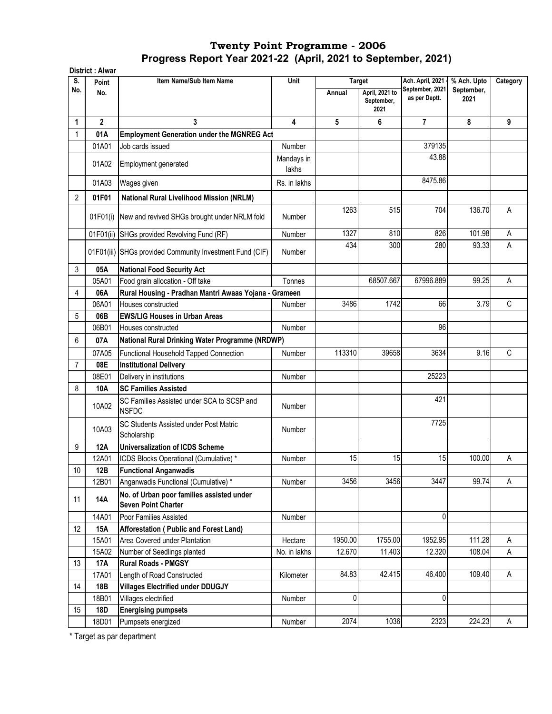| S.             | Point          | Item Name/Sub Item Name                                                 | Unit                | <b>Target</b> |                                      | Ach. April, 2021                 | % Ach. Upto        | Category |
|----------------|----------------|-------------------------------------------------------------------------|---------------------|---------------|--------------------------------------|----------------------------------|--------------------|----------|
| No.            | No.            |                                                                         |                     | Annual        | April, 2021 to<br>September,<br>2021 | September, 2021<br>as per Deptt. | September,<br>2021 |          |
| 1              | $\overline{2}$ | 3                                                                       | 4                   | 5             | 6                                    | $\overline{7}$                   | 8                  | 9        |
| 1              | 01A            | <b>Employment Generation under the MGNREG Act</b>                       |                     |               |                                      |                                  |                    |          |
|                | 01A01          | Job cards issued                                                        | Number              |               |                                      | 379135                           |                    |          |
|                | 01A02          | Employment generated                                                    | Mandays in<br>lakhs |               |                                      | 43.88                            |                    |          |
|                | 01A03          | Wages given                                                             | Rs. in lakhs        |               |                                      | 8475.86                          |                    |          |
| $\overline{2}$ | 01F01          | National Rural Livelihood Mission (NRLM)                                |                     |               |                                      |                                  |                    |          |
|                | 01F01(i)       | New and revived SHGs brought under NRLM fold                            | <b>Number</b>       | 1263          | 515                                  | 704                              | 136.70             | A        |
|                | 01F01(ii)      | SHGs provided Revolving Fund (RF)                                       | Number              | 1327          | 810                                  | 826                              | 101.98             | Α        |
|                |                | 01F01(iii) SHGs provided Community Investment Fund (CIF)                | Number              | 434           | 300                                  | 280                              | 93.33              | Α        |
| 3              | 05A            | <b>National Food Security Act</b>                                       |                     |               |                                      |                                  |                    |          |
|                | 05A01          | Food grain allocation - Off take                                        | Tonnes              |               | 68507.667                            | 67996.889                        | 99.25              | A        |
| 4              | 06A            | Rural Housing - Pradhan Mantri Awaas Yojana - Grameen                   |                     |               |                                      |                                  |                    |          |
|                | 06A01          | Houses constructed                                                      | Number              | 3486          | 1742                                 | 66                               | 3.79               | C        |
| 5              | 06B            | <b>EWS/LIG Houses in Urban Areas</b>                                    |                     |               |                                      |                                  |                    |          |
|                | 06B01          | Houses constructed                                                      | Number              |               |                                      | 96                               |                    |          |
| 6              | 07A            | National Rural Drinking Water Programme (NRDWP)                         |                     |               |                                      |                                  |                    |          |
|                | 07A05          | Functional Household Tapped Connection                                  | Number              | 113310        | 39658                                | 3634                             | 9.16               | С        |
| $\overline{7}$ | 08E            | <b>Institutional Delivery</b>                                           |                     |               |                                      |                                  |                    |          |
|                | 08E01          | Delivery in institutions                                                | Number              |               |                                      | 25223                            |                    |          |
| 8              | 10A            | <b>SC Families Assisted</b>                                             |                     |               |                                      |                                  |                    |          |
|                | 10A02          | SC Families Assisted under SCA to SCSP and<br><b>NSFDC</b>              | <b>Number</b>       |               |                                      | 421                              |                    |          |
|                | 10A03          | SC Students Assisted under Post Matric<br>Scholarship                   | <b>Number</b>       |               |                                      | 7725                             |                    |          |
| 9              | 12A            | <b>Universalization of ICDS Scheme</b>                                  |                     |               |                                      |                                  |                    |          |
|                | 12A01          | ICDS Blocks Operational (Cumulative) *                                  | Number              | 15            | 15                                   | 15                               | 100.00             | Α        |
| 10             | 12B            | <b>Functional Anganwadis</b>                                            |                     |               |                                      |                                  |                    |          |
|                | 12B01          | Anganwadis Functional (Cumulative) *                                    | Number              | 3456          | 3456                                 | 3447                             | 99.74              | Α        |
| 11             | <b>14A</b>     | No. of Urban poor families assisted under<br><b>Seven Point Charter</b> |                     |               |                                      |                                  |                    |          |
|                | 14A01          | Poor Families Assisted                                                  | Number              |               |                                      | 0                                |                    |          |
| 12             | <b>15A</b>     | Afforestation (Public and Forest Land)                                  |                     |               |                                      |                                  |                    |          |
|                | 15A01          | Area Covered under Plantation                                           | Hectare             | 1950.00       | 1755.00                              | 1952.95                          | 111.28             | A        |
|                | 15A02          | Number of Seedlings planted                                             | No. in lakhs        | 12.670        | 11.403                               | 12.320                           | 108.04             | Α        |
| 13             | 17A            | <b>Rural Roads - PMGSY</b>                                              |                     |               |                                      |                                  |                    |          |
|                | 17A01          | Length of Road Constructed                                              | Kilometer           | 84.83         | 42.415                               | 46.400                           | 109.40             | Α        |
| 14             | <b>18B</b>     | <b>Villages Electrified under DDUGJY</b>                                |                     |               |                                      |                                  |                    |          |
|                | 18B01          | Villages electrified                                                    | Number              | 0             |                                      | 0                                |                    |          |
| 15             | <b>18D</b>     | <b>Energising pumpsets</b>                                              |                     |               |                                      |                                  |                    |          |
|                | 18D01          | Pumpsets energized                                                      | Number              | 2074          | 1036                                 | 2323                             | 224.23             | Α        |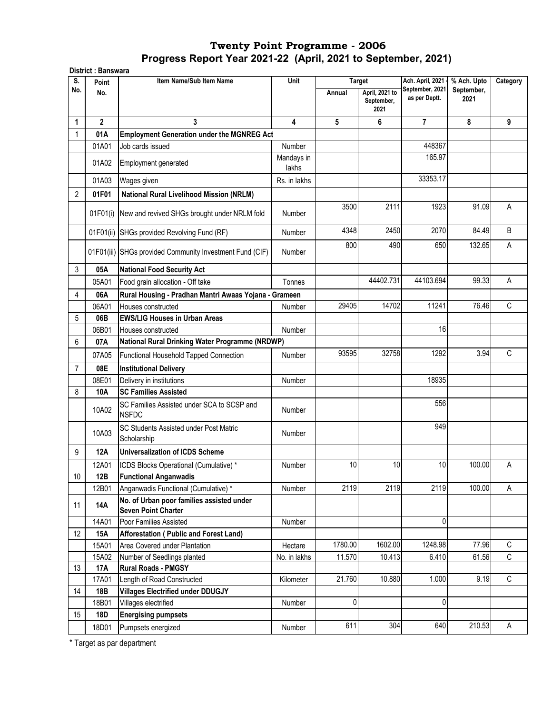| S.   | District: Banswara<br>Point | Item Name/Sub Item Name                                                 | Unit                | <b>Target</b> |                                      | Ach. April, 2021                 | % Ach. Upto        | Category    |
|------|-----------------------------|-------------------------------------------------------------------------|---------------------|---------------|--------------------------------------|----------------------------------|--------------------|-------------|
| No.  | No.                         |                                                                         |                     | Annual        | April, 2021 to<br>September,<br>2021 | September, 2021<br>as per Deptt. | September,<br>2021 |             |
| 1    | $\overline{2}$              | 3                                                                       | 4                   | 5             | 6                                    | 7                                | 8                  | 9           |
|      | 01A                         | <b>Employment Generation under the MGNREG Act</b>                       |                     |               |                                      |                                  |                    |             |
|      | 01A01                       | Job cards issued                                                        | <b>Number</b>       |               |                                      | 448367                           |                    |             |
|      | 01A02                       | Employment generated                                                    | Mandays in<br>lakhs |               |                                      | 165.97                           |                    |             |
|      | 01A03                       | Wages given                                                             | Rs. in lakhs        |               |                                      | 33353.17                         |                    |             |
| 2    | 01F01                       | <b>National Rural Livelihood Mission (NRLM)</b>                         |                     |               |                                      |                                  |                    |             |
|      |                             |                                                                         |                     | 3500          | 2111                                 | 1923                             | 91.09              | A           |
|      | 01F01(i)                    | New and revived SHGs brought under NRLM fold                            | Number              |               |                                      |                                  |                    |             |
|      |                             | 01F01(ii) SHGs provided Revolving Fund (RF)                             | <b>Number</b>       | 4348          | 2450                                 | 2070                             | 84.49              | B           |
|      |                             | 01F01(iii) SHGs provided Community Investment Fund (CIF)                | <b>Number</b>       | 800           | 490                                  | 650                              | 132.65             | Α           |
| 3    | 05A                         | <b>National Food Security Act</b>                                       |                     |               |                                      |                                  |                    |             |
|      | 05A01                       | Food grain allocation - Off take                                        | Tonnes              |               | 44402.731                            | 44103.694                        | 99.33              | A           |
| 4    | 06A                         | Rural Housing - Pradhan Mantri Awaas Yojana - Grameen                   |                     |               |                                      |                                  |                    |             |
|      | 06A01                       | Houses constructed                                                      | Number              | 29405         | 14702                                | 11241                            | 76.46              | $\mathsf C$ |
| 5    | 06B                         | <b>EWS/LIG Houses in Urban Areas</b>                                    |                     |               |                                      |                                  |                    |             |
|      | 06B01                       | Houses constructed                                                      | Number              |               |                                      | 16                               |                    |             |
| 6    | 07A                         | National Rural Drinking Water Programme (NRDWP)                         |                     |               |                                      |                                  |                    |             |
|      |                             |                                                                         |                     | 93595         | 32758                                | 1292                             | 3.94               | C           |
|      | 07A05                       | Functional Household Tapped Connection                                  | <b>Number</b>       |               |                                      |                                  |                    |             |
| 7    | 08E                         | <b>Institutional Delivery</b>                                           |                     |               |                                      |                                  |                    |             |
|      | 08E01                       | Delivery in institutions                                                | Number              |               |                                      | 18935                            |                    |             |
| 8    | 10A                         | <b>SC Families Assisted</b>                                             |                     |               |                                      |                                  |                    |             |
|      | 10A02                       | SC Families Assisted under SCA to SCSP and<br><b>NSFDC</b>              | <b>Number</b>       |               |                                      | 556                              |                    |             |
|      | 10A03                       | SC Students Assisted under Post Matric<br>Scholarship                   | Number              |               |                                      | 949                              |                    |             |
| 9    | 12A                         | <b>Universalization of ICDS Scheme</b>                                  |                     |               |                                      |                                  |                    |             |
|      | 12A01                       | ICDS Blocks Operational (Cumulative) *                                  | <b>Number</b>       | 10            | 10                                   | 10                               | 100.00             | Α           |
| $10$ | 12B                         | <b>Functional Anganwadis</b>                                            |                     |               |                                      |                                  |                    |             |
|      | 12B01                       | Anganwadis Functional (Cumulative) *                                    | Number              | 2119          | 2119                                 | 2119                             | 100.00             | A           |
| 11   | 14A                         | No. of Urban poor families assisted under<br><b>Seven Point Charter</b> |                     |               |                                      |                                  |                    |             |
|      | 14A01                       | Poor Families Assisted                                                  | Number              |               |                                      | 0                                |                    |             |
| 12   | 15A                         | Afforestation (Public and Forest Land)                                  |                     |               |                                      |                                  |                    |             |
|      | 15A01                       | Area Covered under Plantation                                           | Hectare             | 1780.00       | 1602.00                              | 1248.98                          | 77.96              | C           |
|      | 15A02                       | Number of Seedlings planted                                             | No. in lakhs        | 11.570        | 10.413                               | 6.410                            | 61.56              | $\mathbb C$ |
| 13   | 17A                         | <b>Rural Roads - PMGSY</b>                                              |                     |               |                                      |                                  |                    |             |
|      | 17A01                       | Length of Road Constructed                                              | Kilometer           | 21.760        | 10.880                               | 1.000                            | 9.19               | $\mathsf C$ |
| 14   | 18B                         | <b>Villages Electrified under DDUGJY</b>                                |                     |               |                                      |                                  |                    |             |
|      | 18B01                       | Villages electrified                                                    | Number              | 0             |                                      | 0                                |                    |             |
| 15   | <b>18D</b>                  | <b>Energising pumpsets</b>                                              |                     |               |                                      |                                  |                    |             |
|      | 18D01                       | Pumpsets energized                                                      | Number              | 611           | 304                                  | 640                              | 210.53             | A           |
|      |                             |                                                                         |                     |               |                                      |                                  |                    |             |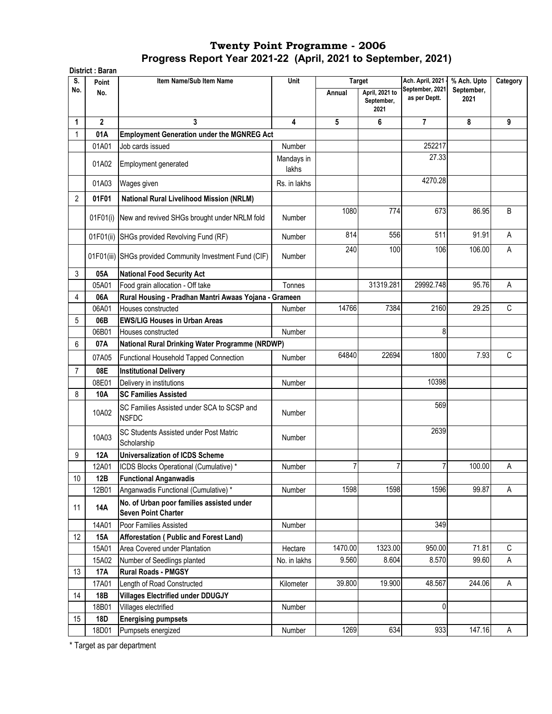|                | District: Baran |                                                                         |                     |         |                                      |                                     |                           |             |
|----------------|-----------------|-------------------------------------------------------------------------|---------------------|---------|--------------------------------------|-------------------------------------|---------------------------|-------------|
| S.<br>No.      | Point           | Item Name/Sub Item Name                                                 | Unit                |         | <b>Target</b>                        | Ach. April, 2021<br>September, 2021 | % Ach. Upto<br>September, | Category    |
|                | No.             |                                                                         |                     | Annual  | April, 2021 to<br>September,<br>2021 | as per Deptt.                       | 2021                      |             |
| 1              | $\overline{2}$  | 3                                                                       | 4                   | 5       | 6                                    | $\overline{7}$                      | 8                         | 9           |
| 1              | 01A             | <b>Employment Generation under the MGNREG Act</b>                       |                     |         |                                      |                                     |                           |             |
|                | 01A01           | Job cards issued                                                        | Number              |         |                                      | 252217                              |                           |             |
|                | 01A02           | Employment generated                                                    | Mandays in<br>lakhs |         |                                      | 27.33                               |                           |             |
|                | 01A03           | Wages given                                                             | Rs. in lakhs        |         |                                      | 4270.28                             |                           |             |
| $\overline{2}$ | 01F01           | <b>National Rural Livelihood Mission (NRLM)</b>                         |                     |         |                                      |                                     |                           |             |
|                | 01F01(i)        | New and revived SHGs brought under NRLM fold                            | <b>Number</b>       | 1080    | 774                                  | 673                                 | 86.95                     | B           |
|                | 01F01(ii)       | SHGs provided Revolving Fund (RF)                                       | Number              | 814     | 556                                  | 511                                 | 91.91                     | A           |
|                |                 | 01F01(iii) SHGs provided Community Investment Fund (CIF)                | Number              | 240     | 100                                  | 106                                 | 106.00                    | A           |
| 3              | 05A             | <b>National Food Security Act</b>                                       |                     |         |                                      |                                     |                           |             |
|                | 05A01           | Food grain allocation - Off take                                        | Tonnes              |         | 31319.281                            | 29992.748                           | 95.76                     | A           |
| 4              | 06A             | Rural Housing - Pradhan Mantri Awaas Yojana - Grameen                   |                     |         |                                      |                                     |                           |             |
|                | 06A01           | Houses constructed                                                      | Number              | 14766   | 7384                                 | 2160                                | 29.25                     | C           |
| 5              | 06B             | <b>EWS/LIG Houses in Urban Areas</b>                                    |                     |         |                                      |                                     |                           |             |
|                | 06B01           | Houses constructed                                                      | Number              |         |                                      | 8                                   |                           |             |
| 6              | 07A             | National Rural Drinking Water Programme (NRDWP)                         |                     |         |                                      |                                     |                           |             |
|                | 07A05           | Functional Household Tapped Connection                                  | <b>Number</b>       | 64840   | 22694                                | 1800                                | 7.93                      | C           |
| $\overline{7}$ | 08E             | <b>Institutional Delivery</b>                                           |                     |         |                                      |                                     |                           |             |
|                | 08E01           | Delivery in institutions                                                | <b>Number</b>       |         |                                      | 10398                               |                           |             |
| 8              | 10A             | <b>SC Families Assisted</b>                                             |                     |         |                                      |                                     |                           |             |
|                | 10A02           | SC Families Assisted under SCA to SCSP and<br><b>NSFDC</b>              | Number              |         |                                      | 569                                 |                           |             |
|                | 10A03           | SC Students Assisted under Post Matric<br>Scholarship                   | <b>Number</b>       |         |                                      | 2639                                |                           |             |
| 9              | <b>12A</b>      | <b>Universalization of ICDS Scheme</b>                                  |                     |         |                                      |                                     |                           |             |
|                | 12A01           | ICDS Blocks Operational (Cumulative) *                                  | Number              | 7       | 7                                    | 7                                   | 100.00                    | Α           |
| 10             | 12B             | <b>Functional Anganwadis</b>                                            |                     |         |                                      |                                     |                           |             |
|                | 12B01           | Anganwadis Functional (Cumulative) *                                    | Number              | 1598    | 1598                                 | 1596                                | 99.87                     | Α           |
| 11             | <b>14A</b>      | No. of Urban poor families assisted under<br><b>Seven Point Charter</b> |                     |         |                                      |                                     |                           |             |
|                | 14A01           | Poor Families Assisted                                                  | Number              |         |                                      | 349                                 |                           |             |
| 12             | 15A             | Afforestation (Public and Forest Land)                                  |                     |         |                                      |                                     |                           |             |
|                | 15A01           | Area Covered under Plantation                                           | Hectare             | 1470.00 | 1323.00                              | 950.00                              | 71.81                     | $\mathbb C$ |
|                | 15A02           | Number of Seedlings planted                                             | No. in lakhs        | 9.560   | 8.604                                | 8.570                               | 99.60                     | Α           |
| 13             | <b>17A</b>      | <b>Rural Roads - PMGSY</b>                                              |                     |         |                                      |                                     |                           |             |
|                | 17A01           | Length of Road Constructed                                              | Kilometer           | 39.800  | 19.900                               | 48.567                              | 244.06                    | A           |
| 14             | <b>18B</b>      | <b>Villages Electrified under DDUGJY</b>                                |                     |         |                                      |                                     |                           |             |
|                | 18B01           | Villages electrified                                                    | Number              |         |                                      | $\mathbf 0$                         |                           |             |
| 15             | <b>18D</b>      | <b>Energising pumpsets</b>                                              |                     |         |                                      |                                     |                           |             |
|                | 18D01           | Pumpsets energized                                                      | Number              | 1269    | 634                                  | 933                                 | 147.16                    | A           |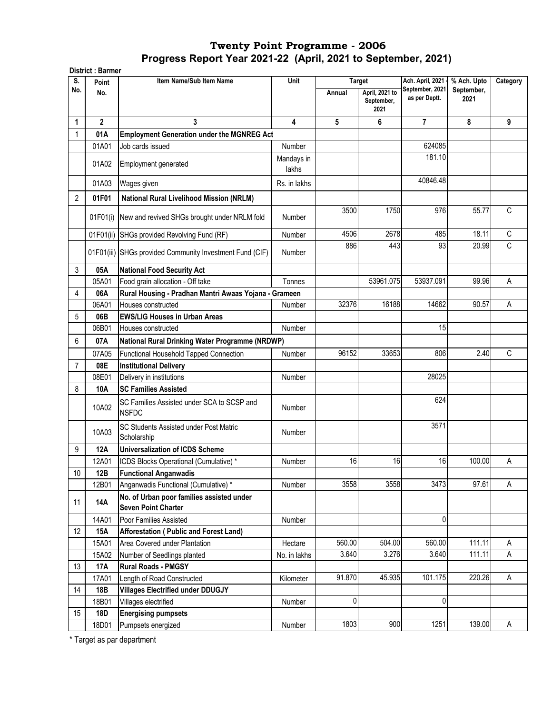| S.             | District: Barmer | Item Name/Sub Item Name                                                 | Unit                |        | <b>Target</b>                        | Ach. April, 2021                 | % Ach. Upto        | Category     |
|----------------|------------------|-------------------------------------------------------------------------|---------------------|--------|--------------------------------------|----------------------------------|--------------------|--------------|
| No.            | Point<br>No.     |                                                                         |                     | Annual | April, 2021 to<br>September,<br>2021 | September, 2021<br>as per Deptt. | September,<br>2021 |              |
| 1              | $\overline{2}$   | 3                                                                       | 4                   | 5      | 6                                    | $\overline{7}$                   | 8                  | 9            |
| 1              | 01A              | <b>Employment Generation under the MGNREG Act</b>                       |                     |        |                                      |                                  |                    |              |
|                | 01A01            | Job cards issued                                                        | Number              |        |                                      | 624085                           |                    |              |
|                | 01A02            | Employment generated                                                    | Mandays in<br>lakhs |        |                                      | 181.10                           |                    |              |
|                | 01A03            | Wages given                                                             | Rs. in lakhs        |        |                                      | 40846.48                         |                    |              |
| $\overline{2}$ | 01F01            | <b>National Rural Livelihood Mission (NRLM)</b>                         |                     |        |                                      |                                  |                    |              |
|                | 01F01(i)         | New and revived SHGs brought under NRLM fold                            | Number              | 3500   | 1750                                 | 976                              | 55.77              | $\mathsf{C}$ |
|                | 01F01(ii)        | SHGs provided Revolving Fund (RF)                                       | <b>Number</b>       | 4506   | 2678                                 | 485                              | 18.11              | С            |
|                |                  | 01F01(iii) SHGs provided Community Investment Fund (CIF)                | <b>Number</b>       | 886    | 443                                  | 93                               | 20.99              | $\mathsf{C}$ |
| 3              | 05A              | <b>National Food Security Act</b>                                       |                     |        |                                      |                                  |                    |              |
|                | 05A01            | Food grain allocation - Off take                                        | Tonnes              |        | 53961.075                            | 53937.091                        | 99.96              | Α            |
| 4              | 06A              | Rural Housing - Pradhan Mantri Awaas Yojana - Grameen                   |                     |        |                                      |                                  |                    |              |
|                | 06A01            | Houses constructed                                                      | <b>Number</b>       | 32376  | 16188                                | 14662                            | 90.57              | Α            |
| 5              | 06B              | <b>EWS/LIG Houses in Urban Areas</b>                                    |                     |        |                                      |                                  |                    |              |
|                | 06B01            | Houses constructed                                                      | Number              |        |                                      | 15                               |                    |              |
| 6              | 07A              | National Rural Drinking Water Programme (NRDWP)                         |                     |        |                                      |                                  |                    |              |
|                | 07A05            | Functional Household Tapped Connection                                  | Number              | 96152  | 33653                                | 806                              | 2.40               | $\mathsf C$  |
| 7              | 08E              | <b>Institutional Delivery</b>                                           |                     |        |                                      |                                  |                    |              |
|                | 08E01            | Delivery in institutions                                                | Number              |        |                                      | 28025                            |                    |              |
| 8              | 10A              | <b>SC Families Assisted</b>                                             |                     |        |                                      |                                  |                    |              |
|                | 10A02            | SC Families Assisted under SCA to SCSP and<br><b>NSFDC</b>              | <b>Number</b>       |        |                                      | 624                              |                    |              |
|                | 10A03            | SC Students Assisted under Post Matric<br>Scholarship                   | <b>Number</b>       |        |                                      | 3571                             |                    |              |
| 9              | <b>12A</b>       | <b>Universalization of ICDS Scheme</b>                                  |                     |        |                                      |                                  |                    |              |
|                | 12A01            | ICDS Blocks Operational (Cumulative) *                                  | Number              | 16     | 16                                   | 16                               | 100.00             | Α            |
| 10             | 12B              | <b>Functional Anganwadis</b>                                            |                     |        |                                      |                                  |                    |              |
|                | 12B01            | Anganwadis Functional (Cumulative) *                                    | Number              | 3558   | 3558                                 | 3473                             | 97.61              | Α            |
| 11             | <b>14A</b>       | No. of Urban poor families assisted under<br><b>Seven Point Charter</b> |                     |        |                                      |                                  |                    |              |
|                | 14A01            | Poor Families Assisted                                                  | Number              |        |                                      | 0                                |                    |              |
| 12             | 15A              | Afforestation (Public and Forest Land)                                  |                     |        |                                      |                                  |                    |              |
|                | 15A01            | Area Covered under Plantation                                           | Hectare             | 560.00 | 504.00                               | 560.00                           | 111.11             | Α            |
|                | 15A02            | Number of Seedlings planted                                             | No. in lakhs        | 3.640  | 3.276                                | 3.640                            | 111.11             | A            |
| 13             | <b>17A</b>       | <b>Rural Roads - PMGSY</b>                                              |                     |        |                                      |                                  |                    |              |
|                | 17A01            | Length of Road Constructed                                              | Kilometer           | 91.870 | 45.935                               | 101.175                          | 220.26             | A            |
| 14             | 18B              | <b>Villages Electrified under DDUGJY</b>                                |                     |        |                                      |                                  |                    |              |
|                | 18B01            | Villages electrified                                                    | Number              | 0      |                                      | 0                                |                    |              |
| 15             | <b>18D</b>       | <b>Energising pumpsets</b>                                              |                     |        |                                      |                                  |                    |              |
|                | 18D01            | Pumpsets energized                                                      | Number              | 1803   | 900                                  | 1251                             | 139.00             | A            |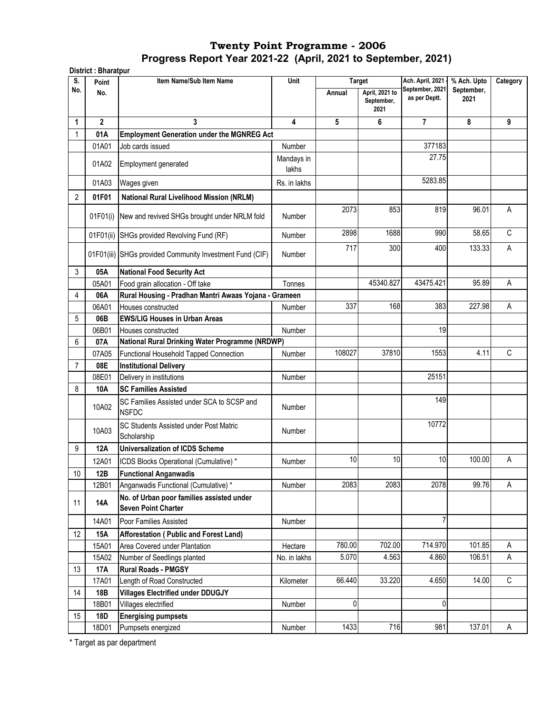| S.             | District: Bharatpur<br>Point | Item Name/Sub Item Name                                                 | Unit                |        | <b>Target</b>                        | Ach. April, 2021                 | % Ach. Upto        | Category    |
|----------------|------------------------------|-------------------------------------------------------------------------|---------------------|--------|--------------------------------------|----------------------------------|--------------------|-------------|
| No.            | No.                          |                                                                         |                     | Annual | April, 2021 to<br>September,<br>2021 | September, 2021<br>as per Deptt. | September,<br>2021 |             |
| 1              | $\mathbf{2}$                 | 3                                                                       | 4                   | 5      | 6                                    | 7                                | 8                  | 9           |
|                | 01A                          | <b>Employment Generation under the MGNREG Act</b>                       |                     |        |                                      |                                  |                    |             |
|                | 01A01                        | Job cards issued                                                        | <b>Number</b>       |        |                                      | 377183                           |                    |             |
|                | 01A02                        | Employment generated                                                    | Mandays in<br>lakhs |        |                                      | 27.75                            |                    |             |
|                | 01A03                        | Wages given                                                             | Rs. in lakhs        |        |                                      | 5283.85                          |                    |             |
| $\overline{2}$ | 01F01                        | <b>National Rural Livelihood Mission (NRLM)</b>                         |                     |        |                                      |                                  |                    |             |
|                | 01F01(i)                     | New and revived SHGs brought under NRLM fold                            | Number              | 2073   | 853                                  | 819                              | 96.01              | A           |
|                | 01F01(ii)                    | SHGs provided Revolving Fund (RF)                                       | <b>Number</b>       | 2898   | 1688                                 | 990                              | 58.65              | $\mathsf C$ |
|                |                              | 01F01(iii) SHGs provided Community Investment Fund (CIF)                | Number              | 717    | 300                                  | 400                              | 133.33             | Α           |
| 3              | 05A                          | <b>National Food Security Act</b>                                       |                     |        |                                      |                                  |                    |             |
|                | 05A01                        | Food grain allocation - Off take                                        | Tonnes              |        | 45340.827                            | 43475.421                        | 95.89              | Α           |
| 4              | 06A                          | Rural Housing - Pradhan Mantri Awaas Yojana - Grameen                   |                     |        |                                      |                                  |                    |             |
|                | 06A01                        | Houses constructed                                                      | Number              | 337    | 168                                  | 383                              | 227.98             | Α           |
| 5              | 06B                          | <b>EWS/LIG Houses in Urban Areas</b>                                    |                     |        |                                      |                                  |                    |             |
|                | 06B01                        | Houses constructed                                                      | Number              |        |                                      | 19                               |                    |             |
| 6              | 07A                          | <b>National Rural Drinking Water Programme (NRDWP)</b>                  |                     |        |                                      |                                  |                    |             |
|                | 07A05                        | Functional Household Tapped Connection                                  | Number              | 108027 | 37810                                | 1553                             | 4.11               | C           |
| $\overline{7}$ | 08E                          | <b>Institutional Delivery</b>                                           |                     |        |                                      |                                  |                    |             |
|                | 08E01                        | Delivery in institutions                                                | Number              |        |                                      | 25151                            |                    |             |
| 8              | 10A                          | <b>SC Families Assisted</b>                                             |                     |        |                                      |                                  |                    |             |
|                | 10A02                        | SC Families Assisted under SCA to SCSP and<br><b>NSFDC</b>              | <b>Number</b>       |        |                                      | 149                              |                    |             |
|                | 10A03                        | SC Students Assisted under Post Matric<br>Scholarship                   | <b>Number</b>       |        |                                      | 10772                            |                    |             |
| 9              | <b>12A</b>                   | <b>Universalization of ICDS Scheme</b>                                  |                     |        |                                      |                                  |                    |             |
|                | 12A01                        | ICDS Blocks Operational (Cumulative) *                                  | <b>Number</b>       | 10     | 10                                   | 10                               | 100.00             | A           |
| 10             | 12B                          | <b>Functional Anganwadis</b>                                            |                     |        |                                      |                                  |                    |             |
|                | 12B01                        | Anganwadis Functional (Cumulative) *                                    | Number              | 2083   | 2083                                 | 2078                             | 99.76              | A           |
| 11             | <b>14A</b>                   | No. of Urban poor families assisted under<br><b>Seven Point Charter</b> |                     |        |                                      |                                  |                    |             |
|                | 14A01                        | Poor Families Assisted                                                  | Number              |        |                                      | 7                                |                    |             |
| 12             | 15A                          | Afforestation (Public and Forest Land)                                  |                     |        |                                      |                                  |                    |             |
|                | 15A01                        | Area Covered under Plantation                                           | Hectare             | 780.00 | 702.00                               | 714.970                          | 101.85             | Α           |
|                | 15A02                        | Number of Seedlings planted                                             | No. in lakhs        | 5.070  | 4.563                                | 4.860                            | 106.51             | $\mathsf A$ |
| 13             | 17A                          | <b>Rural Roads - PMGSY</b>                                              |                     |        |                                      |                                  |                    |             |
|                | 17A01                        | Length of Road Constructed                                              | Kilometer           | 66.440 | 33.220                               | 4.650                            | 14.00              | C           |
| 14             | <b>18B</b>                   | <b>Villages Electrified under DDUGJY</b>                                |                     |        |                                      |                                  |                    |             |
|                | 18B01                        | Villages electrified                                                    | Number              | 0      |                                      | 0                                |                    |             |
| 15             | 18D                          | <b>Energising pumpsets</b>                                              |                     |        |                                      |                                  |                    |             |
|                | 18D01                        | Pumpsets energized                                                      | Number              | 1433   | 716                                  | 981                              | 137.01             | А           |
|                |                              |                                                                         |                     |        |                                      |                                  |                    |             |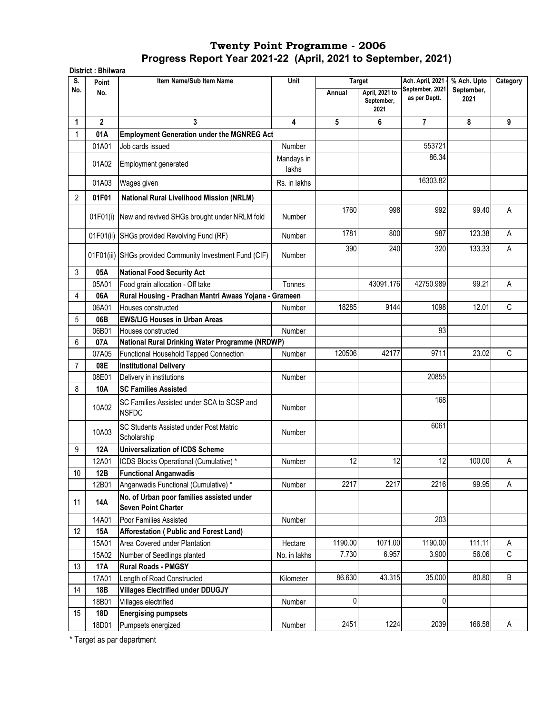|                | District: Bhilwara |                                                                         |                     |         |                                                       |                                                      |                                   |             |
|----------------|--------------------|-------------------------------------------------------------------------|---------------------|---------|-------------------------------------------------------|------------------------------------------------------|-----------------------------------|-------------|
| S.<br>No.      | Point<br>No.       | Item Name/Sub Item Name                                                 | Unit                | Annual  | <b>Target</b><br>April, 2021 to<br>September,<br>2021 | Ach. April, 2021<br>September, 2021<br>as per Deptt. | % Ach. Upto<br>September,<br>2021 | Category    |
| 1              | $\overline{2}$     | 3                                                                       | 4                   | 5       | 6                                                     | $\overline{7}$                                       | 8                                 | 9           |
| 1              | 01A                | <b>Employment Generation under the MGNREG Act</b>                       |                     |         |                                                       |                                                      |                                   |             |
|                | 01A01              | Job cards issued                                                        | Number              |         |                                                       | 553721                                               |                                   |             |
|                | 01A02              | Employment generated                                                    | Mandays in<br>lakhs |         |                                                       | 86.34                                                |                                   |             |
|                | 01A03              | Wages given                                                             | Rs. in lakhs        |         |                                                       | 16303.82                                             |                                   |             |
| $\overline{2}$ | 01F01              | National Rural Livelihood Mission (NRLM)                                |                     |         |                                                       |                                                      |                                   |             |
|                | 01F01(i)           | New and revived SHGs brought under NRLM fold                            | <b>Number</b>       | 1760    | 998                                                   | 992                                                  | 99.40                             | A           |
|                | 01F01(ii)          | SHGs provided Revolving Fund (RF)                                       | Number              | 1781    | 800                                                   | 987                                                  | 123.38                            | A           |
|                |                    | 01F01(iii) SHGs provided Community Investment Fund (CIF)                | Number              | 390     | 240                                                   | 320                                                  | 133.33                            | Α           |
| 3              | 05A                | <b>National Food Security Act</b>                                       |                     |         |                                                       |                                                      |                                   |             |
|                | 05A01              | Food grain allocation - Off take                                        | Tonnes              |         | 43091.176                                             | 42750.989                                            | 99.21                             | A           |
| 4              | 06A                | Rural Housing - Pradhan Mantri Awaas Yojana - Grameen                   |                     |         |                                                       |                                                      |                                   |             |
|                | 06A01              | Houses constructed                                                      | <b>Number</b>       | 18285   | 9144                                                  | 1098                                                 | 12.01                             | C           |
| 5              | 06B                | <b>EWS/LIG Houses in Urban Areas</b>                                    |                     |         |                                                       |                                                      |                                   |             |
|                | 06B01              | Houses constructed                                                      | Number              |         |                                                       | 93                                                   |                                   |             |
| 6              | 07A                | National Rural Drinking Water Programme (NRDWP)                         |                     |         |                                                       |                                                      |                                   |             |
|                | 07A05              | Functional Household Tapped Connection                                  | Number              | 120506  | 42177                                                 | 9711                                                 | 23.02                             | $\mathbb C$ |
| $\overline{7}$ | 08E                | <b>Institutional Delivery</b>                                           |                     |         |                                                       |                                                      |                                   |             |
|                | 08E01              | Delivery in institutions                                                | Number              |         |                                                       | 20855                                                |                                   |             |
| 8              | 10A                | <b>SC Families Assisted</b>                                             |                     |         |                                                       |                                                      |                                   |             |
|                | 10A02              | SC Families Assisted under SCA to SCSP and<br><b>NSFDC</b>              | Number              |         |                                                       | 168                                                  |                                   |             |
|                | 10A03              | SC Students Assisted under Post Matric<br>Scholarship                   | Number              |         |                                                       | 6061                                                 |                                   |             |
| 9              | <b>12A</b>         | <b>Universalization of ICDS Scheme</b>                                  |                     |         |                                                       |                                                      |                                   |             |
|                | 12A01              | ICDS Blocks Operational (Cumulative) *                                  | Number              | 12      | 12                                                    | 12                                                   | 100.00                            | Α           |
| 10             | 12B                | <b>Functional Anganwadis</b>                                            |                     |         |                                                       |                                                      |                                   |             |
|                | 12B01              | Anganwadis Functional (Cumulative) *                                    | Number              | 2217    | 2217                                                  | 2216                                                 | 99.95                             | A           |
| 11             | <b>14A</b>         | No. of Urban poor families assisted under<br><b>Seven Point Charter</b> |                     |         |                                                       |                                                      |                                   |             |
|                | 14A01              | Poor Families Assisted                                                  | Number              |         |                                                       | 203                                                  |                                   |             |
| 12             | 15A                | Afforestation (Public and Forest Land)                                  |                     |         |                                                       |                                                      |                                   |             |
|                | 15A01              | Area Covered under Plantation                                           | Hectare             | 1190.00 | 1071.00                                               | 1190.00                                              | 111.11                            | Α           |
|                | 15A02              | Number of Seedlings planted                                             | No. in lakhs        | 7.730   | 6.957                                                 | 3.900                                                | 56.06                             | C           |
| 13             | <b>17A</b>         | <b>Rural Roads - PMGSY</b>                                              |                     |         |                                                       |                                                      |                                   |             |
|                | 17A01              | Length of Road Constructed                                              | Kilometer           | 86.630  | 43.315                                                | 35.000                                               | 80.80                             | B           |
| 14             | 18B                | <b>Villages Electrified under DDUGJY</b>                                |                     |         |                                                       |                                                      |                                   |             |
|                | 18B01              | Villages electrified                                                    | Number              | 0       |                                                       | 0                                                    |                                   |             |
| 15             | <b>18D</b>         | <b>Energising pumpsets</b>                                              |                     |         |                                                       |                                                      |                                   |             |
|                | 18D01              | Pumpsets energized                                                      | Number              | 2451    | 1224                                                  | 2039                                                 | 166.58                            | A           |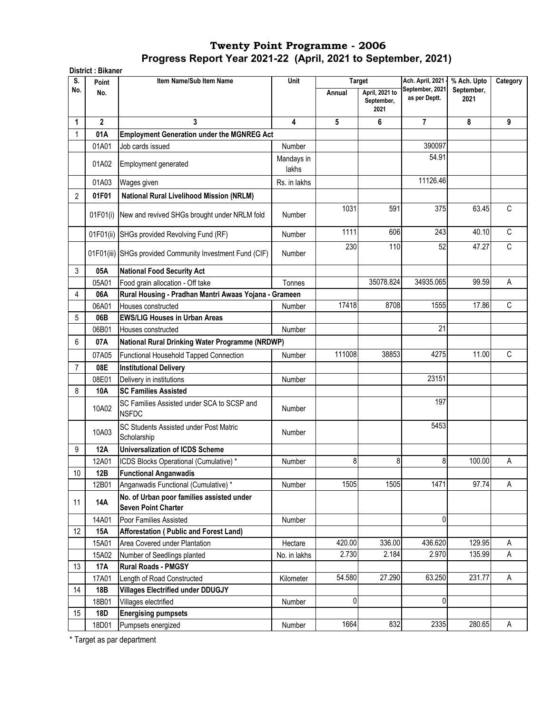| S.             | District: Bikaner | Item Name/Sub Item Name                                                 | Unit                |        | <b>Target</b>                        | Ach. April, 2021                 | % Ach. Upto        | Category    |
|----------------|-------------------|-------------------------------------------------------------------------|---------------------|--------|--------------------------------------|----------------------------------|--------------------|-------------|
| No.            | Point<br>No.      |                                                                         |                     | Annual | April, 2021 to<br>September,<br>2021 | September, 2021<br>as per Deptt. | September,<br>2021 |             |
| 1              | $\overline{2}$    | 3                                                                       | 4                   | 5      | 6                                    | $\overline{\mathbf{r}}$          | 8                  | 9           |
| 1              | 01A               | <b>Employment Generation under the MGNREG Act</b>                       |                     |        |                                      |                                  |                    |             |
|                | 01A01             | Job cards issued                                                        | Number              |        |                                      | 390097                           |                    |             |
|                | 01A02             | Employment generated                                                    | Mandays in<br>lakhs |        |                                      | 54.91                            |                    |             |
|                | 01A03             | Wages given                                                             | Rs. in lakhs        |        |                                      | 11126.46                         |                    |             |
| $\overline{2}$ | 01F01             | <b>National Rural Livelihood Mission (NRLM)</b>                         |                     |        |                                      |                                  |                    |             |
|                |                   | 01F01(i) New and revived SHGs brought under NRLM fold                   | <b>Number</b>       | 1031   | 591                                  | 375                              | 63.45              | $\mathsf C$ |
|                | 01F01(ii)         | SHGs provided Revolving Fund (RF)                                       | <b>Number</b>       | 1111   | 606                                  | 243                              | 40.10              | $\mathsf C$ |
|                |                   | 01F01(iii) SHGs provided Community Investment Fund (CIF)                | <b>Number</b>       | 230    | 110                                  | 52                               | 47.27              | $\mathsf C$ |
| 3              | 05A               | <b>National Food Security Act</b>                                       |                     |        |                                      |                                  |                    |             |
|                | 05A01             | Food grain allocation - Off take                                        | Tonnes              |        | 35078.824                            | 34935.065                        | 99.59              | Α           |
| 4              | 06A               | Rural Housing - Pradhan Mantri Awaas Yojana - Grameen                   |                     |        |                                      |                                  |                    |             |
|                | 06A01             | Houses constructed                                                      | <b>Number</b>       | 17418  | 8708                                 | 1555                             | 17.86              | C           |
| 5              | 06B               | <b>EWS/LIG Houses in Urban Areas</b>                                    |                     |        |                                      |                                  |                    |             |
|                | 06B01             | Houses constructed                                                      | Number              |        |                                      | 21                               |                    |             |
| 6              | 07A               | <b>National Rural Drinking Water Programme (NRDWP)</b>                  |                     |        |                                      |                                  |                    |             |
|                | 07A05             | Functional Household Tapped Connection                                  | <b>Number</b>       | 111008 | 38853                                | 4275                             | 11.00              | C           |
| $\overline{7}$ | 08E               | <b>Institutional Delivery</b>                                           |                     |        |                                      |                                  |                    |             |
|                | 08E01             | Delivery in institutions                                                | Number              |        |                                      | 23151                            |                    |             |
| 8              | 10A               | <b>SC Families Assisted</b>                                             |                     |        |                                      |                                  |                    |             |
|                | 10A02             | SC Families Assisted under SCA to SCSP and<br><b>NSFDC</b>              | Number              |        |                                      | 197                              |                    |             |
|                | 10A03             | SC Students Assisted under Post Matric<br>Scholarship                   | Number              |        |                                      | 5453                             |                    |             |
| 9              | 12A               | <b>Universalization of ICDS Scheme</b>                                  |                     |        |                                      |                                  |                    |             |
|                | 12A01             | ICDS Blocks Operational (Cumulative) *                                  | <b>Number</b>       | 8      | 8                                    | 8                                | 100.00             | Α           |
| 10             | 12B               | <b>Functional Anganwadis</b>                                            |                     |        |                                      |                                  |                    |             |
|                | 12B01             | Anganwadis Functional (Cumulative) *                                    | Number              | 1505   | 1505                                 | 1471                             | 97.74              | A           |
| 11             | <b>14A</b>        | No. of Urban poor families assisted under<br><b>Seven Point Charter</b> |                     |        |                                      |                                  |                    |             |
|                | 14A01             | Poor Families Assisted                                                  | Number              |        |                                      | 0                                |                    |             |
| 12             | 15A               | Afforestation (Public and Forest Land)                                  |                     |        |                                      |                                  |                    |             |
|                | 15A01             | Area Covered under Plantation                                           | Hectare             | 420.00 | 336.00                               | 436.620                          | 129.95             | Α           |
|                | 15A02             | Number of Seedlings planted                                             | No. in lakhs        | 2.730  | 2.184                                | 2.970                            | 135.99             | Α           |
| 13             | <b>17A</b>        | <b>Rural Roads - PMGSY</b>                                              |                     |        |                                      |                                  |                    |             |
|                | 17A01             | Length of Road Constructed                                              | Kilometer           | 54.580 | 27.290                               | 63.250                           | 231.77             | A           |
| 14             | 18B               | <b>Villages Electrified under DDUGJY</b>                                |                     |        |                                      |                                  |                    |             |
|                | 18B01             | Villages electrified                                                    | Number              | 0      |                                      | 0                                |                    |             |
| 15             | <b>18D</b>        | <b>Energising pumpsets</b>                                              |                     |        |                                      |                                  |                    |             |
|                | 18D01             | Pumpsets energized                                                      | Number              | 1664   | 832                                  | 2335                             | 280.65             | A           |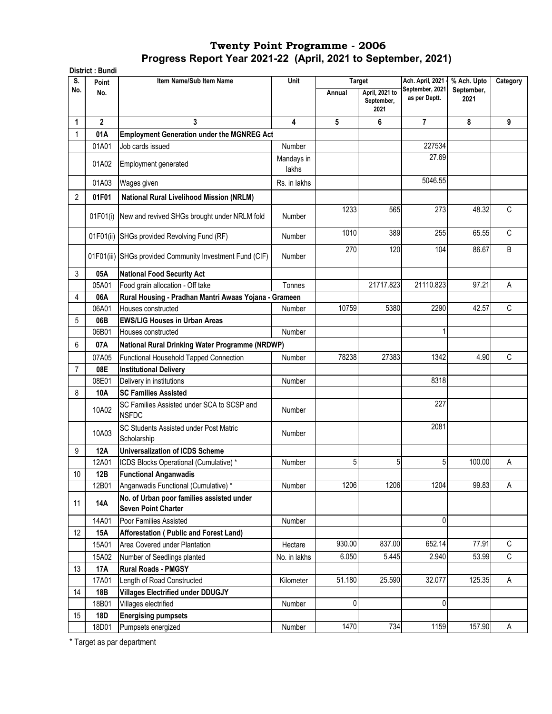| S.  | District: Bundi | Item Name/Sub Item Name                                                 | Unit                |        | <b>Target</b>                        | Ach. April, 2021                 | % Ach. Upto        | Category     |
|-----|-----------------|-------------------------------------------------------------------------|---------------------|--------|--------------------------------------|----------------------------------|--------------------|--------------|
| No. | Point<br>No.    |                                                                         |                     | Annual | April, 2021 to<br>September,<br>2021 | September, 2021<br>as per Deptt. | September,<br>2021 |              |
| 1   | $\overline{2}$  | 3                                                                       | 4                   | 5      | 6                                    | $\overline{7}$                   | 8                  | 9            |
| 1   | 01A             | <b>Employment Generation under the MGNREG Act</b>                       |                     |        |                                      |                                  |                    |              |
|     | 01A01           | Job cards issued                                                        | Number              |        |                                      | 227534                           |                    |              |
|     | 01A02           | Employment generated                                                    | Mandays in<br>lakhs |        |                                      | 27.69                            |                    |              |
|     | 01A03           | Wages given                                                             | Rs. in lakhs        |        |                                      | 5046.55                          |                    |              |
| 2   | 01F01           | <b>National Rural Livelihood Mission (NRLM)</b>                         |                     |        |                                      |                                  |                    |              |
|     | 01F01(i)        | New and revived SHGs brought under NRLM fold                            | Number              | 1233   | 565                                  | 273                              | 48.32              | C            |
|     | 01F01(ii)       | SHGs provided Revolving Fund (RF)                                       | Number              | 1010   | 389                                  | 255                              | 65.55              | C            |
|     |                 | 01F01(iii) SHGs provided Community Investment Fund (CIF)                | <b>Number</b>       | 270    | 120                                  | 104                              | 86.67              | B            |
| 3   | 05A             | <b>National Food Security Act</b>                                       |                     |        |                                      |                                  |                    |              |
|     | 05A01           | Food grain allocation - Off take                                        | Tonnes              |        | 21717.823                            | 21110.823                        | 97.21              | A            |
| 4   | 06A             | Rural Housing - Pradhan Mantri Awaas Yojana - Grameen                   |                     |        |                                      |                                  |                    |              |
|     | 06A01           | Houses constructed                                                      | Number              | 10759  | 5380                                 | 2290                             | 42.57              | $\mathsf{C}$ |
| 5   | 06B             | <b>EWS/LIG Houses in Urban Areas</b>                                    |                     |        |                                      |                                  |                    |              |
|     | 06B01           | Houses constructed                                                      | Number              |        |                                      | 1                                |                    |              |
| 6   | 07A             | National Rural Drinking Water Programme (NRDWP)                         |                     |        |                                      |                                  |                    |              |
|     | 07A05           | <b>Functional Household Tapped Connection</b>                           | Number              | 78238  | 27383                                | 1342                             | 4.90               | С            |
| 7   | 08E             | <b>Institutional Delivery</b>                                           |                     |        |                                      |                                  |                    |              |
|     | 08E01           | Delivery in institutions                                                | Number              |        |                                      | 8318                             |                    |              |
| 8   | 10A             | <b>SC Families Assisted</b>                                             |                     |        |                                      |                                  |                    |              |
|     | 10A02           | SC Families Assisted under SCA to SCSP and<br><b>NSFDC</b>              | Number              |        |                                      | 227                              |                    |              |
|     | 10A03           | <b>SC Students Assisted under Post Matric</b><br>Scholarship            | <b>Number</b>       |        |                                      | 2081                             |                    |              |
| 9   | 12A             | Universalization of ICDS Scheme                                         |                     |        |                                      |                                  |                    |              |
|     | 12A01           | ICDS Blocks Operational (Cumulative) *                                  | Number              | 5      | 5                                    | 5                                | 100.00             | Α            |
| 10  | 12B             | <b>Functional Anganwadis</b>                                            |                     |        |                                      |                                  |                    |              |
|     | 12B01           | Anganwadis Functional (Cumulative) *                                    | Number              | 1206   | 1206                                 | 1204                             | 99.83              | A            |
| 11  | 14A             | No. of Urban poor families assisted under<br><b>Seven Point Charter</b> |                     |        |                                      |                                  |                    |              |
|     | 14A01           | Poor Families Assisted                                                  | Number              |        |                                      | 0                                |                    |              |
| 12  | <b>15A</b>      | Afforestation (Public and Forest Land)                                  |                     |        |                                      |                                  |                    |              |
|     | 15A01           | Area Covered under Plantation                                           | Hectare             | 930.00 | 837.00                               | 652.14                           | 77.91              | C            |
|     | 15A02           | Number of Seedlings planted                                             | No. in lakhs        | 6.050  | 5.445                                | 2.940                            | 53.99              | $\mathbb C$  |
| 13  | 17A             | <b>Rural Roads - PMGSY</b>                                              |                     |        |                                      |                                  |                    |              |
|     | 17A01           | Length of Road Constructed                                              | Kilometer           | 51.180 | 25.590                               | 32.077                           | 125.35             | Α            |
| 14  | 18B             | <b>Villages Electrified under DDUGJY</b>                                |                     |        |                                      |                                  |                    |              |
|     | 18B01           | Villages electrified                                                    | Number              | 0      |                                      | 0                                |                    |              |
| 15  | <b>18D</b>      | <b>Energising pumpsets</b>                                              |                     |        |                                      |                                  |                    |              |
|     | 18D01           | Pumpsets energized                                                      | Number              | 1470   | 734                                  | 1159                             | 157.90             | A            |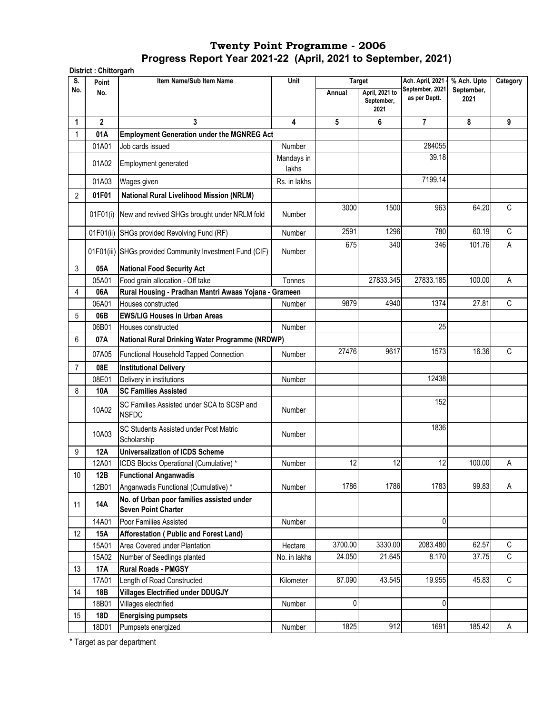| S.             | Point        | Item Name/Sub Item Name                                                 | Unit                |         | <b>Target</b>                        | Ach. April, 2021                 | % Ach. Upto        | Category    |
|----------------|--------------|-------------------------------------------------------------------------|---------------------|---------|--------------------------------------|----------------------------------|--------------------|-------------|
| No.            | No.          |                                                                         |                     | Annual  | April, 2021 to<br>September,<br>2021 | September, 2021<br>as per Deptt. | September,<br>2021 |             |
| 1              | $\mathbf{2}$ | 3                                                                       | 4                   | 5       | 6                                    | 7                                | 8                  | 9           |
| 1              | 01A          | <b>Employment Generation under the MGNREG Act</b>                       |                     |         |                                      |                                  |                    |             |
|                | 01A01        | Job cards issued                                                        | Number              |         |                                      | 284055                           |                    |             |
|                | 01A02        | Employment generated                                                    | Mandays in<br>lakhs |         |                                      | 39.18                            |                    |             |
|                | 01A03        | Wages given                                                             | Rs. in lakhs        |         |                                      | 7199.14                          |                    |             |
| $\overline{2}$ | 01F01        | <b>National Rural Livelihood Mission (NRLM)</b>                         |                     |         |                                      |                                  |                    |             |
|                |              | 01F01(i) New and revived SHGs brought under NRLM fold                   | Number              | 3000    | 1500                                 | 963                              | 64.20              | $\mathsf C$ |
|                |              | 01F01(ii) SHGs provided Revolving Fund (RF)                             | <b>Number</b>       | 2591    | 1296                                 | 780                              | 60.19              | $\mathsf C$ |
|                |              | 01F01(iii) SHGs provided Community Investment Fund (CIF)                | Number              | 675     | 340                                  | 346                              | 101.76             | Α           |
| 3              | 05A          | <b>National Food Security Act</b>                                       |                     |         |                                      |                                  |                    |             |
|                | 05A01        | Food grain allocation - Off take                                        | Tonnes              |         | 27833.345                            | 27833.185                        | 100.00             | A           |
| 4              | 06A          | Rural Housing - Pradhan Mantri Awaas Yojana - Grameen                   |                     |         |                                      |                                  |                    |             |
|                | 06A01        | Houses constructed                                                      | Number              | 9879    | 4940                                 | 1374                             | 27.81              | C           |
| 5              | 06B          | <b>EWS/LIG Houses in Urban Areas</b>                                    |                     |         |                                      |                                  |                    |             |
|                | 06B01        | Houses constructed                                                      | Number              |         |                                      | 25                               |                    |             |
| 6              | 07A          | National Rural Drinking Water Programme (NRDWP)                         |                     |         |                                      |                                  |                    |             |
|                | 07A05        | Functional Household Tapped Connection                                  | Number              | 27476   | 9617                                 | 1573                             | 16.36              | С           |
| 7              | 08E          | <b>Institutional Delivery</b>                                           |                     |         |                                      |                                  |                    |             |
|                | 08E01        |                                                                         | <b>Number</b>       |         |                                      | 12438                            |                    |             |
| 8              | 10A          | Delivery in institutions<br><b>SC Families Assisted</b>                 |                     |         |                                      |                                  |                    |             |
|                | 10A02        | SC Families Assisted under SCA to SCSP and                              | <b>Number</b>       |         |                                      | 152                              |                    |             |
|                |              | <b>NSFDC</b>                                                            |                     |         |                                      |                                  |                    |             |
|                | 10A03        | SC Students Assisted under Post Matric<br>Scholarship                   | Number              |         |                                      | 1836                             |                    |             |
| 9              | 12A          | <b>Universalization of ICDS Scheme</b>                                  |                     |         |                                      |                                  |                    |             |
|                | 12A01        | ICDS Blocks Operational (Cumulative) *                                  | Number              | 12      | 12                                   | 12                               | 100.00             | Α           |
| 10             | 12B          | <b>Functional Anganwadis</b>                                            |                     |         |                                      |                                  |                    |             |
|                | 12B01        | Anganwadis Functional (Cumulative) *                                    | Number              | 1786    | 1786                                 | 1783                             | 99.83              | A           |
| 11             | 14A          | No. of Urban poor families assisted under<br><b>Seven Point Charter</b> |                     |         |                                      |                                  |                    |             |
|                | 14A01        | Poor Families Assisted                                                  | Number              |         |                                      | 0                                |                    |             |
| 12             | 15A          | Afforestation (Public and Forest Land)                                  |                     |         |                                      |                                  |                    |             |
|                | 15A01        | Area Covered under Plantation                                           | Hectare             | 3700.00 | 3330.00                              | 2083.480                         | 62.57              | C           |
|                | 15A02        | Number of Seedlings planted                                             | No. in lakhs        | 24.050  | 21.645                               | 8.170                            | 37.75              | $\mathsf C$ |
| 13             | 17A          | <b>Rural Roads - PMGSY</b>                                              |                     |         |                                      |                                  |                    |             |
|                | 17A01        | Length of Road Constructed                                              | Kilometer           | 87.090  | 43.545                               | 19.955                           | 45.83              | C           |
| 14             | <b>18B</b>   | <b>Villages Electrified under DDUGJY</b>                                |                     |         |                                      |                                  |                    |             |
|                | 18B01        | Villages electrified                                                    | Number              | 0       |                                      | 0                                |                    |             |
| 15             | 18D          | <b>Energising pumpsets</b>                                              |                     |         |                                      |                                  |                    |             |
|                | 18D01        | Pumpsets energized                                                      | Number              | 1825    | 912                                  | 1691                             | 185.42             | Α           |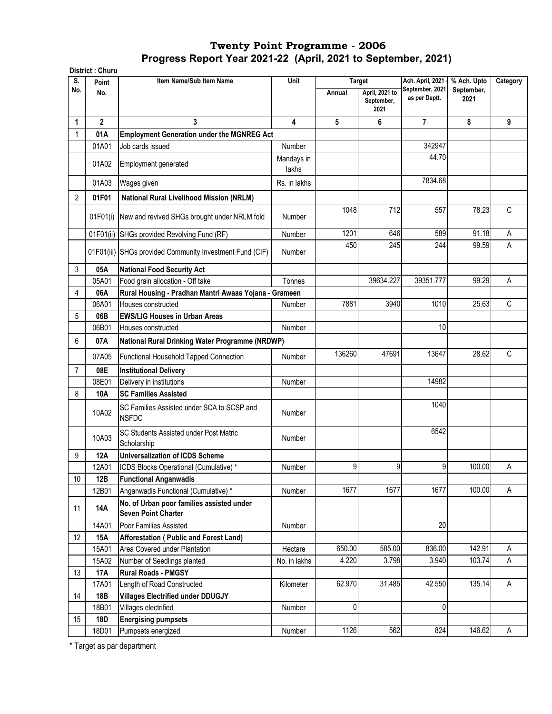|                | District: Churu |                                                                         |                     |        |                                                       |                                                      |                                   |              |
|----------------|-----------------|-------------------------------------------------------------------------|---------------------|--------|-------------------------------------------------------|------------------------------------------------------|-----------------------------------|--------------|
| S.<br>No.      | Point<br>No.    | Item Name/Sub Item Name                                                 | Unit                | Annual | <b>Target</b><br>April, 2021 to<br>September,<br>2021 | Ach. April, 2021<br>September, 2021<br>as per Deptt. | % Ach. Upto<br>September,<br>2021 | Category     |
| 1              | $\overline{2}$  | 3                                                                       | 4                   | 5      | 6                                                     | $\overline{7}$                                       | 8                                 | 9            |
| 1              | 01A             | <b>Employment Generation under the MGNREG Act</b>                       |                     |        |                                                       |                                                      |                                   |              |
|                | 01A01           | Job cards issued                                                        | Number              |        |                                                       | 342947                                               |                                   |              |
|                | 01A02           | Employment generated                                                    | Mandays in<br>lakhs |        |                                                       | 44.70                                                |                                   |              |
|                | 01A03           | Wages given                                                             | Rs. in lakhs        |        |                                                       | 7834.68                                              |                                   |              |
| $\overline{2}$ | 01F01           | National Rural Livelihood Mission (NRLM)                                |                     |        |                                                       |                                                      |                                   |              |
|                | 01F01(i)        | New and revived SHGs brought under NRLM fold                            | <b>Number</b>       | 1048   | 712                                                   | 557                                                  | 78.23                             | $\mathsf{C}$ |
|                | 01F01(ii)       | SHGs provided Revolving Fund (RF)                                       | Number              | 1201   | 646                                                   | 589                                                  | 91.18                             | Α            |
|                |                 | 01F01(iii) SHGs provided Community Investment Fund (CIF)                | Number              | 450    | 245                                                   | 244                                                  | 99.59                             | Α            |
| 3              | 05A             | <b>National Food Security Act</b>                                       |                     |        |                                                       |                                                      |                                   |              |
|                | 05A01           | Food grain allocation - Off take                                        | Tonnes              |        | 39634.227                                             | 39351.777                                            | 99.29                             | A            |
| 4              | 06A             | Rural Housing - Pradhan Mantri Awaas Yojana - Grameen                   |                     |        |                                                       |                                                      |                                   |              |
|                | 06A01           | Houses constructed                                                      | Number              | 7881   | 3940                                                  | 1010                                                 | 25.63                             | C            |
| 5              | 06B             | <b>EWS/LIG Houses in Urban Areas</b>                                    |                     |        |                                                       |                                                      |                                   |              |
|                | 06B01           | Houses constructed                                                      | Number              |        |                                                       | 10                                                   |                                   |              |
| 6              | 07A             | National Rural Drinking Water Programme (NRDWP)                         |                     |        |                                                       |                                                      |                                   |              |
|                | 07A05           | <b>Functional Household Tapped Connection</b>                           | <b>Number</b>       | 136260 | 47691                                                 | 13647                                                | 28.62                             | C            |
| $\overline{7}$ | 08E             | <b>Institutional Delivery</b>                                           |                     |        |                                                       |                                                      |                                   |              |
|                | 08E01           | Delivery in institutions                                                | Number              |        |                                                       | 14982                                                |                                   |              |
| 8              | 10A             | <b>SC Families Assisted</b>                                             |                     |        |                                                       |                                                      |                                   |              |
|                | 10A02           | SC Families Assisted under SCA to SCSP and<br><b>NSFDC</b>              | Number              |        |                                                       | 1040                                                 |                                   |              |
|                | 10A03           | SC Students Assisted under Post Matric<br>Scholarship                   | Number              |        |                                                       | 6542                                                 |                                   |              |
| 9              | 12A             | <b>Universalization of ICDS Scheme</b>                                  |                     |        |                                                       |                                                      |                                   |              |
|                | 12A01           | ICDS Blocks Operational (Cumulative) *                                  | Number              | 9      | 9                                                     | 9                                                    | 100.00                            | Α            |
| $10$           | 12B             | <b>Functional Anganwadis</b>                                            |                     |        |                                                       |                                                      |                                   |              |
|                | 12B01           | Anganwadis Functional (Cumulative) *                                    | Number              | 1677   | 1677                                                  | 1677                                                 | 100.00                            | A            |
| 11             | <b>14A</b>      | No. of Urban poor families assisted under<br><b>Seven Point Charter</b> |                     |        |                                                       |                                                      |                                   |              |
|                | 14A01           | Poor Families Assisted                                                  | Number              |        |                                                       | 20                                                   |                                   |              |
| 12             | 15A             | Afforestation (Public and Forest Land)                                  |                     |        |                                                       |                                                      |                                   |              |
|                | 15A01           | Area Covered under Plantation                                           | Hectare             | 650.00 | 585.00                                                | 836.00                                               | 142.91                            | Α            |
|                | 15A02           | Number of Seedlings planted                                             | No. in lakhs        | 4.220  | 3.798                                                 | 3.940                                                | 103.74                            | Α            |
| 13             | <b>17A</b>      | <b>Rural Roads - PMGSY</b>                                              |                     |        |                                                       |                                                      |                                   |              |
|                | 17A01           | Length of Road Constructed                                              | Kilometer           | 62.970 | 31.485                                                | 42.550                                               | 135.14                            | A            |
| 14             | 18B             | <b>Villages Electrified under DDUGJY</b>                                |                     |        |                                                       |                                                      |                                   |              |
|                | 18B01           | Villages electrified                                                    | Number              | 0      |                                                       | 0                                                    |                                   |              |
| 15             | <b>18D</b>      | <b>Energising pumpsets</b>                                              |                     |        |                                                       |                                                      |                                   |              |
|                | 18D01           | Pumpsets energized                                                      | Number              | 1126   | 562                                                   | 824                                                  | 146.62                            | A            |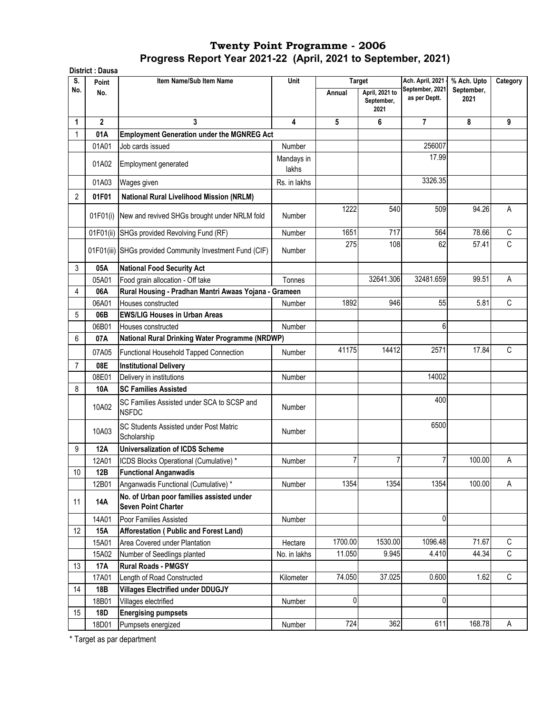|                | District: Dausa |                                                                                           |                     |         |                                                       |                                                      |                                   |          |
|----------------|-----------------|-------------------------------------------------------------------------------------------|---------------------|---------|-------------------------------------------------------|------------------------------------------------------|-----------------------------------|----------|
| S.<br>No.      | Point<br>No.    | Item Name/Sub Item Name                                                                   | Unit                | Annual  | <b>Target</b><br>April, 2021 to<br>September,<br>2021 | Ach. April, 2021<br>September, 2021<br>as per Deptt. | % Ach. Upto<br>September,<br>2021 | Category |
| 1              | $\overline{2}$  | 3                                                                                         | 4                   | 5       | 6                                                     | $\overline{7}$                                       | 8                                 | 9        |
| 1              | 01A             | <b>Employment Generation under the MGNREG Act</b>                                         |                     |         |                                                       |                                                      |                                   |          |
|                | 01A01           | Job cards issued                                                                          | <b>Number</b>       |         |                                                       | 256007                                               |                                   |          |
|                | 01A02           | Employment generated                                                                      | Mandays in<br>lakhs |         |                                                       | 17.99                                                |                                   |          |
|                | 01A03           | Wages given                                                                               | Rs. in lakhs        |         |                                                       | 3326.35                                              |                                   |          |
| $\overline{2}$ | 01F01           | <b>National Rural Livelihood Mission (NRLM)</b>                                           |                     |         |                                                       |                                                      |                                   |          |
|                |                 | 01F01(i) New and revived SHGs brought under NRLM fold                                     | <b>Number</b>       | 1222    | 540                                                   | 509                                                  | 94.26                             | A        |
|                |                 | 01F01(ii) SHGs provided Revolving Fund (RF)                                               | <b>Number</b>       | 1651    | 717                                                   | 564                                                  | 78.66                             | C        |
|                |                 | 01F01(iii) SHGs provided Community Investment Fund (CIF)                                  | Number              | 275     | 108                                                   | 62                                                   | 57.41                             | C        |
| 3              | 05A             | <b>National Food Security Act</b>                                                         |                     |         |                                                       |                                                      |                                   |          |
|                | 05A01           |                                                                                           | Tonnes              |         | 32641.306                                             | 32481.659                                            | 99.51                             | Α        |
| 4              | 06A             | Food grain allocation - Off take<br>Rural Housing - Pradhan Mantri Awaas Yojana - Grameen |                     |         |                                                       |                                                      |                                   |          |
|                | 06A01           | Houses constructed                                                                        | Number              | 1892    | 946                                                   | 55                                                   | 5.81                              | C        |
| 5              | 06B             | <b>EWS/LIG Houses in Urban Areas</b>                                                      |                     |         |                                                       |                                                      |                                   |          |
|                | 06B01           | Houses constructed                                                                        |                     |         |                                                       | 6                                                    |                                   |          |
|                |                 |                                                                                           | Number              |         |                                                       |                                                      |                                   |          |
| 6              | 07A             | National Rural Drinking Water Programme (NRDWP)                                           |                     |         |                                                       |                                                      |                                   | C        |
|                | 07A05           | Functional Household Tapped Connection                                                    | Number              | 41175   | 14412                                                 | 2571                                                 | 17.84                             |          |
| $\overline{7}$ | 08E             | <b>Institutional Delivery</b>                                                             |                     |         |                                                       |                                                      |                                   |          |
|                | 08E01           | Delivery in institutions                                                                  | Number              |         |                                                       | 14002                                                |                                   |          |
| 8              | 10A             | <b>SC Families Assisted</b>                                                               |                     |         |                                                       |                                                      |                                   |          |
|                | 10A02           | SC Families Assisted under SCA to SCSP and<br><b>NSFDC</b>                                | <b>Number</b>       |         |                                                       | 400                                                  |                                   |          |
|                | 10A03           | SC Students Assisted under Post Matric<br>Scholarship                                     | <b>Number</b>       |         |                                                       | 6500                                                 |                                   |          |
| 9              | <b>12A</b>      | <b>Universalization of ICDS Scheme</b>                                                    |                     |         |                                                       |                                                      |                                   |          |
|                | 12A01           | ICDS Blocks Operational (Cumulative) *                                                    | Number              | 7       |                                                       | 7                                                    | 100.00                            | Α        |
| 10             | 12B             | <b>Functional Anganwadis</b>                                                              |                     |         |                                                       |                                                      |                                   |          |
|                | 12B01           | Anganwadis Functional (Cumulative) *                                                      | Number              | 1354    | 1354                                                  | 1354                                                 | 100.00                            | Α        |
| 11             | <b>14A</b>      | No. of Urban poor families assisted under<br><b>Seven Point Charter</b>                   |                     |         |                                                       |                                                      |                                   |          |
|                | 14A01           | Poor Families Assisted                                                                    | Number              |         |                                                       | $\pmb{0}$                                            |                                   |          |
| 12             | <b>15A</b>      | Afforestation (Public and Forest Land)                                                    |                     |         |                                                       |                                                      |                                   |          |
|                | 15A01           | Area Covered under Plantation                                                             | Hectare             | 1700.00 | 1530.00                                               | 1096.48                                              | 71.67                             | С        |
|                | 15A02           | Number of Seedlings planted                                                               | No. in lakhs        | 11.050  | 9.945                                                 | 4.410                                                | 44.34                             | С        |
| 13             | 17A             | <b>Rural Roads - PMGSY</b>                                                                |                     |         |                                                       |                                                      |                                   |          |
|                | 17A01           | Length of Road Constructed                                                                | Kilometer           | 74.050  | 37.025                                                | 0.600                                                | 1.62                              | C        |
| 14             | 18B             | <b>Villages Electrified under DDUGJY</b>                                                  |                     |         |                                                       |                                                      |                                   |          |
|                | 18B01           | Villages electrified                                                                      | Number              | 0       |                                                       | $\pmb{0}$                                            |                                   |          |
| 15             | 18D             | <b>Energising pumpsets</b>                                                                |                     |         |                                                       |                                                      |                                   |          |
|                | 18D01           | Pumpsets energized                                                                        | Number              | 724     | 362                                                   | 611                                                  | 168.78                            | Α        |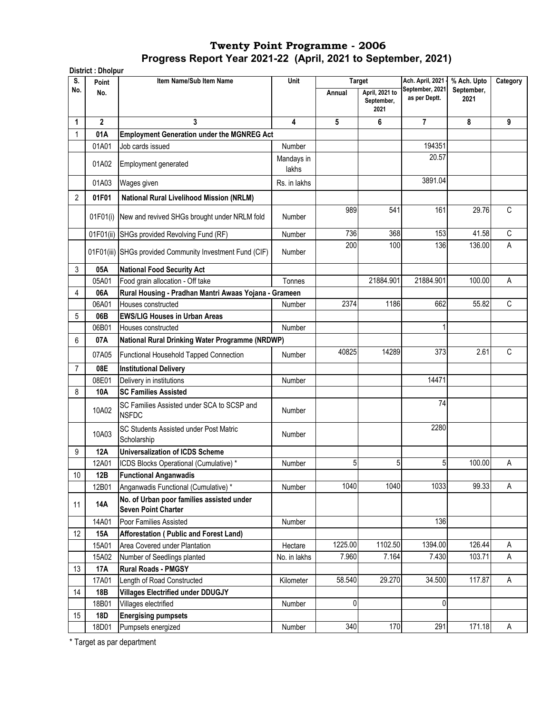| S.             | District: Dholpur<br>Point | Item Name/Sub Item Name                                                 | Unit                | <b>Target</b> |                                      | Ach. April, 2021                 | % Ach. Upto        | Category     |
|----------------|----------------------------|-------------------------------------------------------------------------|---------------------|---------------|--------------------------------------|----------------------------------|--------------------|--------------|
| No.            | No.                        |                                                                         |                     | Annual        | April, 2021 to<br>September,<br>2021 | September, 2021<br>as per Deptt. | September,<br>2021 |              |
| 1              | $\overline{2}$             | 3                                                                       | 4                   | 5             | 6                                    | $\overline{7}$                   | 8                  | 9            |
| 1              | 01A                        | <b>Employment Generation under the MGNREG Act</b>                       |                     |               |                                      |                                  |                    |              |
|                | 01A01                      | Job cards issued                                                        | Number              |               |                                      | 194351                           |                    |              |
|                | 01A02                      | Employment generated                                                    | Mandays in<br>lakhs |               |                                      | 20.57                            |                    |              |
|                | 01A03                      | Wages given                                                             | Rs. in lakhs        |               |                                      | 3891.04                          |                    |              |
| $\overline{2}$ | 01F01                      | National Rural Livelihood Mission (NRLM)                                |                     |               |                                      |                                  |                    |              |
|                | 01F01(i)                   | New and revived SHGs brought under NRLM fold                            | <b>Number</b>       | 989           | 541                                  | 161                              | 29.76              | $\mathsf{C}$ |
|                | 01F01(ii)                  | SHGs provided Revolving Fund (RF)                                       | Number              | 736           | 368                                  | 153                              | 41.58              | $\mathsf C$  |
|                |                            | 01F01(iii) SHGs provided Community Investment Fund (CIF)                | Number              | 200           | 100                                  | 136                              | 136.00             | A            |
| 3              | 05A                        | <b>National Food Security Act</b>                                       |                     |               |                                      |                                  |                    |              |
|                | 05A01                      | Food grain allocation - Off take                                        | Tonnes              |               | 21884.901                            | 21884.901                        | 100.00             | A            |
| 4              | 06A                        | Rural Housing - Pradhan Mantri Awaas Yojana - Grameen                   |                     |               |                                      |                                  |                    |              |
|                | 06A01                      | Houses constructed                                                      | Number              | 2374          | 1186                                 | 662                              | 55.82              | C            |
| 5              | 06B                        | <b>EWS/LIG Houses in Urban Areas</b>                                    |                     |               |                                      |                                  |                    |              |
|                | 06B01                      | Houses constructed                                                      | Number              |               |                                      | 1                                |                    |              |
| 6              | 07A                        | National Rural Drinking Water Programme (NRDWP)                         |                     |               |                                      |                                  |                    |              |
|                | 07A05                      | Functional Household Tapped Connection                                  | Number              | 40825         | 14289                                | 373                              | 2.61               | C            |
| 7              | 08E                        | <b>Institutional Delivery</b>                                           |                     |               |                                      |                                  |                    |              |
|                | 08E01                      | Delivery in institutions                                                | <b>Number</b>       |               |                                      | 14471                            |                    |              |
| 8              | 10A                        | <b>SC Families Assisted</b>                                             |                     |               |                                      |                                  |                    |              |
|                | 10A02                      | SC Families Assisted under SCA to SCSP and<br><b>NSFDC</b>              | <b>Number</b>       |               |                                      | 74                               |                    |              |
|                | 10A03                      | SC Students Assisted under Post Matric<br>Scholarship                   | Number              |               |                                      | 2280                             |                    |              |
| 9              | 12A                        | <b>Universalization of ICDS Scheme</b>                                  |                     |               |                                      |                                  |                    |              |
|                | 12A01                      | ICDS Blocks Operational (Cumulative) *                                  | Number              | 5             | 5                                    | 5                                | 100.00             | Α            |
| 10             | 12B                        | <b>Functional Anganwadis</b>                                            |                     |               |                                      |                                  |                    |              |
|                | 12B01                      | Anganwadis Functional (Cumulative) *                                    | Number              | 1040          | 1040                                 | 1033                             | 99.33              | A            |
| 11             | 14A                        | No. of Urban poor families assisted under<br><b>Seven Point Charter</b> |                     |               |                                      |                                  |                    |              |
|                | 14A01                      | Poor Families Assisted                                                  | Number              |               |                                      | 136                              |                    |              |
| 12             | 15A                        | Afforestation (Public and Forest Land)                                  |                     |               |                                      |                                  |                    |              |
|                | 15A01                      | Area Covered under Plantation                                           | Hectare             | 1225.00       | 1102.50                              | 1394.00                          | 126.44             | A            |
|                | 15A02                      | Number of Seedlings planted                                             | No. in lakhs        | 7.960         | 7.164                                | 7.430                            | 103.71             | A            |
| 13             | 17A                        | <b>Rural Roads - PMGSY</b>                                              |                     |               |                                      |                                  |                    |              |
|                | 17A01                      | Length of Road Constructed                                              | Kilometer           | 58.540        | 29.270                               | 34.500                           | 117.87             | A            |
| 14             | <b>18B</b>                 | <b>Villages Electrified under DDUGJY</b>                                |                     |               |                                      |                                  |                    |              |
|                | 18B01                      | Villages electrified                                                    | Number              | 0             |                                      | 0                                |                    |              |
| 15             | 18D                        | <b>Energising pumpsets</b>                                              |                     |               |                                      |                                  |                    |              |
|                | 18D01                      | Pumpsets energized                                                      | Number              | 340           | 170                                  | 291                              | 171.18             | Α            |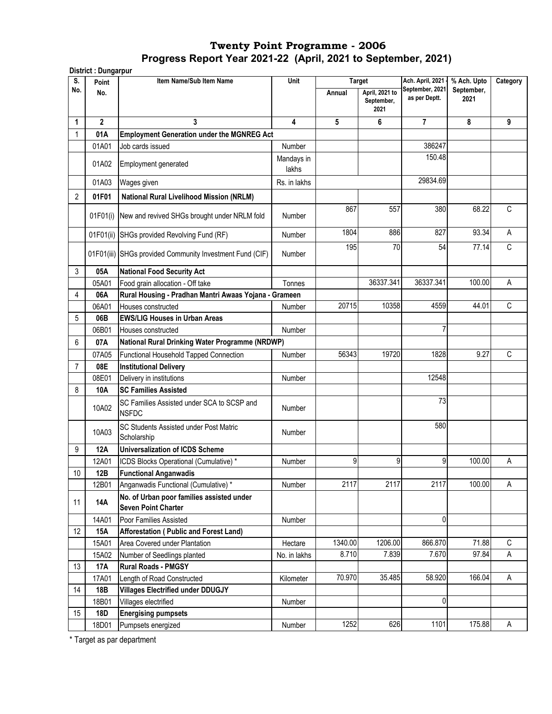|                | District: Dungarpur |                                                                         |                     |         |                                                       |                                                      |                                   |             |
|----------------|---------------------|-------------------------------------------------------------------------|---------------------|---------|-------------------------------------------------------|------------------------------------------------------|-----------------------------------|-------------|
| S.<br>No.      | Point<br>No.        | Item Name/Sub Item Name                                                 | Unit                | Annual  | <b>Target</b><br>April, 2021 to<br>September,<br>2021 | Ach. April, 2021<br>September, 2021<br>as per Deptt. | % Ach. Upto<br>September,<br>2021 | Category    |
| 1              | $\overline{2}$      | 3                                                                       | 4                   | 5       | 6                                                     | $\overline{\mathbf{r}}$                              | 8                                 | 9           |
| 1              | 01A                 | <b>Employment Generation under the MGNREG Act</b>                       |                     |         |                                                       |                                                      |                                   |             |
|                | 01A01               | Job cards issued                                                        | Number              |         |                                                       | 386247                                               |                                   |             |
|                | 01A02               | Employment generated                                                    | Mandays in<br>lakhs |         |                                                       | 150.48                                               |                                   |             |
|                | 01A03               | Wages given                                                             | Rs. in lakhs        |         |                                                       | 29834.69                                             |                                   |             |
| 2              | 01F01               | <b>National Rural Livelihood Mission (NRLM)</b>                         |                     |         |                                                       |                                                      |                                   |             |
|                |                     | 01F01(i) New and revived SHGs brought under NRLM fold                   | <b>Number</b>       | 867     | 557                                                   | 380                                                  | 68.22                             | $\mathsf C$ |
|                | 01F01(ii)           | SHGs provided Revolving Fund (RF)                                       | Number              | 1804    | 886                                                   | 827                                                  | 93.34                             | A           |
|                |                     | 01F01(iii) SHGs provided Community Investment Fund (CIF)                | <b>Number</b>       | 195     | 70                                                    | 54                                                   | 77.14                             | C           |
| 3              | 05A                 | <b>National Food Security Act</b>                                       |                     |         |                                                       |                                                      |                                   |             |
|                | 05A01               | Food grain allocation - Off take                                        | Tonnes              |         | 36337.341                                             | 36337.341                                            | 100.00                            | Α           |
| 4              | 06A                 | Rural Housing - Pradhan Mantri Awaas Yojana - Grameen                   |                     |         |                                                       |                                                      |                                   |             |
|                | 06A01               | Houses constructed                                                      | <b>Number</b>       | 20715   | 10358                                                 | 4559                                                 | 44.01                             | $\mathsf C$ |
| 5              | 06B                 | <b>EWS/LIG Houses in Urban Areas</b>                                    |                     |         |                                                       |                                                      |                                   |             |
|                | 06B01               | Houses constructed                                                      | <b>Number</b>       |         |                                                       | 7                                                    |                                   |             |
| 6              | 07A                 | <b>National Rural Drinking Water Programme (NRDWP)</b>                  |                     |         |                                                       |                                                      |                                   |             |
|                | 07A05               | Functional Household Tapped Connection                                  | Number              | 56343   | 19720                                                 | 1828                                                 | 9.27                              | C           |
| $\overline{7}$ | 08E                 | <b>Institutional Delivery</b>                                           |                     |         |                                                       |                                                      |                                   |             |
|                | 08E01               | Delivery in institutions                                                | Number              |         |                                                       | 12548                                                |                                   |             |
| 8              | 10A                 | <b>SC Families Assisted</b>                                             |                     |         |                                                       |                                                      |                                   |             |
|                | 10A02               | SC Families Assisted under SCA to SCSP and<br><b>NSFDC</b>              | <b>Number</b>       |         |                                                       | 73                                                   |                                   |             |
|                | 10A03               | SC Students Assisted under Post Matric<br>Scholarship                   | Number              |         |                                                       | 580                                                  |                                   |             |
| 9              | 12A                 | <b>Universalization of ICDS Scheme</b>                                  |                     |         |                                                       |                                                      |                                   |             |
|                | 12A01               | ICDS Blocks Operational (Cumulative) *                                  | <b>Number</b>       | 9       | 9                                                     | 9                                                    | 100.00                            | Α           |
| 10             | 12B                 | <b>Functional Anganwadis</b>                                            |                     |         |                                                       |                                                      |                                   |             |
|                | 12B01               | Anganwadis Functional (Cumulative) *                                    | Number              | 2117    | 2117                                                  | 2117                                                 | 100.00                            | A           |
| 11             | <b>14A</b>          | No. of Urban poor families assisted under<br><b>Seven Point Charter</b> |                     |         |                                                       |                                                      |                                   |             |
|                | 14A01               | Poor Families Assisted                                                  | Number              |         |                                                       | 0                                                    |                                   |             |
| 12             | 15A                 | Afforestation (Public and Forest Land)                                  |                     |         |                                                       |                                                      |                                   |             |
|                | 15A01               | Area Covered under Plantation                                           | Hectare             | 1340.00 | 1206.00                                               | 866.870                                              | 71.88                             | $\mathsf C$ |
|                | 15A02               | Number of Seedlings planted                                             | No. in lakhs        | 8.710   | 7.839                                                 | 7.670                                                | 97.84                             | A           |
| 13             | <b>17A</b>          | <b>Rural Roads - PMGSY</b>                                              |                     |         |                                                       |                                                      |                                   |             |
|                | 17A01               | Length of Road Constructed                                              | Kilometer           | 70.970  | 35.485                                                | 58.920                                               | 166.04                            | A           |
| 14             | 18B                 | <b>Villages Electrified under DDUGJY</b>                                |                     |         |                                                       |                                                      |                                   |             |
|                | 18B01               | Villages electrified                                                    | Number              |         |                                                       | 0                                                    |                                   |             |
| 15             | <b>18D</b>          | <b>Energising pumpsets</b>                                              |                     |         |                                                       |                                                      |                                   |             |
|                | 18D01               | Pumpsets energized                                                      | Number              | 1252    | 626                                                   | 1101                                                 | 175.88                            | A           |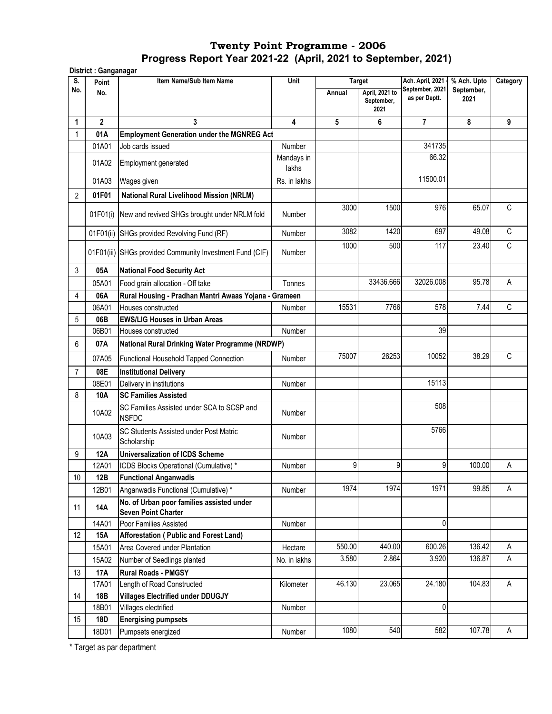| S.             | District: Ganganagar<br>Point | Item Name/Sub Item Name                                                 | Unit                | <b>Target</b> |                                      | Ach. April, 2021                 | % Ach. Upto        | Category     |
|----------------|-------------------------------|-------------------------------------------------------------------------|---------------------|---------------|--------------------------------------|----------------------------------|--------------------|--------------|
| No.            | No.                           |                                                                         |                     | Annual        | April, 2021 to<br>September,<br>2021 | September, 2021<br>as per Deptt. | September,<br>2021 |              |
| 1              | $\mathbf{2}$                  | 3                                                                       | 4                   | 5             | 6                                    | 7                                | 8                  | 9            |
| 1              | 01A                           | <b>Employment Generation under the MGNREG Act</b>                       |                     |               |                                      |                                  |                    |              |
|                | 01A01                         | Job cards issued                                                        | <b>Number</b>       |               |                                      | 341735                           |                    |              |
|                | 01A02                         | Employment generated                                                    | Mandays in<br>lakhs |               |                                      | 66.32                            |                    |              |
|                | 01A03                         | Wages given                                                             | Rs. in lakhs        |               |                                      | 11500.01                         |                    |              |
| $\overline{2}$ | 01F01                         | <b>National Rural Livelihood Mission (NRLM)</b>                         |                     |               |                                      |                                  |                    |              |
|                |                               |                                                                         |                     | 3000          | 1500                                 | 976                              | 65.07              | C            |
|                | 01F01(i)                      | New and revived SHGs brought under NRLM fold                            | <b>Number</b>       |               |                                      |                                  |                    |              |
|                | 01F01(ii)                     | SHGs provided Revolving Fund (RF)                                       | Number              | 3082          | 1420                                 | 697                              | 49.08              | $\mathsf{C}$ |
|                |                               | 01F01(iii) SHGs provided Community Investment Fund (CIF)                | Number              | 1000          | 500                                  | 117                              | 23.40              | $\mathsf C$  |
| 3              | 05A                           | <b>National Food Security Act</b>                                       |                     |               |                                      |                                  |                    |              |
|                | 05A01                         | Food grain allocation - Off take                                        | Tonnes              |               | 33436.666                            | 32026.008                        | 95.78              | Α            |
| 4              | 06A                           | Rural Housing - Pradhan Mantri Awaas Yojana - Grameen                   |                     |               |                                      |                                  |                    |              |
|                | 06A01                         | Houses constructed                                                      | Number              | 15531         | 7766                                 | 578                              | 7.44               | C            |
| 5              | 06B                           | <b>EWS/LIG Houses in Urban Areas</b>                                    |                     |               |                                      |                                  |                    |              |
|                | 06B01                         | Houses constructed                                                      | Number              |               |                                      | 39                               |                    |              |
| 6              | 07A                           | National Rural Drinking Water Programme (NRDWP)                         |                     |               |                                      |                                  |                    |              |
|                | 07A05                         | Functional Household Tapped Connection                                  | Number              | 75007         | 26253                                | 10052                            | 38.29              | C            |
| $\overline{7}$ | 08E                           | <b>Institutional Delivery</b>                                           |                     |               |                                      |                                  |                    |              |
|                | 08E01                         | Delivery in institutions                                                | Number              |               |                                      | 15113                            |                    |              |
| 8              | 10A                           | <b>SC Families Assisted</b>                                             |                     |               |                                      |                                  |                    |              |
|                | 10A02                         | SC Families Assisted under SCA to SCSP and<br><b>NSFDC</b>              | <b>Number</b>       |               |                                      | 508                              |                    |              |
|                | 10A03                         | SC Students Assisted under Post Matric<br>Scholarship                   | <b>Number</b>       |               |                                      | 5766                             |                    |              |
| 9              | <b>12A</b>                    | <b>Universalization of ICDS Scheme</b>                                  |                     |               |                                      |                                  |                    |              |
|                | 12A01                         | ICDS Blocks Operational (Cumulative) *                                  | <b>Number</b>       | 9             | 9                                    | 9                                | 100.00             | Α            |
| $10$           | 12B                           | <b>Functional Anganwadis</b>                                            |                     |               |                                      |                                  |                    |              |
|                | 12B01                         | Anganwadis Functional (Cumulative) *                                    | Number              | 1974          | 1974                                 | 1971                             | 99.85              | A            |
| 11             | 14A                           | No. of Urban poor families assisted under<br><b>Seven Point Charter</b> |                     |               |                                      |                                  |                    |              |
|                | 14A01                         | Poor Families Assisted                                                  | Number              |               |                                      | 0                                |                    |              |
| 12             | <b>15A</b>                    | Afforestation (Public and Forest Land)                                  |                     |               |                                      |                                  |                    |              |
|                | 15A01                         | Area Covered under Plantation                                           | Hectare             | 550.00        | 440.00                               | 600.26                           | 136.42             | A            |
|                | 15A02                         | Number of Seedlings planted                                             | No. in lakhs        | 3.580         | 2.864                                | 3.920                            | 136.87             | Α            |
| 13             | <b>17A</b>                    | <b>Rural Roads - PMGSY</b>                                              |                     |               |                                      |                                  |                    |              |
|                | 17A01                         | Length of Road Constructed                                              | Kilometer           | 46.130        | 23.065                               | 24.180                           | 104.83             | A            |
| 14             | <b>18B</b>                    | <b>Villages Electrified under DDUGJY</b>                                |                     |               |                                      |                                  |                    |              |
|                | 18B01                         | Villages electrified                                                    | Number              |               |                                      | 0                                |                    |              |
| 15             | <b>18D</b>                    | <b>Energising pumpsets</b>                                              |                     |               |                                      |                                  |                    |              |
|                | 18D01                         | Pumpsets energized                                                      | Number              | 1080          | 540                                  | 582                              | 107.78             | A            |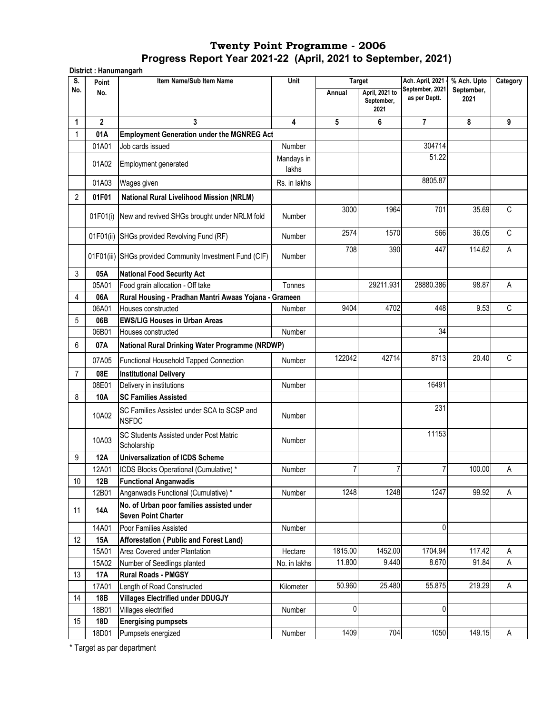|           | District: Hanumangarh |                                                                         |                     |                |                                      |                                     |                           |          |
|-----------|-----------------------|-------------------------------------------------------------------------|---------------------|----------------|--------------------------------------|-------------------------------------|---------------------------|----------|
| S.<br>No. | Point                 | Item Name/Sub Item Name                                                 | Unit                |                | <b>Target</b>                        | Ach. April, 2021<br>September, 2021 | % Ach. Upto<br>September, | Category |
|           | No.                   |                                                                         |                     | Annual         | April, 2021 to<br>September,<br>2021 | as per Deptt.                       | 2021                      |          |
| 1         | $\overline{2}$        | 3                                                                       | 4                   | 5              | 6                                    | $\overline{7}$                      | 8                         | 9        |
| 1         | 01A                   | <b>Employment Generation under the MGNREG Act</b>                       |                     |                |                                      |                                     |                           |          |
|           | 01A01                 | Job cards issued                                                        | Number              |                |                                      | 304714                              |                           |          |
|           | 01A02                 | Employment generated                                                    | Mandays in<br>lakhs |                |                                      | 51.22                               |                           |          |
|           | 01A03                 | Wages given                                                             | Rs. in lakhs        |                |                                      | 8805.87                             |                           |          |
| 2         | 01F01                 | <b>National Rural Livelihood Mission (NRLM)</b>                         |                     |                |                                      |                                     |                           |          |
|           |                       |                                                                         |                     | 3000           | 1964                                 | 701                                 | 35.69                     | C        |
|           | 01F01(i)              | New and revived SHGs brought under NRLM fold                            | Number              |                |                                      |                                     |                           |          |
|           | 01F01(ii)             | SHGs provided Revolving Fund (RF)                                       | Number              | 2574           | 1570                                 | 566                                 | 36.05                     | C        |
|           |                       |                                                                         |                     | 708            | 390                                  | 447                                 | 114.62                    | A        |
|           |                       | 01F01(iii) SHGs provided Community Investment Fund (CIF)                | <b>Number</b>       |                |                                      |                                     |                           |          |
| 3         | 05A                   | <b>National Food Security Act</b>                                       |                     |                |                                      |                                     |                           |          |
|           | 05A01                 | Food grain allocation - Off take                                        | Tonnes              |                | 29211.931                            | 28880.386                           | 98.87                     | A        |
| 4         | 06A                   | Rural Housing - Pradhan Mantri Awaas Yojana - Grameen                   |                     |                |                                      |                                     |                           |          |
|           | 06A01                 | Houses constructed                                                      | Number              | 9404           | 4702                                 | 448                                 | 9.53                      | C        |
| 5         | 06B                   | <b>EWS/LIG Houses in Urban Areas</b>                                    |                     |                |                                      |                                     |                           |          |
|           | 06B01                 | Houses constructed                                                      | Number              |                |                                      | 34                                  |                           |          |
| 6         | 07A                   | National Rural Drinking Water Programme (NRDWP)                         |                     |                |                                      |                                     |                           |          |
|           | 07A05                 | Functional Household Tapped Connection                                  | <b>Number</b>       | 122042         | 42714                                | 8713                                | 20.40                     | C        |
|           | 08E                   | <b>Institutional Delivery</b>                                           |                     |                |                                      |                                     |                           |          |
|           | 08E01                 | Delivery in institutions                                                | Number              |                |                                      | 16491                               |                           |          |
| 8         | 10A                   | <b>SC Families Assisted</b>                                             |                     |                |                                      |                                     |                           |          |
|           | 10A02                 | SC Families Assisted under SCA to SCSP and<br><b>NSFDC</b>              | <b>Number</b>       |                |                                      | 231                                 |                           |          |
|           | 10A03                 | SC Students Assisted under Post Matric<br>Scholarship                   | <b>Number</b>       |                |                                      | 11153                               |                           |          |
| 9         | 12A                   | <b>Universalization of ICDS Scheme</b>                                  |                     |                |                                      |                                     |                           |          |
|           | 12A01                 | ICDS Blocks Operational (Cumulative) *                                  | Number              | $\overline{7}$ | $\overline{7}$                       | 7                                   | 100.00                    | Α        |
| 10        | 12B                   | <b>Functional Anganwadis</b>                                            |                     |                |                                      |                                     |                           |          |
|           | 12B01                 | Anganwadis Functional (Cumulative) *                                    | Number              | 1248           | 1248                                 | 1247                                | 99.92                     | Α        |
| 11        | <b>14A</b>            | No. of Urban poor families assisted under<br><b>Seven Point Charter</b> |                     |                |                                      |                                     |                           |          |
|           | 14A01                 | Poor Families Assisted                                                  | Number              |                |                                      | 0                                   |                           |          |
| 12        | 15A                   | Afforestation (Public and Forest Land)                                  |                     |                |                                      |                                     |                           |          |
|           | 15A01                 | Area Covered under Plantation                                           | Hectare             | 1815.00        | 1452.00                              | 1704.94                             | 117.42                    | Α        |
|           | 15A02                 | Number of Seedlings planted                                             | No. in lakhs        | 11.800         | 9.440                                | 8.670                               | 91.84                     | Α        |
| 13        | 17A                   | <b>Rural Roads - PMGSY</b>                                              |                     |                |                                      |                                     |                           |          |
|           | 17A01                 | Length of Road Constructed                                              | Kilometer           | 50.960         | 25.480                               | 55.875                              | 219.29                    | Α        |
| 14        | 18B                   | <b>Villages Electrified under DDUGJY</b>                                |                     |                |                                      |                                     |                           |          |
|           | 18B01                 | Villages electrified                                                    | Number              | 0              |                                      | 0                                   |                           |          |
| 15        | 18D                   | <b>Energising pumpsets</b>                                              |                     |                |                                      |                                     |                           |          |
|           | 18D01                 | Pumpsets energized                                                      | Number              | 1409           | 704                                  | 1050                                | 149.15                    | Α        |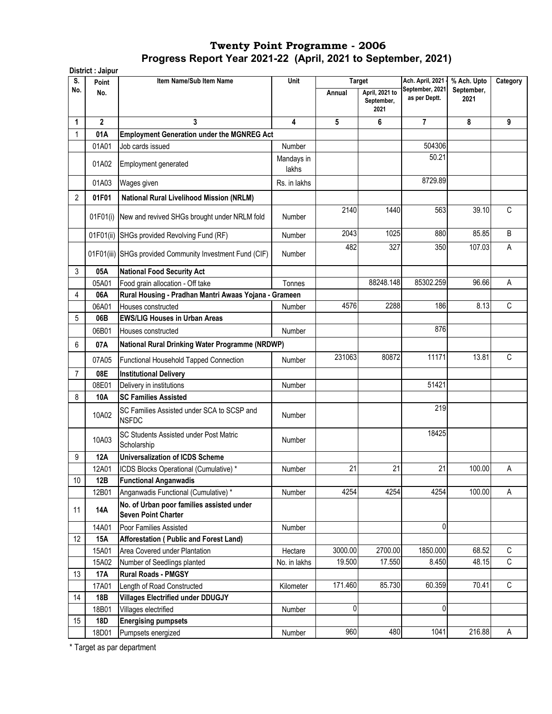|                | District : Jaipur |                                                                         |                     |         |                                                       |                                                      |                                   |              |
|----------------|-------------------|-------------------------------------------------------------------------|---------------------|---------|-------------------------------------------------------|------------------------------------------------------|-----------------------------------|--------------|
| S.<br>No.      | Point<br>No.      | Item Name/Sub Item Name                                                 | Unit                | Annual  | <b>Target</b><br>April, 2021 to<br>September,<br>2021 | Ach. April, 2021<br>September, 2021<br>as per Deptt. | % Ach. Upto<br>September,<br>2021 | Category     |
| 1              | $\overline{2}$    | 3                                                                       | 4                   | 5       | 6                                                     | $\overline{7}$                                       | 8                                 | 9            |
| 1              | 01A               | <b>Employment Generation under the MGNREG Act</b>                       |                     |         |                                                       |                                                      |                                   |              |
|                | 01A01             | Job cards issued                                                        | Number              |         |                                                       | 504306                                               |                                   |              |
|                | 01A02             | Employment generated                                                    | Mandays in<br>lakhs |         |                                                       | 50.21                                                |                                   |              |
|                | 01A03             | Wages given                                                             | Rs. in lakhs        |         |                                                       | 8729.89                                              |                                   |              |
| $\overline{2}$ | 01F01             | National Rural Livelihood Mission (NRLM)                                |                     |         |                                                       |                                                      |                                   |              |
|                | 01F01(i)          | New and revived SHGs brought under NRLM fold                            | <b>Number</b>       | 2140    | 1440                                                  | 563                                                  | 39.10                             | $\mathsf{C}$ |
|                | 01F01(ii)         | SHGs provided Revolving Fund (RF)                                       | Number              | 2043    | 1025                                                  | 880                                                  | 85.85                             | B            |
|                |                   |                                                                         |                     | 482     | 327                                                   | 350                                                  | 107.03                            | А            |
|                |                   | 01F01(iii) SHGs provided Community Investment Fund (CIF)                | Number              |         |                                                       |                                                      |                                   |              |
| 3              | 05A               | <b>National Food Security Act</b>                                       |                     |         |                                                       |                                                      |                                   |              |
|                | 05A01             | Food grain allocation - Off take                                        | Tonnes              |         | 88248.148                                             | 85302.259                                            | 96.66                             | A            |
| 4              | 06A               | Rural Housing - Pradhan Mantri Awaas Yojana - Grameen                   |                     |         |                                                       |                                                      |                                   |              |
|                | 06A01             | Houses constructed                                                      | <b>Number</b>       | 4576    | 2288                                                  | 186                                                  | 8.13                              | C            |
| 5              | 06B               | <b>EWS/LIG Houses in Urban Areas</b>                                    |                     |         |                                                       |                                                      |                                   |              |
|                | 06B01             | Houses constructed                                                      | <b>Number</b>       |         |                                                       | 876                                                  |                                   |              |
| 6              | 07A               | National Rural Drinking Water Programme (NRDWP)                         |                     |         |                                                       |                                                      |                                   |              |
|                |                   |                                                                         |                     | 231063  | 80872                                                 | 11171                                                | 13.81                             | С            |
|                | 07A05             | Functional Household Tapped Connection                                  | Number              |         |                                                       |                                                      |                                   |              |
| 7              | 08E               | <b>Institutional Delivery</b>                                           |                     |         |                                                       |                                                      |                                   |              |
|                | 08E01             | Delivery in institutions                                                | <b>Number</b>       |         |                                                       | 51421                                                |                                   |              |
| 8              | 10A               | <b>SC Families Assisted</b>                                             |                     |         |                                                       |                                                      |                                   |              |
|                | 10A02             | SC Families Assisted under SCA to SCSP and<br><b>NSFDC</b>              | Number              |         |                                                       | 219                                                  |                                   |              |
|                | 10A03             | SC Students Assisted under Post Matric<br>Scholarship                   | Number              |         |                                                       | 18425                                                |                                   |              |
| 9              | 12A               | <b>Universalization of ICDS Scheme</b>                                  |                     |         |                                                       |                                                      |                                   |              |
|                | 12A01             | ICDS Blocks Operational (Cumulative) *                                  | Number              | 21      | 21                                                    | 21                                                   | 100.00                            | Α            |
| 10             | 12B               | <b>Functional Anganwadis</b>                                            |                     |         |                                                       |                                                      |                                   |              |
|                | 12B01             | Anganwadis Functional (Cumulative) *                                    | Number              | 4254    | 4254                                                  | 4254                                                 | 100.00                            | A            |
| 11             | <b>14A</b>        | No. of Urban poor families assisted under<br><b>Seven Point Charter</b> |                     |         |                                                       |                                                      |                                   |              |
|                | 14A01             | Poor Families Assisted                                                  | Number              |         |                                                       | $\mathbf 0$                                          |                                   |              |
| 12             | 15A               | Afforestation (Public and Forest Land)                                  |                     |         |                                                       |                                                      |                                   |              |
|                | 15A01             | Area Covered under Plantation                                           | Hectare             | 3000.00 | 2700.00                                               | 1850.000                                             | 68.52                             | C            |
|                | 15A02             | Number of Seedlings planted                                             | No. in lakhs        | 19.500  | 17.550                                                | 8.450                                                | 48.15                             | $\mathsf{C}$ |
| 13             | 17A               | <b>Rural Roads - PMGSY</b>                                              |                     |         |                                                       |                                                      |                                   |              |
|                | 17A01             | Length of Road Constructed                                              | Kilometer           | 171.460 | 85.730                                                | 60.359                                               | 70.41                             | C            |
| 14             | 18B               | <b>Villages Electrified under DDUGJY</b>                                |                     |         |                                                       |                                                      |                                   |              |
|                | 18B01             | Villages electrified                                                    | Number              | 0       |                                                       | 0                                                    |                                   |              |
| 15             | 18D               | <b>Energising pumpsets</b>                                              |                     |         |                                                       |                                                      |                                   |              |
|                | 18D01             | Pumpsets energized                                                      | Number              | 960     | 480                                                   | 1041                                                 | 216.88                            | А            |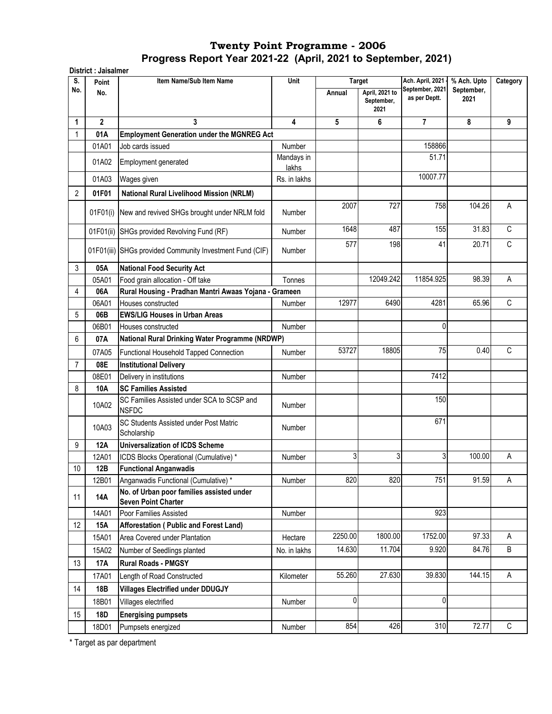| S.             | Point        | Item Name/Sub Item Name                                                 | Unit                |         | <b>Target</b>                        | Ach. April, 2021                 | % Ach. Upto        | Category     |
|----------------|--------------|-------------------------------------------------------------------------|---------------------|---------|--------------------------------------|----------------------------------|--------------------|--------------|
| No.            | No.          |                                                                         |                     | Annual  | April, 2021 to<br>September,<br>2021 | September, 2021<br>as per Deptt. | September,<br>2021 |              |
| 1              | $\mathbf{2}$ | 3                                                                       | 4                   | 5       | 6                                    | $\overline{7}$                   | 8                  | 9            |
| 1              | 01A          | <b>Employment Generation under the MGNREG Act</b>                       |                     |         |                                      |                                  |                    |              |
|                | 01A01        | Job cards issued                                                        | Number              |         |                                      | 158866                           |                    |              |
|                | 01A02        | Employment generated                                                    | Mandays in<br>lakhs |         |                                      | 51.71                            |                    |              |
|                | 01A03        | Wages given                                                             | Rs. in lakhs        |         |                                      | 10007.77                         |                    |              |
| $\overline{2}$ | 01F01        | <b>National Rural Livelihood Mission (NRLM)</b>                         |                     |         |                                      |                                  |                    |              |
|                | 01F01(i)     | New and revived SHGs brought under NRLM fold                            | Number              | 2007    | 727                                  | 758                              | 104.26             | Α            |
|                |              | 01F01(ii) SHGs provided Revolving Fund (RF)                             | Number              | 1648    | 487                                  | 155                              | 31.83              | $\mathsf{C}$ |
|                |              | 01F01(iii) SHGs provided Community Investment Fund (CIF)                | <b>Number</b>       | 577     | 198                                  | 41                               | 20.71              | $\mathsf C$  |
| 3              | 05A          | <b>National Food Security Act</b>                                       |                     |         |                                      |                                  |                    |              |
|                | 05A01        | Food grain allocation - Off take                                        | Tonnes              |         | 12049.242                            | 11854.925                        | 98.39              | A            |
| 4              | 06A          | Rural Housing - Pradhan Mantri Awaas Yojana - Grameen                   |                     |         |                                      |                                  |                    |              |
|                | 06A01        | Houses constructed                                                      | Number              | 12977   | 6490                                 | 4281                             | 65.96              | C            |
| 5              | 06B          | <b>EWS/LIG Houses in Urban Areas</b>                                    |                     |         |                                      |                                  |                    |              |
|                | 06B01        | Houses constructed                                                      | Number              |         |                                      | 0                                |                    |              |
| 6              | 07A          | National Rural Drinking Water Programme (NRDWP)                         |                     |         |                                      |                                  |                    |              |
|                | 07A05        | Functional Household Tapped Connection                                  | <b>Number</b>       | 53727   | 18805                                | 75                               | 0.40               | C            |
| $\overline{7}$ | 08E          | <b>Institutional Delivery</b>                                           |                     |         |                                      |                                  |                    |              |
|                | 08E01        | Delivery in institutions                                                | Number              |         |                                      | 7412                             |                    |              |
| 8              | 10A          | <b>SC Families Assisted</b>                                             |                     |         |                                      |                                  |                    |              |
|                | 10A02        | SC Families Assisted under SCA to SCSP and<br><b>NSFDC</b>              | <b>Number</b>       |         |                                      | 150                              |                    |              |
|                | 10A03        | SC Students Assisted under Post Matric<br>Scholarship                   | <b>Number</b>       |         |                                      | 671                              |                    |              |
| 9              | 12A          | <b>Universalization of ICDS Scheme</b>                                  |                     |         |                                      |                                  |                    |              |
|                | 12A01        | ICDS Blocks Operational (Cumulative) *                                  | Number              | 3       | 3                                    | 3                                | 100.00             | Α            |
| 10             | 12B          | <b>Functional Anganwadis</b>                                            |                     |         |                                      |                                  |                    |              |
|                | 12B01        | Anganwadis Functional (Cumulative) *                                    | Number              | 820     | 820                                  | 751                              | 91.59              | Α            |
| 11             | <b>14A</b>   | No. of Urban poor families assisted under<br><b>Seven Point Charter</b> |                     |         |                                      |                                  |                    |              |
|                | 14A01        | Poor Families Assisted                                                  | Number              |         |                                      | 923                              |                    |              |
| 12             | 15A          | Afforestation (Public and Forest Land)                                  |                     |         |                                      |                                  |                    |              |
|                | 15A01        | Area Covered under Plantation                                           | Hectare             | 2250.00 | 1800.00                              | 1752.00                          | 97.33              | A            |
|                | 15A02        | Number of Seedlings planted                                             | No. in lakhs        | 14.630  | 11.704                               | 9.920                            | 84.76              | B            |
| 13             | 17A          | <b>Rural Roads - PMGSY</b>                                              |                     |         |                                      |                                  |                    |              |
|                | 17A01        | Length of Road Constructed                                              | Kilometer           | 55.260  | 27.630                               | 39.830                           | 144.15             | Α            |
| 14             | 18B          | <b>Villages Electrified under DDUGJY</b>                                |                     |         |                                      |                                  |                    |              |
|                | 18B01        | Villages electrified                                                    | Number              | 0       |                                      | 0                                |                    |              |
| 15             | <b>18D</b>   | <b>Energising pumpsets</b>                                              |                     |         |                                      |                                  |                    |              |
|                | 18D01        | Pumpsets energized                                                      | Number              | 854     | 426                                  | 310                              | 72.77              | C            |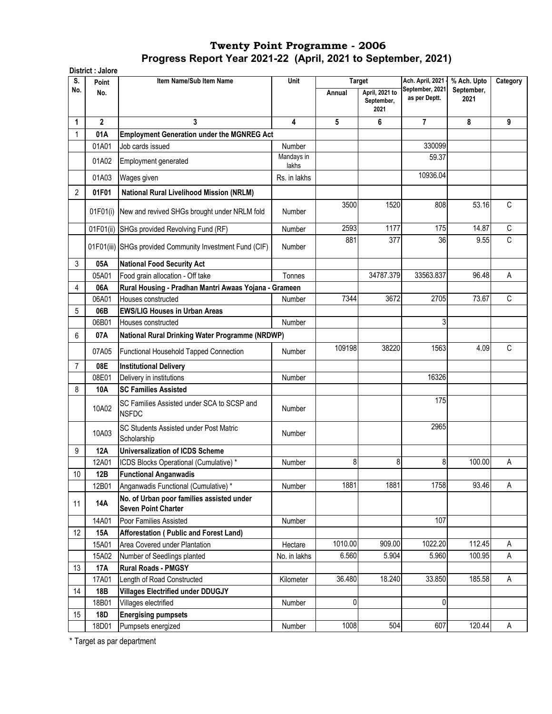| S.             | District : Jalore | Item Name/Sub Item Name                                                 | Unit                | <b>Target</b> |                                      | Ach. April, 2021                 | % Ach. Upto        | Category |
|----------------|-------------------|-------------------------------------------------------------------------|---------------------|---------------|--------------------------------------|----------------------------------|--------------------|----------|
| No.            | Point<br>No.      |                                                                         |                     | Annual        | April, 2021 to<br>September,<br>2021 | September, 2021<br>as per Deptt. | September,<br>2021 |          |
| 1              | $\mathbf{2}$      | 3                                                                       | 4                   | 5             | 6                                    | $\overline{\mathbf{r}}$          | 8                  | 9        |
| 1              | 01A               | <b>Employment Generation under the MGNREG Act</b>                       |                     |               |                                      |                                  |                    |          |
|                | 01A01             | Job cards issued                                                        | Number              |               |                                      | 330099                           |                    |          |
|                | 01A02             | Employment generated                                                    | Mandays in<br>lakhs |               |                                      | 59.37                            |                    |          |
|                | 01A03             | Wages given                                                             | Rs. in lakhs        |               |                                      | 10936.04                         |                    |          |
| 2              | 01F01             | National Rural Livelihood Mission (NRLM)                                |                     |               |                                      |                                  |                    |          |
|                | 01F01(i)          | New and revived SHGs brought under NRLM fold                            | Number              | 3500          | 1520                                 | 808                              | 53.16              | C        |
|                | 01F01(ii)         | SHGs provided Revolving Fund (RF)                                       | Number              | 2593          | 1177                                 | 175                              | 14.87              | C        |
|                |                   | 01F01(iii) SHGs provided Community Investment Fund (CIF)                | <b>Number</b>       | 881           | 377                                  | 36                               | 9.55               | C        |
| 3              | 05A               | <b>National Food Security Act</b>                                       |                     |               |                                      |                                  |                    |          |
|                | 05A01             | Food grain allocation - Off take                                        | Tonnes              |               | 34787.379                            | 33563.837                        | 96.48              | A        |
| 4              | 06A               | Rural Housing - Pradhan Mantri Awaas Yojana - Grameen                   |                     |               |                                      |                                  |                    |          |
|                | 06A01             | Houses constructed                                                      | <b>Number</b>       | 7344          | 3672                                 | 2705                             | 73.67              | C        |
| 5              | 06B               | <b>EWS/LIG Houses in Urban Areas</b>                                    |                     |               |                                      |                                  |                    |          |
|                | 06B01             | Houses constructed                                                      | Number              |               |                                      | 3                                |                    |          |
| 6              | 07A               | National Rural Drinking Water Programme (NRDWP)                         |                     |               |                                      |                                  |                    |          |
|                | 07A05             | Functional Household Tapped Connection                                  | <b>Number</b>       | 109198        | 38220                                | 1563                             | 4.09               | С        |
| $\overline{7}$ | 08E               | <b>Institutional Delivery</b>                                           |                     |               |                                      |                                  |                    |          |
|                | 08E01             | Delivery in institutions                                                | Number              |               |                                      | 16326                            |                    |          |
| 8              | 10A               | <b>SC Families Assisted</b>                                             |                     |               |                                      |                                  |                    |          |
|                | 10A02             | SC Families Assisted under SCA to SCSP and<br><b>NSFDC</b>              | Number              |               |                                      | 175                              |                    |          |
|                | 10A03             | <b>SC Students Assisted under Post Matric</b><br>Scholarship            | Number              |               |                                      | 2965                             |                    |          |
| 9              | <b>12A</b>        | <b>Universalization of ICDS Scheme</b>                                  |                     |               |                                      |                                  |                    |          |
|                | 12A01             | ICDS Blocks Operational (Cumulative) *                                  | Number              | 8             | 8                                    | 8                                | 100.00             | Α        |
| 10             | 12B               | <b>Functional Anganwadis</b>                                            |                     |               |                                      |                                  |                    |          |
|                | 12B01             | Anganwadis Functional (Cumulative) *                                    | Number              | 1881          | 1881                                 | 1758                             | 93.46              | A        |
| 11             | <b>14A</b>        | No. of Urban poor families assisted under<br><b>Seven Point Charter</b> |                     |               |                                      |                                  |                    |          |
|                | 14A01             | Poor Families Assisted                                                  | Number              |               |                                      | 107                              |                    |          |
| 12             | 15A               | Afforestation (Public and Forest Land)                                  |                     |               |                                      |                                  |                    |          |
|                | 15A01             | Area Covered under Plantation                                           | Hectare             | 1010.00       | 909.00                               | 1022.20                          | 112.45             | Α        |
|                | 15A02             | Number of Seedlings planted                                             | No. in lakhs        | 6.560         | 5.904                                | 5.960                            | 100.95             | Α        |
| 13             | <b>17A</b>        | <b>Rural Roads - PMGSY</b>                                              |                     |               |                                      |                                  |                    |          |
|                | 17A01             | Length of Road Constructed                                              | Kilometer           | 36.480        | 18.240                               | 33.850                           | 185.58             | Α        |
| 14             | 18B               | <b>Villages Electrified under DDUGJY</b>                                |                     |               |                                      |                                  |                    |          |
|                | 18B01             | Villages electrified                                                    | Number              | 0             |                                      | 0                                |                    |          |
| 15             | <b>18D</b>        | <b>Energising pumpsets</b>                                              |                     |               |                                      |                                  |                    |          |
|                | 18D01             | Pumpsets energized                                                      | Number              | 1008          | 504                                  | 607                              | 120.44             | A        |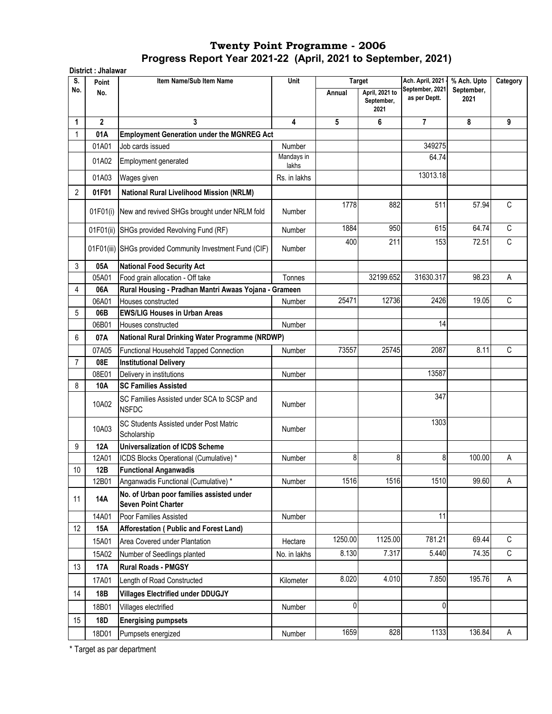| S.             | Point          | Item Name/Sub Item Name                                                 | Unit                | <b>Target</b> |                                      | Ach. April, 2021                 | % Ach. Upto        | Category    |
|----------------|----------------|-------------------------------------------------------------------------|---------------------|---------------|--------------------------------------|----------------------------------|--------------------|-------------|
| No.            | No.            |                                                                         |                     | Annual        | April, 2021 to<br>September,<br>2021 | September, 2021<br>as per Deptt. | September,<br>2021 |             |
| 1              | $\overline{2}$ | 3                                                                       | 4                   | 5             | 6                                    | 7                                | 8                  | 9           |
|                | 01A            | <b>Employment Generation under the MGNREG Act</b>                       |                     |               |                                      |                                  |                    |             |
|                | 01A01          | Job cards issued                                                        | <b>Number</b>       |               |                                      | 349275                           |                    |             |
|                | 01A02          | Employment generated                                                    | Mandays in<br>lakhs |               |                                      | 64.74                            |                    |             |
|                | 01A03          | Wages given                                                             | Rs. in lakhs        |               |                                      | 13013.18                         |                    |             |
| $\overline{2}$ | 01F01          | <b>National Rural Livelihood Mission (NRLM)</b>                         |                     |               |                                      |                                  |                    |             |
|                | 01F01(i)       | New and revived SHGs brought under NRLM fold                            | Number              | 1778          | 882                                  | 511                              | 57.94              | C           |
|                | 01F01(ii)      | SHGs provided Revolving Fund (RF)                                       | <b>Number</b>       | 1884          | 950                                  | 615                              | 64.74              | C           |
|                |                | 01F01(iii) SHGs provided Community Investment Fund (CIF)                | <b>Number</b>       | 400           | 211                                  | 153                              | 72.51              | C           |
| 3              | 05A            | <b>National Food Security Act</b>                                       |                     |               |                                      |                                  |                    |             |
|                | 05A01          | Food grain allocation - Off take                                        | Tonnes              |               | 32199.652                            | 31630.317                        | 98.23              | A           |
| 4              | 06A            | Rural Housing - Pradhan Mantri Awaas Yojana - Grameen                   |                     |               |                                      |                                  |                    |             |
|                | 06A01          | Houses constructed                                                      | <b>Number</b>       | 25471         | 12736                                | 2426                             | 19.05              | C           |
| 5              | 06B            | <b>EWS/LIG Houses in Urban Areas</b>                                    |                     |               |                                      |                                  |                    |             |
|                | 06B01          | Houses constructed                                                      | <b>Number</b>       |               |                                      | 14                               |                    |             |
| 6              | 07A            | National Rural Drinking Water Programme (NRDWP)                         |                     |               |                                      |                                  |                    |             |
|                | 07A05          | Functional Household Tapped Connection                                  | <b>Number</b>       | 73557         | 25745                                | 2087                             | 8.11               | C           |
| 7              | 08E            | <b>Institutional Delivery</b>                                           |                     |               |                                      |                                  |                    |             |
|                | 08E01          | Delivery in institutions                                                | Number              |               |                                      | 13587                            |                    |             |
| 8              | <b>10A</b>     | <b>SC Families Assisted</b>                                             |                     |               |                                      |                                  |                    |             |
|                | 10A02          | SC Families Assisted under SCA to SCSP and<br><b>NSFDC</b>              | <b>Number</b>       |               |                                      | 347                              |                    |             |
|                | 10A03          | SC Students Assisted under Post Matric<br>Scholarship                   | Number              |               |                                      | 1303                             |                    |             |
| 9              | <b>12A</b>     | <b>Universalization of ICDS Scheme</b>                                  |                     |               |                                      |                                  |                    |             |
|                | 12A01          | ICDS Blocks Operational (Cumulative) *                                  | <b>Number</b>       | 8             | 8                                    | 8                                | 100.00             | Α           |
| 10             | 12B            | <b>Functional Anganwadis</b>                                            |                     |               |                                      |                                  |                    |             |
|                | 12B01          | Anganwadis Functional (Cumulative) *                                    | Number              | 1516          | 1516                                 | 1510                             | 99.60              | A           |
| 11             | 14A            | No. of Urban poor families assisted under<br><b>Seven Point Charter</b> |                     |               |                                      |                                  |                    |             |
|                | 14A01          | Poor Families Assisted                                                  | Number              |               |                                      | 11                               |                    |             |
| 12             | 15A            | Afforestation (Public and Forest Land)                                  |                     |               |                                      |                                  |                    |             |
|                | 15A01          | Area Covered under Plantation                                           | Hectare             | 1250.00       | 1125.00                              | 781.21                           | 69.44              | C           |
|                | 15A02          | Number of Seedlings planted                                             | No. in lakhs        | 8.130         | 7.317                                | 5.440                            | 74.35              | $\mathbb C$ |
| 13             | 17A            | <b>Rural Roads - PMGSY</b>                                              |                     |               |                                      |                                  |                    |             |
|                | 17A01          | Length of Road Constructed                                              | Kilometer           | 8.020         | 4.010                                | 7.850                            | 195.76             | Α           |
| 14             | 18B            | <b>Villages Electrified under DDUGJY</b>                                |                     |               |                                      |                                  |                    |             |
|                | 18B01          | Villages electrified                                                    | Number              | 0             |                                      | 0                                |                    |             |
| 15             | <b>18D</b>     | <b>Energising pumpsets</b>                                              |                     |               |                                      |                                  |                    |             |
|                | 18D01          | Pumpsets energized                                                      | Number              | 1659          | 828                                  | 1133                             | 136.84             | Α           |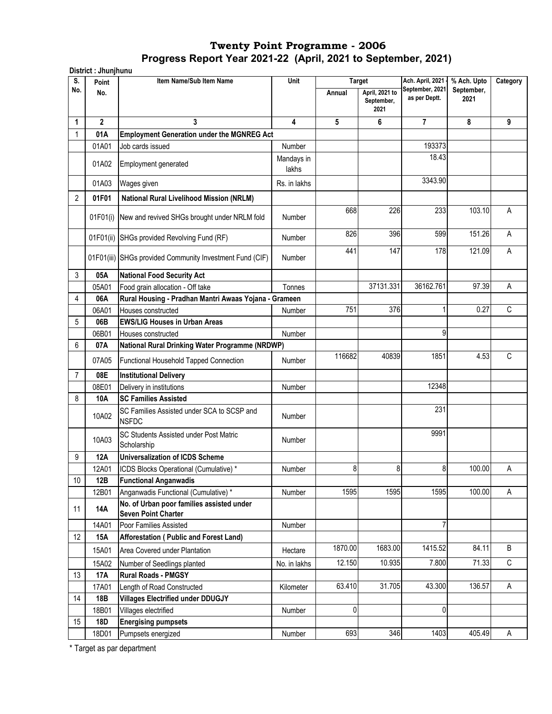|           | District : Jhunjhunu |                                                                         |                     |                         |                              |                                                      |                                   |             |
|-----------|----------------------|-------------------------------------------------------------------------|---------------------|-------------------------|------------------------------|------------------------------------------------------|-----------------------------------|-------------|
| S.<br>No. | Point<br>No.         | Item Name/Sub Item Name                                                 | Unit                | <b>Target</b><br>Annual | April, 2021 to<br>September, | Ach. April, 2021<br>September, 2021<br>as per Deptt. | % Ach. Upto<br>September,<br>2021 | Category    |
|           |                      | 3                                                                       | 4                   |                         | 2021                         |                                                      |                                   |             |
| 1         | $\mathbf{2}$         |                                                                         |                     | 5                       | 6                            | 7                                                    | 8                                 | 9           |
| 1         | 01A<br>01A01         | <b>Employment Generation under the MGNREG Act</b><br>Job cards issued   |                     |                         |                              | 193373                                               |                                   |             |
|           |                      |                                                                         | Number              |                         |                              | 18.43                                                |                                   |             |
|           | 01A02                | Employment generated                                                    | Mandays in<br>lakhs |                         |                              |                                                      |                                   |             |
|           | 01A03                | Wages given                                                             | Rs. in lakhs        |                         |                              | 3343.90                                              |                                   |             |
| 2         | 01F01                | National Rural Livelihood Mission (NRLM)                                |                     |                         |                              |                                                      |                                   |             |
|           | 01F01(i)             | New and revived SHGs brought under NRLM fold                            | <b>Number</b>       | 668                     | 226                          | 233                                                  | 103.10                            | A           |
|           | 01F01(ii)            | SHGs provided Revolving Fund (RF)                                       | Number              | 826                     | 396                          | 599                                                  | 151.26                            | A           |
|           |                      | 01F01(iii) SHGs provided Community Investment Fund (CIF)                | Number              | 441                     | 147                          | 178                                                  | 121.09                            | A           |
| 3         | 05A                  | <b>National Food Security Act</b>                                       |                     |                         |                              |                                                      |                                   |             |
|           | 05A01                | Food grain allocation - Off take                                        | Tonnes              |                         | 37131.331                    | 36162.761                                            | 97.39                             | A           |
| 4         | 06A                  | Rural Housing - Pradhan Mantri Awaas Yojana - Grameen                   |                     |                         |                              |                                                      |                                   |             |
|           | 06A01                | Houses constructed                                                      | Number              | 751                     | 376                          | 1                                                    | 0.27                              | C           |
| 5         | 06B                  | <b>EWS/LIG Houses in Urban Areas</b>                                    |                     |                         |                              |                                                      |                                   |             |
|           | 06B01                | Houses constructed                                                      | Number              |                         |                              | 9                                                    |                                   |             |
| 6         | 07A                  | National Rural Drinking Water Programme (NRDWP)                         |                     |                         |                              |                                                      |                                   |             |
|           | 07A05                | Functional Household Tapped Connection                                  | Number              | 116682                  | 40839                        | 1851                                                 | 4.53                              | С           |
| 7         | 08E                  | <b>Institutional Delivery</b>                                           |                     |                         |                              |                                                      |                                   |             |
|           | 08E01                | Delivery in institutions                                                | Number              |                         |                              | 12348                                                |                                   |             |
| 8         | 10A                  | <b>SC Families Assisted</b>                                             |                     |                         |                              |                                                      |                                   |             |
|           | 10A02                | SC Families Assisted under SCA to SCSP and<br><b>NSFDC</b>              | <b>Number</b>       |                         |                              | 231                                                  |                                   |             |
|           | 10A03                | SC Students Assisted under Post Matric<br>Scholarship                   | <b>Number</b>       |                         |                              | 9991                                                 |                                   |             |
| 9         | 12A                  | <b>Universalization of ICDS Scheme</b>                                  |                     |                         |                              |                                                      |                                   |             |
|           | 12A01                | ICDS Blocks Operational (Cumulative) *                                  | Number              | 8                       | 8                            | 8                                                    | 100.00                            | A           |
| $10$      | 12B                  | <b>Functional Anganwadis</b>                                            |                     |                         |                              |                                                      |                                   |             |
|           | 12B01                | Anganwadis Functional (Cumulative) *                                    | Number              | 1595                    | 1595                         | 1595                                                 | 100.00                            | Α           |
| 11        | <b>14A</b>           | No. of Urban poor families assisted under<br><b>Seven Point Charter</b> |                     |                         |                              |                                                      |                                   |             |
|           | 14A01                | Poor Families Assisted                                                  | Number              |                         |                              | $\overline{7}$                                       |                                   |             |
| 12        | 15A                  | Afforestation (Public and Forest Land)                                  |                     |                         |                              |                                                      |                                   |             |
|           | 15A01                | Area Covered under Plantation                                           | Hectare             | 1870.00                 | 1683.00                      | 1415.52                                              | 84.11                             | B           |
|           | 15A02                | Number of Seedlings planted                                             | No. in lakhs        | 12.150                  | 10.935                       | 7.800                                                | 71.33                             | $\mathsf C$ |
| 13        | 17A                  | <b>Rural Roads - PMGSY</b>                                              |                     |                         |                              |                                                      |                                   |             |
|           | 17A01                | Length of Road Constructed                                              | Kilometer           | 63.410                  | 31.705                       | 43.300                                               | 136.57                            | Α           |
| 14        | 18B                  | <b>Villages Electrified under DDUGJY</b>                                |                     |                         |                              |                                                      |                                   |             |
|           | 18B01                | Villages electrified                                                    | Number              | 0                       |                              | 0                                                    |                                   |             |
| 15        | 18D                  | <b>Energising pumpsets</b>                                              |                     |                         |                              |                                                      |                                   |             |
|           | 18D01                | Pumpsets energized                                                      | Number              | 693                     | 346                          | 1403                                                 | 405.49                            | Α           |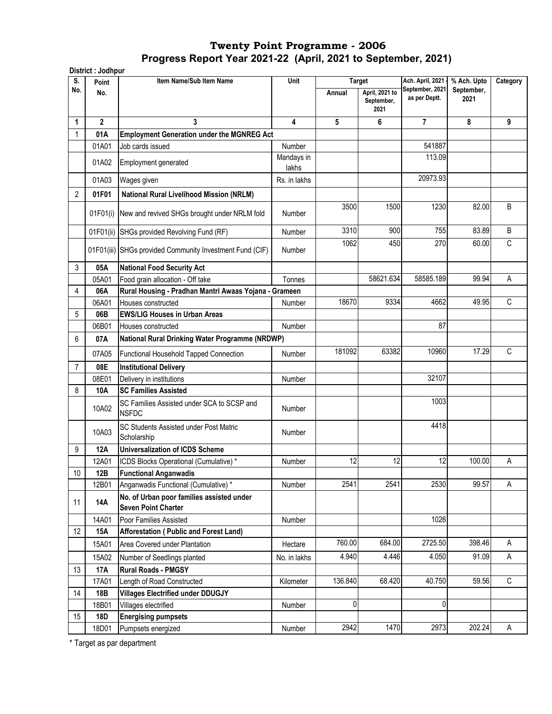| S.              | Point        | Item Name/Sub Item Name                                                 | Unit                |         | <b>Target</b>                        | Ach. April, 2021                 | % Ach. Upto        | Category |
|-----------------|--------------|-------------------------------------------------------------------------|---------------------|---------|--------------------------------------|----------------------------------|--------------------|----------|
| No.             | No.          |                                                                         |                     | Annual  | April, 2021 to<br>September,<br>2021 | September, 2021<br>as per Deptt. | September,<br>2021 |          |
| 1               | $\mathbf{2}$ | 3                                                                       | 4                   | 5       | 6                                    | $\overline{7}$                   | 8                  | 9        |
| 1               | 01A          | <b>Employment Generation under the MGNREG Act</b>                       |                     |         |                                      |                                  |                    |          |
|                 | 01A01        | Job cards issued                                                        | Number              |         |                                      | 541887                           |                    |          |
|                 | 01A02        | Employment generated                                                    | Mandays in<br>lakhs |         |                                      | 113.09                           |                    |          |
|                 | 01A03        | Wages given                                                             | Rs. in lakhs        |         |                                      | 20973.93                         |                    |          |
| 2               | 01F01        | <b>National Rural Livelihood Mission (NRLM)</b>                         |                     |         |                                      |                                  |                    |          |
|                 |              |                                                                         |                     | 3500    | 1500                                 | 1230                             | 82.00              | B        |
|                 | 01F01(i)     | New and revived SHGs brought under NRLM fold                            | Number              |         |                                      |                                  |                    |          |
|                 |              | 01F01(ii) SHGs provided Revolving Fund (RF)                             | <b>Number</b>       | 3310    | 900                                  | 755                              | 83.89              | B        |
|                 |              | 01F01(iii) SHGs provided Community Investment Fund (CIF)                | Number              | 1062    | 450                                  | 270                              | 60.00              | C        |
| 3               | 05A          | <b>National Food Security Act</b>                                       |                     |         |                                      |                                  |                    |          |
|                 | 05A01        | Food grain allocation - Off take                                        | Tonnes              |         | 58621.634                            | 58585.189                        | 99.94              | A        |
| 4               | 06A          | Rural Housing - Pradhan Mantri Awaas Yojana - Grameen                   |                     |         |                                      |                                  |                    |          |
|                 | 06A01        | Houses constructed                                                      | Number              | 18670   | 9334                                 | 4662                             | 49.95              | C        |
| 5               | 06B          | <b>EWS/LIG Houses in Urban Areas</b>                                    |                     |         |                                      |                                  |                    |          |
|                 | 06B01        | Houses constructed                                                      | Number              |         |                                      | 87                               |                    |          |
| 6               | 07A          | <b>National Rural Drinking Water Programme (NRDWP)</b>                  |                     |         |                                      |                                  |                    |          |
|                 | 07A05        | Functional Household Tapped Connection                                  | Number              | 181092  | 63382                                | 10960                            | 17.29              | С        |
| $\overline{7}$  | 08E          | <b>Institutional Delivery</b>                                           |                     |         |                                      |                                  |                    |          |
|                 | 08E01        | Delivery in institutions                                                | Number              |         |                                      | 32107                            |                    |          |
| 8               | <b>10A</b>   | <b>SC Families Assisted</b>                                             |                     |         |                                      |                                  |                    |          |
|                 | 10A02        | SC Families Assisted under SCA to SCSP and<br><b>NSFDC</b>              | Number              |         |                                      | 1003                             |                    |          |
|                 | 10A03        | SC Students Assisted under Post Matric<br>Scholarship                   | <b>Number</b>       |         |                                      | 4418                             |                    |          |
| 9               | 12A          | <b>Universalization of ICDS Scheme</b>                                  |                     |         |                                      |                                  |                    |          |
|                 | 12A01        | ICDS Blocks Operational (Cumulative) *                                  | Number              | 12      | 12                                   | 12                               | 100.00             | Α        |
| 10 <sup>°</sup> | 12B          | <b>Functional Anganwadis</b>                                            |                     |         |                                      |                                  |                    |          |
|                 | 12B01        | Anganwadis Functional (Cumulative) *                                    | Number              | 2541    | 2541                                 | 2530                             | 99.57              | A        |
| 11              | <b>14A</b>   | No. of Urban poor families assisted under<br><b>Seven Point Charter</b> |                     |         |                                      |                                  |                    |          |
|                 | 14A01        | Poor Families Assisted                                                  | Number              |         |                                      | 1026                             |                    |          |
| 12              | 15A          | Afforestation (Public and Forest Land)                                  |                     |         |                                      |                                  |                    |          |
|                 | 15A01        | Area Covered under Plantation                                           | Hectare             | 760.00  | 684.00                               | 2725.50                          | 398.46             | A        |
|                 | 15A02        | Number of Seedlings planted                                             | No. in lakhs        | 4.940   | 4.446                                | 4.050                            | 91.09              | Α        |
| 13              | <b>17A</b>   | <b>Rural Roads - PMGSY</b>                                              |                     |         |                                      |                                  |                    |          |
|                 | 17A01        | Length of Road Constructed                                              | Kilometer           | 136.840 | 68.420                               | 40.750                           | 59.56              | C        |
| 14              | 18B          | <b>Villages Electrified under DDUGJY</b>                                |                     |         |                                      |                                  |                    |          |
|                 | 18B01        | Villages electrified                                                    | Number              | 0       |                                      | 0                                |                    |          |
| 15              | <b>18D</b>   | <b>Energising pumpsets</b>                                              |                     |         |                                      |                                  |                    |          |
|                 | 18D01        | Pumpsets energized                                                      | Number              | 2942    | 1470                                 | 2973                             | 202.24             | Α        |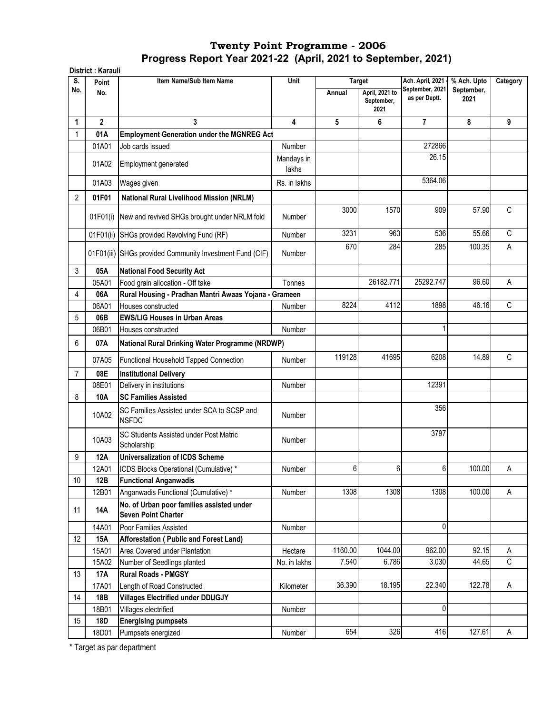|                | District: Karauli |                                                                         |                     |                         |                                      |                                                      |                                   |              |
|----------------|-------------------|-------------------------------------------------------------------------|---------------------|-------------------------|--------------------------------------|------------------------------------------------------|-----------------------------------|--------------|
| S.<br>No.      | Point<br>No.      | Item Name/Sub Item Name                                                 | Unit                | <b>Target</b><br>Annual | April, 2021 to<br>September,<br>2021 | Ach. April, 2021<br>September, 2021<br>as per Deptt. | % Ach. Upto<br>September,<br>2021 | Category     |
| 1              | $\overline{2}$    | 3                                                                       | 4                   | 5                       | 6                                    | $\overline{7}$                                       | 8                                 | 9            |
| 1              | 01A               | <b>Employment Generation under the MGNREG Act</b>                       |                     |                         |                                      |                                                      |                                   |              |
|                | 01A01             | Job cards issued                                                        | Number              |                         |                                      | 272866                                               |                                   |              |
|                | 01A02             | Employment generated                                                    | Mandays in<br>lakhs |                         |                                      | 26.15                                                |                                   |              |
|                | 01A03             | Wages given                                                             | Rs. in lakhs        |                         |                                      | 5364.06                                              |                                   |              |
| $\overline{2}$ | 01F01             | National Rural Livelihood Mission (NRLM)                                |                     |                         |                                      |                                                      |                                   |              |
|                |                   |                                                                         |                     | 3000                    | 1570                                 | 909                                                  | 57.90                             | $\mathsf{C}$ |
|                | 01F01(i)          | New and revived SHGs brought under NRLM fold                            | <b>Number</b>       |                         |                                      |                                                      |                                   |              |
|                | 01F01(ii)         | SHGs provided Revolving Fund (RF)                                       | Number              | 3231                    | 963                                  | 536                                                  | 55.66                             | C            |
|                |                   |                                                                         |                     | 670                     | 284                                  | 285                                                  | 100.35                            | A            |
|                |                   | 01F01(iii) SHGs provided Community Investment Fund (CIF)                | <b>Number</b>       |                         |                                      |                                                      |                                   |              |
| 3              | 05A               | <b>National Food Security Act</b>                                       |                     |                         |                                      |                                                      |                                   |              |
|                | 05A01             | Food grain allocation - Off take                                        | Tonnes              |                         | 26182.771                            | 25292.747                                            | 96.60                             | A            |
| 4              | 06A               | Rural Housing - Pradhan Mantri Awaas Yojana - Grameen                   |                     |                         |                                      |                                                      |                                   |              |
|                | 06A01             | Houses constructed                                                      | <b>Number</b>       | 8224                    | 4112                                 | 1898                                                 | 46.16                             | C            |
| 5              | 06B               | <b>EWS/LIG Houses in Urban Areas</b>                                    |                     |                         |                                      |                                                      |                                   |              |
|                | 06B01             | Houses constructed                                                      | Number              |                         |                                      | 1                                                    |                                   |              |
| 6              | 07A               | National Rural Drinking Water Programme (NRDWP)                         |                     |                         |                                      |                                                      |                                   |              |
|                |                   |                                                                         |                     |                         |                                      |                                                      |                                   |              |
|                | 07A05             | Functional Household Tapped Connection                                  | Number              | 119128                  | 41695                                | 6208                                                 | 14.89                             | С            |
| 7              | 08E               | <b>Institutional Delivery</b>                                           |                     |                         |                                      |                                                      |                                   |              |
|                | 08E01             | Delivery in institutions                                                | <b>Number</b>       |                         |                                      | 12391                                                |                                   |              |
| 8              | 10A               | <b>SC Families Assisted</b>                                             |                     |                         |                                      |                                                      |                                   |              |
|                | 10A02             | SC Families Assisted under SCA to SCSP and<br><b>NSFDC</b>              | Number              |                         |                                      | 356                                                  |                                   |              |
|                | 10A03             | SC Students Assisted under Post Matric<br>Scholarship                   | Number              |                         |                                      | 3797                                                 |                                   |              |
| 9              | 12A               | <b>Universalization of ICDS Scheme</b>                                  |                     |                         |                                      |                                                      |                                   |              |
|                | 12A01             | ICDS Blocks Operational (Cumulative) *                                  | Number              | 6                       | 6                                    | 6                                                    | 100.00                            | Α            |
| 10             | 12B               | <b>Functional Anganwadis</b>                                            |                     |                         |                                      |                                                      |                                   |              |
|                | 12B01             | Anganwadis Functional (Cumulative) *                                    | Number              | 1308                    | 1308                                 | 1308                                                 | 100.00                            | A            |
| 11             | <b>14A</b>        | No. of Urban poor families assisted under<br><b>Seven Point Charter</b> |                     |                         |                                      |                                                      |                                   |              |
|                | 14A01             | Poor Families Assisted                                                  | Number              |                         |                                      | $\mathbf 0$                                          |                                   |              |
| 12             | 15A               | Afforestation (Public and Forest Land)                                  |                     |                         |                                      |                                                      |                                   |              |
|                | 15A01             | Area Covered under Plantation                                           | Hectare             | 1160.00                 | 1044.00                              | 962.00                                               | 92.15                             | Α            |
|                | 15A02             | Number of Seedlings planted                                             | No. in lakhs        | 7.540                   | 6.786                                | 3.030                                                | 44.65                             | $\mathsf{C}$ |
| 13             | 17A               | <b>Rural Roads - PMGSY</b>                                              |                     |                         |                                      |                                                      |                                   |              |
|                | 17A01             | Length of Road Constructed                                              | Kilometer           | 36.390                  | 18.195                               | 22.340                                               | 122.78                            | Α            |
| 14             | 18B               | <b>Villages Electrified under DDUGJY</b>                                |                     |                         |                                      |                                                      |                                   |              |
|                | 18B01             | Villages electrified                                                    | Number              |                         |                                      | 0                                                    |                                   |              |
| 15             | 18D               | <b>Energising pumpsets</b>                                              |                     |                         |                                      |                                                      |                                   |              |
|                | 18D01             | Pumpsets energized                                                      | Number              | 654                     | 326                                  | 416                                                  | 127.61                            | А            |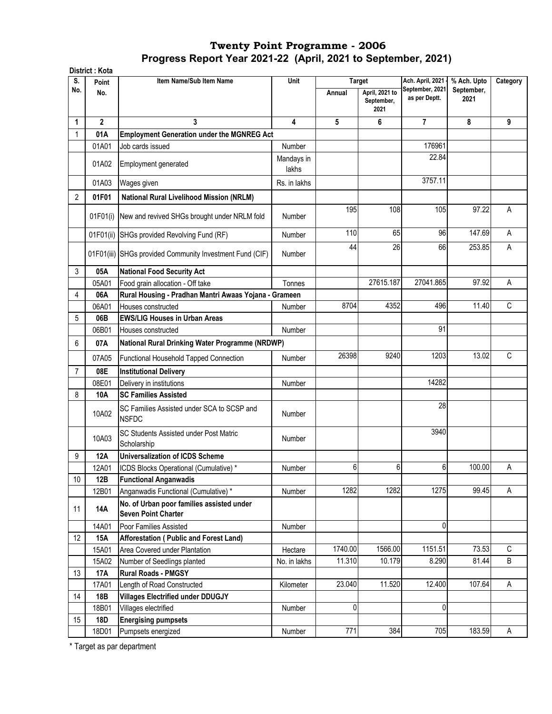|     | District: Kota |                                                                         |                     |         |                                      |                                  |                    |             |
|-----|----------------|-------------------------------------------------------------------------|---------------------|---------|--------------------------------------|----------------------------------|--------------------|-------------|
| S.  | Point          | Item Name/Sub Item Name                                                 | Unit                |         | <b>Target</b>                        | Ach. April, 2021                 | % Ach. Upto        | Category    |
| No. | No.            |                                                                         |                     | Annual  | April, 2021 to<br>September,<br>2021 | September, 2021<br>as per Deptt. | September,<br>2021 |             |
| 1   | $\overline{2}$ | 3                                                                       | 4                   | 5       | 6                                    | $\overline{7}$                   | 8                  | 9           |
| 1   | 01A            | <b>Employment Generation under the MGNREG Act</b>                       |                     |         |                                      |                                  |                    |             |
|     | 01A01          | Job cards issued                                                        | Number              |         |                                      | 176961                           |                    |             |
|     | 01A02          | Employment generated                                                    | Mandays in<br>lakhs |         |                                      | 22.84                            |                    |             |
|     | 01A03          | Wages given                                                             | Rs. in lakhs        |         |                                      | 3757.11                          |                    |             |
| 2   | 01F01          | National Rural Livelihood Mission (NRLM)                                |                     |         |                                      |                                  |                    |             |
|     | 01F01(i)       | New and revived SHGs brought under NRLM fold                            | <b>Number</b>       | 195     | 108                                  | 105                              | 97.22              | A           |
|     | 01F01(ii)      | SHGs provided Revolving Fund (RF)                                       | Number              | 110     | 65                                   | 96                               | 147.69             | A           |
|     |                | 01F01(iii) SHGs provided Community Investment Fund (CIF)                | <b>Number</b>       | 44      | 26                                   | 66                               | 253.85             | A           |
| 3   | 05A            | <b>National Food Security Act</b>                                       |                     |         |                                      |                                  |                    |             |
|     | 05A01          | Food grain allocation - Off take                                        | Tonnes              |         | 27615.187                            | 27041.865                        | 97.92              | A           |
| 4   | 06A            | Rural Housing - Pradhan Mantri Awaas Yojana - Grameen                   |                     |         |                                      |                                  |                    |             |
|     | 06A01          | Houses constructed                                                      | <b>Number</b>       | 8704    | 4352                                 | 496                              | 11.40              | C           |
| 5   | 06B            | <b>EWS/LIG Houses in Urban Areas</b>                                    |                     |         |                                      |                                  |                    |             |
|     | 06B01          | Houses constructed                                                      | Number              |         |                                      | 91                               |                    |             |
| 6   | 07A            | National Rural Drinking Water Programme (NRDWP)                         |                     |         |                                      |                                  |                    |             |
|     |                |                                                                         |                     | 26398   | 9240                                 | 1203                             | 13.02              | C           |
|     | 07A05          | Functional Household Tapped Connection                                  | Number              |         |                                      |                                  |                    |             |
| 7   | 08E            | <b>Institutional Delivery</b>                                           |                     |         |                                      |                                  |                    |             |
|     | 08E01          | Delivery in institutions                                                | Number              |         |                                      | 14282                            |                    |             |
| 8   | 10A            | <b>SC Families Assisted</b>                                             |                     |         |                                      |                                  |                    |             |
|     | 10A02          | SC Families Assisted under SCA to SCSP and<br><b>NSFDC</b>              | <b>Number</b>       |         |                                      | 28                               |                    |             |
|     | 10A03          | SC Students Assisted under Post Matric<br>Scholarship                   | <b>Number</b>       |         |                                      | 3940                             |                    |             |
| 9   | 12A            | <b>Universalization of ICDS Scheme</b>                                  |                     |         |                                      |                                  |                    |             |
|     | 12A01          | ICDS Blocks Operational (Cumulative) *                                  | Number              | 6       | 6                                    | 6                                | 100.00             | А           |
| 10  | 12B            | <b>Functional Anganwadis</b>                                            |                     |         |                                      |                                  |                    |             |
|     | 12B01          | Anganwadis Functional (Cumulative) *                                    | Number              | 1282    | 1282                                 | 1275                             | 99.45              | Α           |
| 11  | 14A            | No. of Urban poor families assisted under<br><b>Seven Point Charter</b> |                     |         |                                      |                                  |                    |             |
|     | 14A01          | Poor Families Assisted                                                  | Number              |         |                                      | 0                                |                    |             |
| 12  | <b>15A</b>     | Afforestation (Public and Forest Land)                                  |                     |         |                                      |                                  |                    |             |
|     | 15A01          | Area Covered under Plantation                                           | Hectare             | 1740.00 | 1566.00                              | 1151.51                          | 73.53              | $\mathbb C$ |
|     | 15A02          | Number of Seedlings planted                                             | No. in lakhs        | 11.310  | 10.179                               | 8.290                            | 81.44              | B           |
| 13  | 17A            | <b>Rural Roads - PMGSY</b>                                              |                     |         |                                      |                                  |                    |             |
|     | 17A01          | Length of Road Constructed                                              | Kilometer           | 23.040  | 11.520                               | 12.400                           | 107.64             | Α           |
| 14  | 18B            | <b>Villages Electrified under DDUGJY</b>                                |                     |         |                                      |                                  |                    |             |
|     | 18B01          | Villages electrified                                                    | Number              | 0       |                                      | 0                                |                    |             |
| 15  | <b>18D</b>     | <b>Energising pumpsets</b>                                              |                     |         |                                      |                                  |                    |             |
|     | 18D01          | Pumpsets energized                                                      | Number              | 771     | 384                                  | 705                              | 183.59             | A           |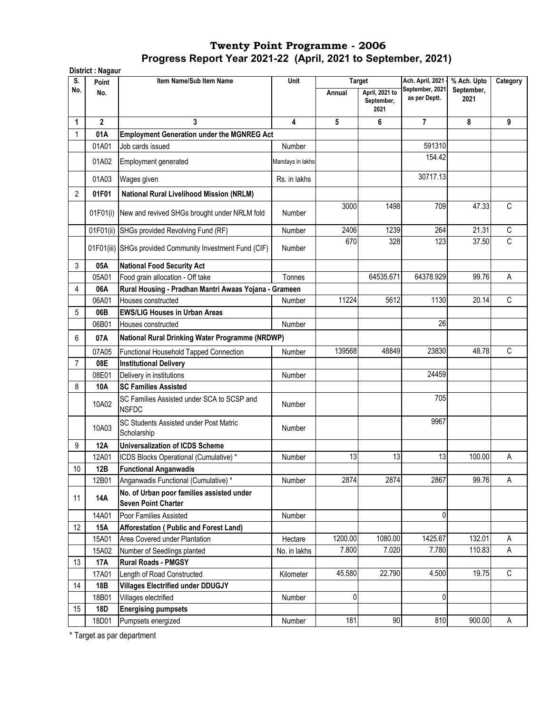|           | District : Nagaur |                                                                         |                  |         |                                      |                                     |                           |             |
|-----------|-------------------|-------------------------------------------------------------------------|------------------|---------|--------------------------------------|-------------------------------------|---------------------------|-------------|
| S.<br>No. | Point             | Item Name/Sub Item Name                                                 | Unit             |         | <b>Target</b>                        | Ach. April, 2021<br>September, 2021 | % Ach. Upto<br>September, | Category    |
|           | No.               |                                                                         |                  | Annual  | April, 2021 to<br>September,<br>2021 | as per Deptt.                       | 2021                      |             |
| 1         | $\overline{2}$    | 3                                                                       | 4                | 5       | 6                                    | 7                                   | 8                         | 9           |
| 1         | 01A               | <b>Employment Generation under the MGNREG Act</b>                       |                  |         |                                      |                                     |                           |             |
|           | 01A01             | Job cards issued                                                        | <b>Number</b>    |         |                                      | 591310                              |                           |             |
|           | 01A02             | Employment generated                                                    | Mandays in lakhs |         |                                      | 154.42                              |                           |             |
|           | 01A03             | Wages given                                                             | Rs. in lakhs     |         |                                      | 30717.13                            |                           |             |
| 2         | 01F01             | <b>National Rural Livelihood Mission (NRLM)</b>                         |                  |         |                                      |                                     |                           |             |
|           |                   |                                                                         |                  | 3000    | 1498                                 | 709                                 | 47.33                     | С           |
|           | 01F01(i)          | New and revived SHGs brought under NRLM fold                            | <b>Number</b>    |         |                                      |                                     |                           |             |
|           | 01F01(ii)         | SHGs provided Revolving Fund (RF)                                       | Number           | 2406    | 1239                                 | 264                                 | 21.31                     | С           |
|           |                   | 01F01(iii) SHGs provided Community Investment Fund (CIF)                | Number           | 670     | 328                                  | 123                                 | 37.50                     | C           |
| 3         | 05A               | <b>National Food Security Act</b>                                       |                  |         |                                      |                                     |                           |             |
|           | 05A01             | Food grain allocation - Off take                                        | Tonnes           |         | 64535.671                            | 64378.929                           | 99.76                     | А           |
| 4         | 06A               | Rural Housing - Pradhan Mantri Awaas Yojana - Grameen                   |                  |         |                                      |                                     |                           |             |
|           | 06A01             | Houses constructed                                                      | Number           | 11224   | 5612                                 | 1130                                | 20.14                     | C           |
| 5         | 06B               | <b>EWS/LIG Houses in Urban Areas</b>                                    |                  |         |                                      |                                     |                           |             |
|           | 06B01             | Houses constructed                                                      | Number           |         |                                      | 26                                  |                           |             |
| 6         | 07A               | National Rural Drinking Water Programme (NRDWP)                         |                  |         |                                      |                                     |                           |             |
|           | 07A05             | Functional Household Tapped Connection                                  | <b>Number</b>    | 139568  | 48849                                | 23830                               | 48.78                     | C           |
| 7         | 08E               | <b>Institutional Delivery</b>                                           |                  |         |                                      |                                     |                           |             |
|           | 08E01             | Delivery in institutions                                                | <b>Number</b>    |         |                                      | 24459                               |                           |             |
| 8         | 10A               | <b>SC Families Assisted</b>                                             |                  |         |                                      |                                     |                           |             |
|           | 10A02             | SC Families Assisted under SCA to SCSP and<br><b>NSFDC</b>              | <b>Number</b>    |         |                                      | 705                                 |                           |             |
|           | 10A03             | SC Students Assisted under Post Matric<br>Scholarship                   | Number           |         |                                      | 9967                                |                           |             |
| 9         | <b>12A</b>        | <b>Universalization of ICDS Scheme</b>                                  |                  |         |                                      |                                     |                           |             |
|           | 12A01             | ICDS Blocks Operational (Cumulative) *                                  | Number           | 13      | 13                                   | 13                                  | 100.00                    | А           |
| $10\,$    | 12B               | <b>Functional Anganwadis</b>                                            |                  |         |                                      |                                     |                           |             |
|           | 12B01             | Anganwadis Functional (Cumulative) *                                    | Number           | 2874    | 2874                                 | 2867                                | 99.76                     | A           |
| 11        | <b>14A</b>        | No. of Urban poor families assisted under<br><b>Seven Point Charter</b> |                  |         |                                      |                                     |                           |             |
|           | 14A01             | Poor Families Assisted                                                  | Number           |         |                                      | 0                                   |                           |             |
| 12        | 15A               | Afforestation ( Public and Forest Land)                                 |                  |         |                                      |                                     |                           |             |
|           | 15A01             | Area Covered under Plantation                                           | Hectare          | 1200.00 | 1080.00                              | 1425.67                             | 132.01                    | Α           |
|           | 15A02             | Number of Seedlings planted                                             | No. in lakhs     | 7.800   | 7.020                                | 7.780                               | 110.83                    | A           |
| 13        | <b>17A</b>        | <b>Rural Roads - PMGSY</b>                                              |                  |         |                                      |                                     |                           |             |
|           | 17A01             | Length of Road Constructed                                              | Kilometer        | 45.580  | 22.790                               | 4.500                               | 19.75                     | $\mathsf C$ |
| 14        | 18B               | <b>Villages Electrified under DDUGJY</b>                                |                  |         |                                      |                                     |                           |             |
|           | 18B01             | Villages electrified                                                    | Number           | 0       |                                      | 0                                   |                           |             |
| 15        | <b>18D</b>        | <b>Energising pumpsets</b>                                              |                  |         |                                      |                                     |                           |             |
|           | 18D01             | Pumpsets energized                                                      | Number           | 181     | 90                                   | 810                                 | 900.00                    | A           |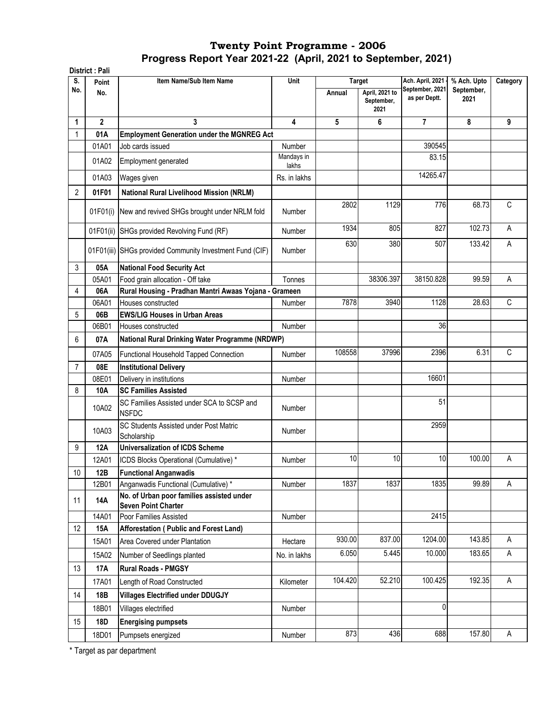| S.              | District: Pali<br>Point | Item Name/Sub Item Name                                                 | Unit                | <b>Target</b> |                                      | Ach. April, 2021                 | % Ach. Upto        | Category |
|-----------------|-------------------------|-------------------------------------------------------------------------|---------------------|---------------|--------------------------------------|----------------------------------|--------------------|----------|
| No.             | No.                     |                                                                         |                     | Annual        | April, 2021 to<br>September,<br>2021 | September, 2021<br>as per Deptt. | September,<br>2021 |          |
| 1               | $\mathbf{2}$            | 3                                                                       | 4                   | 5             | 6                                    | $\overline{\mathbf{r}}$          | 8                  | 9        |
| 1               | 01A                     | <b>Employment Generation under the MGNREG Act</b>                       |                     |               |                                      |                                  |                    |          |
|                 | 01A01                   | Job cards issued                                                        | Number              |               |                                      | 390545                           |                    |          |
|                 | 01A02                   | Employment generated                                                    | Mandays in<br>lakhs |               |                                      | 83.15                            |                    |          |
|                 | 01A03                   | Wages given                                                             | Rs. in lakhs        |               |                                      | 14265.47                         |                    |          |
| $\overline{2}$  | 01F01                   | <b>National Rural Livelihood Mission (NRLM)</b>                         |                     |               |                                      |                                  |                    |          |
|                 | 01F01(i)                | New and revived SHGs brought under NRLM fold                            | Number              | 2802          | 1129                                 | 776                              | 68.73              | C        |
|                 | 01F01(ii)               | SHGs provided Revolving Fund (RF)                                       | <b>Number</b>       | 1934          | 805                                  | 827                              | 102.73             | A        |
|                 |                         | 01F01(iii) SHGs provided Community Investment Fund (CIF)                | <b>Number</b>       | 630           | 380                                  | 507                              | 133.42             | A        |
| 3               | 05A                     | <b>National Food Security Act</b>                                       |                     |               |                                      |                                  |                    |          |
|                 | 05A01                   | Food grain allocation - Off take                                        | Tonnes              |               | 38306.397                            | 38150.828                        | 99.59              | A        |
| 4               | 06A                     | Rural Housing - Pradhan Mantri Awaas Yojana - Grameen                   |                     |               |                                      |                                  |                    |          |
|                 | 06A01                   | Houses constructed                                                      | <b>Number</b>       | 7878          | 3940                                 | 1128                             | 28.63              | C        |
| 5               | 06B                     | <b>EWS/LIG Houses in Urban Areas</b>                                    |                     |               |                                      |                                  |                    |          |
|                 | 06B01                   | Houses constructed                                                      | Number              |               |                                      | 36                               |                    |          |
| 6               | 07A                     | National Rural Drinking Water Programme (NRDWP)                         |                     |               |                                      |                                  |                    |          |
|                 | 07A05                   | Functional Household Tapped Connection                                  | Number              | 108558        | 37996                                | 2396                             | 6.31               | С        |
| $\overline{7}$  | 08E                     | <b>Institutional Delivery</b>                                           |                     |               |                                      |                                  |                    |          |
|                 | 08E01                   | Delivery in institutions                                                | Number              |               |                                      | 16601                            |                    |          |
| 8               | 10A                     | <b>SC Families Assisted</b>                                             |                     |               |                                      |                                  |                    |          |
|                 | 10A02                   | SC Families Assisted under SCA to SCSP and<br><b>NSFDC</b>              | <b>Number</b>       |               |                                      | 51                               |                    |          |
|                 | 10A03                   | SC Students Assisted under Post Matric<br>Scholarship                   | Number              |               |                                      | 2959                             |                    |          |
| 9               | <b>12A</b>              | <b>Universalization of ICDS Scheme</b>                                  |                     |               |                                      |                                  |                    |          |
|                 | 12A01                   | ICDS Blocks Operational (Cumulative) *                                  | Number              | 10            | 10                                   | 10                               | 100.00             | A        |
| 10 <sup>°</sup> | 12B                     | <b>Functional Anganwadis</b>                                            |                     |               |                                      |                                  |                    |          |
|                 | 12B01                   | Anganwadis Functional (Cumulative) *                                    | Number              | 1837          | 1837                                 | 1835                             | 99.89              | Α        |
| 11              | <b>14A</b>              | No. of Urban poor families assisted under<br><b>Seven Point Charter</b> |                     |               |                                      |                                  |                    |          |
|                 | 14A01                   | Poor Families Assisted                                                  | Number              |               |                                      | 2415                             |                    |          |
| 12              | 15A                     | Afforestation ( Public and Forest Land)                                 |                     |               |                                      |                                  |                    |          |
|                 | 15A01                   | Area Covered under Plantation                                           | Hectare             | 930.00        | 837.00                               | 1204.00                          | 143.85             | A        |
|                 | 15A02                   | Number of Seedlings planted                                             | No. in lakhs        | 6.050         | 5.445                                | 10.000                           | 183.65             | Α        |
| 13              | 17A                     | <b>Rural Roads - PMGSY</b>                                              |                     |               |                                      |                                  |                    |          |
|                 | 17A01                   | Length of Road Constructed                                              | Kilometer           | 104.420       | 52.210                               | 100.425                          | 192.35             | Α        |
| 14              | <b>18B</b>              | <b>Villages Electrified under DDUGJY</b>                                |                     |               |                                      |                                  |                    |          |
|                 | 18B01                   | Villages electrified                                                    | Number              |               |                                      | 0                                |                    |          |
| 15              | <b>18D</b>              | <b>Energising pumpsets</b>                                              |                     |               |                                      |                                  |                    |          |
|                 | 18D01                   | Pumpsets energized                                                      | Number              | 873           | 436                                  | 688                              | 157.80             | Α        |
|                 |                         |                                                                         |                     |               |                                      |                                  |                    |          |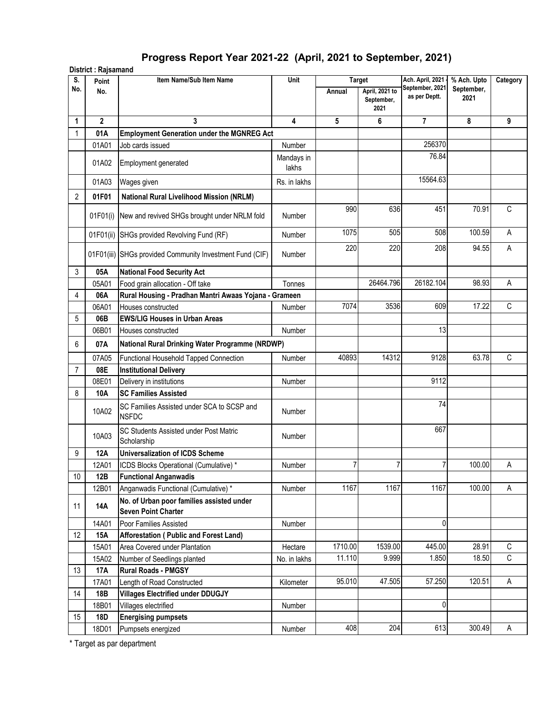# **Progress Report Year 2021-22 (April, 2021 to September, 2021)**

|                | District: Rajsamand |                                                                         |                     |         |                                                       |                                                      |                                   |             |
|----------------|---------------------|-------------------------------------------------------------------------|---------------------|---------|-------------------------------------------------------|------------------------------------------------------|-----------------------------------|-------------|
| S.<br>No.      | Point<br>No.        | Item Name/Sub Item Name                                                 | Unit                | Annual  | <b>Target</b><br>April, 2021 to<br>September,<br>2021 | Ach. April, 2021<br>September, 2021<br>as per Deptt. | % Ach. Upto<br>September,<br>2021 | Category    |
| 1              | $\overline{2}$      | 3                                                                       | 4                   | 5       | 6                                                     | $\overline{\mathbf{r}}$                              | 8                                 | 9           |
| 1              | 01A                 | <b>Employment Generation under the MGNREG Act</b>                       |                     |         |                                                       |                                                      |                                   |             |
|                | 01A01               | Job cards issued                                                        | <b>Number</b>       |         |                                                       | 256370                                               |                                   |             |
|                | 01A02               | Employment generated                                                    | Mandays in<br>lakhs |         |                                                       | 76.84                                                |                                   |             |
|                | 01A03               | Wages given                                                             | Rs. in lakhs        |         |                                                       | 15564.63                                             |                                   |             |
| 2              | 01F01               | National Rural Livelihood Mission (NRLM)                                |                     |         |                                                       |                                                      |                                   |             |
|                | 01F01(i)            | New and revived SHGs brought under NRLM fold                            | <b>Number</b>       | 990     | 636                                                   | 451                                                  | 70.91                             | $\mathsf C$ |
|                | 01F01(ii)           | SHGs provided Revolving Fund (RF)                                       | Number              | 1075    | 505                                                   | 508                                                  | 100.59                            | A           |
|                |                     | 01F01(iii) SHGs provided Community Investment Fund (CIF)                | Number              | 220     | 220                                                   | 208                                                  | 94.55                             | А           |
| 3              | 05A                 | <b>National Food Security Act</b>                                       |                     |         |                                                       |                                                      |                                   |             |
|                | 05A01               | Food grain allocation - Off take                                        | Tonnes              |         | 26464.796                                             | 26182.104                                            | 98.93                             | A           |
| 4              | 06A                 | Rural Housing - Pradhan Mantri Awaas Yojana - Grameen                   |                     |         |                                                       |                                                      |                                   |             |
|                | 06A01               | Houses constructed                                                      | <b>Number</b>       | 7074    | 3536                                                  | 609                                                  | 17.22                             | $\mathsf C$ |
| 5              | 06B                 | <b>EWS/LIG Houses in Urban Areas</b>                                    |                     |         |                                                       |                                                      |                                   |             |
|                | 06B01               | Houses constructed                                                      | Number              |         |                                                       | 13                                                   |                                   |             |
| 6              | 07A                 | National Rural Drinking Water Programme (NRDWP)                         |                     |         |                                                       |                                                      |                                   |             |
|                | 07A05               | Functional Household Tapped Connection                                  | Number              | 40893   | 14312                                                 | 9128                                                 | 63.78                             | С           |
| $\overline{7}$ | 08E                 | <b>Institutional Delivery</b>                                           |                     |         |                                                       |                                                      |                                   |             |
|                | 08E01               | Delivery in institutions                                                | <b>Number</b>       |         |                                                       | 9112                                                 |                                   |             |
| 8              | 10A                 | <b>SC Families Assisted</b>                                             |                     |         |                                                       |                                                      |                                   |             |
|                | 10A02               | SC Families Assisted under SCA to SCSP and<br><b>NSFDC</b>              | <b>Number</b>       |         |                                                       | 74                                                   |                                   |             |
|                | 10A03               | <b>SC Students Assisted under Post Matric</b><br>Scholarship            | Number              |         |                                                       | 667                                                  |                                   |             |
| 9              | 12A                 | <b>Universalization of ICDS Scheme</b>                                  |                     |         |                                                       |                                                      |                                   |             |
|                | 12A01               | ICDS Blocks Operational (Cumulative) *                                  | Number              | 7       | 7                                                     | $\overline{7}$                                       | 100.00                            | А           |
| 10             | 12B                 | <b>Functional Anganwadis</b>                                            |                     |         |                                                       |                                                      |                                   |             |
|                | 12B01               | Anganwadis Functional (Cumulative) *                                    | Number              | 1167    | 1167                                                  | 1167                                                 | 100.00                            | Α           |
| 11             | 14A                 | No. of Urban poor families assisted under<br><b>Seven Point Charter</b> |                     |         |                                                       |                                                      |                                   |             |
|                | 14A01               | Poor Families Assisted                                                  | Number              |         |                                                       | 0                                                    |                                   |             |
| 12             | 15A                 | Afforestation (Public and Forest Land)                                  |                     |         |                                                       |                                                      |                                   |             |
|                | 15A01               | Area Covered under Plantation                                           | Hectare             | 1710.00 | 1539.00                                               | 445.00                                               | 28.91                             | C           |
|                | 15A02               | Number of Seedlings planted                                             | No. in lakhs        | 11.110  | 9.999                                                 | 1.850                                                | 18.50                             | $\mathsf C$ |
| 13             | <b>17A</b>          | <b>Rural Roads - PMGSY</b>                                              |                     |         |                                                       |                                                      |                                   |             |
|                | 17A01               | Length of Road Constructed                                              | Kilometer           | 95.010  | 47.505                                                | 57.250                                               | 120.51                            | A           |
| 14             | 18B                 | <b>Villages Electrified under DDUGJY</b>                                |                     |         |                                                       |                                                      |                                   |             |
|                | 18B01               | Villages electrified                                                    | Number              |         |                                                       | 0                                                    |                                   |             |
| 15             | 18D                 | <b>Energising pumpsets</b>                                              |                     |         |                                                       |                                                      |                                   |             |
|                | 18D01               | Pumpsets energized                                                      | Number              | 408     | 204                                                   | 613                                                  | 300.49                            | Α           |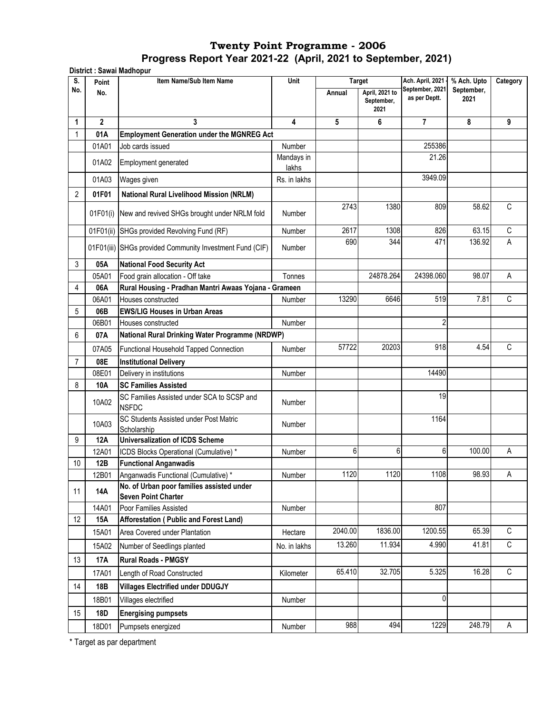| S.             |                | District : Sawai Madhopur<br>Item Name/Sub Item Name                    | Unit                |                         |                                      | Ach. April, 2021                 |                                   |          |
|----------------|----------------|-------------------------------------------------------------------------|---------------------|-------------------------|--------------------------------------|----------------------------------|-----------------------------------|----------|
| No.            | Point<br>No.   |                                                                         |                     | <b>Target</b><br>Annual | April, 2021 to<br>September,<br>2021 | September, 2021<br>as per Deptt. | % Ach. Upto<br>September,<br>2021 | Category |
| 1              | $\overline{2}$ | 3                                                                       | 4                   | 5                       | 6                                    | $\overline{7}$                   | 8                                 | 9        |
| 1              | 01A            | <b>Employment Generation under the MGNREG Act</b>                       |                     |                         |                                      |                                  |                                   |          |
|                | 01A01          | Job cards issued                                                        | <b>Number</b>       |                         |                                      | 255386                           |                                   |          |
|                | 01A02          | Employment generated                                                    | Mandays in<br>lakhs |                         |                                      | 21.26                            |                                   |          |
|                | 01A03          | Wages given                                                             | Rs. in lakhs        |                         |                                      | 3949.09                          |                                   |          |
| $\overline{2}$ | 01F01          | <b>National Rural Livelihood Mission (NRLM)</b>                         |                     |                         |                                      |                                  |                                   |          |
|                |                | 01F01(i) New and revived SHGs brought under NRLM fold                   | <b>Number</b>       | 2743                    | 1380                                 | 809                              | 58.62                             | C        |
|                |                | 01F01(ii) SHGs provided Revolving Fund (RF)                             | Number              | 2617                    | 1308                                 | 826                              | 63.15                             | C        |
|                |                | 01F01(iii) SHGs provided Community Investment Fund (CIF)                | Number              | 690                     | 344                                  | 471                              | 136.92                            | A        |
| 3              | 05A            | <b>National Food Security Act</b>                                       |                     |                         |                                      |                                  |                                   |          |
|                | 05A01          | Food grain allocation - Off take                                        | Tonnes              |                         | 24878.264                            | 24398.060                        | 98.07                             | А        |
| 4              | 06A            | Rural Housing - Pradhan Mantri Awaas Yojana - Grameen                   |                     |                         |                                      |                                  |                                   |          |
|                | 06A01          | Houses constructed                                                      | <b>Number</b>       | 13290                   | 6646                                 | 519                              | 7.81                              | C        |
| 5              | 06B            | <b>EWS/LIG Houses in Urban Areas</b>                                    |                     |                         |                                      |                                  |                                   |          |
|                | 06B01          | Houses constructed                                                      | Number              |                         |                                      | 2                                |                                   |          |
| 6              | 07A            | National Rural Drinking Water Programme (NRDWP)                         |                     |                         |                                      |                                  |                                   |          |
|                | 07A05          | Functional Household Tapped Connection                                  | <b>Number</b>       | 57722                   | 20203                                | 918                              | 4.54                              | C        |
| $\overline{7}$ | 08E            | <b>Institutional Delivery</b>                                           |                     |                         |                                      |                                  |                                   |          |
|                | 08E01          | Delivery in institutions                                                | Number              |                         |                                      | 14490                            |                                   |          |
| 8              | 10A            | <b>SC Families Assisted</b>                                             |                     |                         |                                      |                                  |                                   |          |
|                | 10A02          | SC Families Assisted under SCA to SCSP and<br><b>NSFDC</b>              | <b>Number</b>       |                         |                                      | 19                               |                                   |          |
|                | 10A03          | SC Students Assisted under Post Matric<br>Scholarship                   | <b>Number</b>       |                         |                                      | 1164                             |                                   |          |
| 9              | 12A            | <b>Universalization of ICDS Scheme</b>                                  |                     |                         |                                      |                                  |                                   |          |
|                | 12A01          | ICDS Blocks Operational (Cumulative) *                                  | Number              | 6                       | 6                                    | 6                                | 100.00                            | Α        |
| 10             | 12B            | <b>Functional Anganwadis</b>                                            |                     |                         |                                      |                                  |                                   |          |
|                | 12B01          | Anganwadis Functional (Cumulative) *                                    | Number              | 1120                    | 1120                                 | 1108                             | 98.93                             | Α        |
| 11             | <b>14A</b>     | No. of Urban poor families assisted under<br><b>Seven Point Charter</b> |                     |                         |                                      |                                  |                                   |          |
|                | 14A01          | Poor Families Assisted                                                  | Number              |                         |                                      | 807                              |                                   |          |
| 12             | 15A            | Afforestation (Public and Forest Land)                                  |                     |                         |                                      |                                  |                                   |          |
|                | 15A01          | Area Covered under Plantation                                           | Hectare             | 2040.00                 | 1836.00                              | 1200.55                          | 65.39                             | С        |
|                | 15A02          | Number of Seedlings planted                                             | No. in lakhs        | 13.260                  | 11.934                               | 4.990                            | 41.81                             | C        |
| 13             | <b>17A</b>     | <b>Rural Roads - PMGSY</b>                                              |                     |                         |                                      |                                  |                                   |          |
|                | 17A01          | Length of Road Constructed                                              | Kilometer           | 65.410                  | 32.705                               | 5.325                            | 16.28                             | C        |
| 14             | 18B            | <b>Villages Electrified under DDUGJY</b>                                |                     |                         |                                      |                                  |                                   |          |
|                | 18B01          | Villages electrified                                                    | Number              |                         |                                      | $\mathbf 0$                      |                                   |          |
| 15             | 18D            | <b>Energising pumpsets</b>                                              |                     |                         |                                      |                                  |                                   |          |
|                | 18D01          | Pumpsets energized                                                      | Number              | 988                     | 494                                  | 1229                             | 248.79                            | Α        |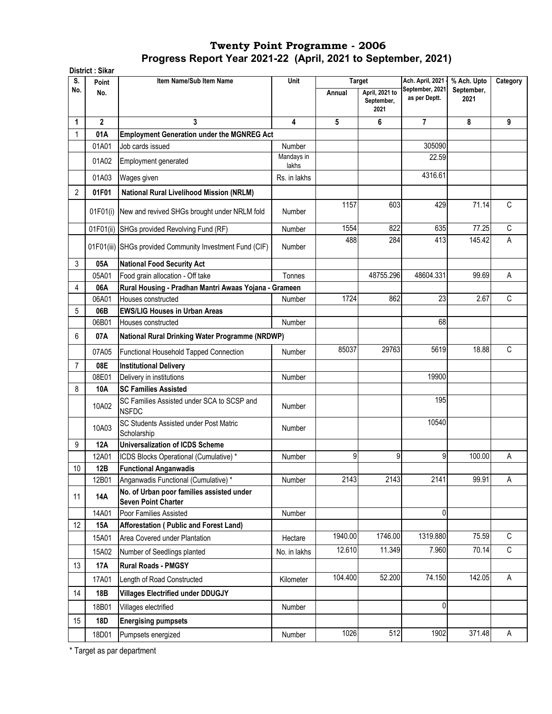| S.   | District: Sikar<br>Point | Item Name/Sub Item Name                                                 | Unit                | <b>Target</b> |                                      | Ach. April, 2021                 | % Ach. Upto        | Category    |
|------|--------------------------|-------------------------------------------------------------------------|---------------------|---------------|--------------------------------------|----------------------------------|--------------------|-------------|
| No.  | No.                      |                                                                         |                     | Annual        | April, 2021 to<br>September,<br>2021 | September, 2021<br>as per Deptt. | September,<br>2021 |             |
| 1    | $\mathbf{2}$             | 3                                                                       | 4                   | 5             | 6                                    | $\overline{\mathbf{r}}$          | 8                  | 9           |
| 1    | 01A                      | <b>Employment Generation under the MGNREG Act</b>                       |                     |               |                                      |                                  |                    |             |
|      | 01A01                    | Job cards issued                                                        | Number              |               |                                      | 305090                           |                    |             |
|      | 01A02                    | Employment generated                                                    | Mandays in<br>lakhs |               |                                      | 22.59                            |                    |             |
|      | 01A03                    | Wages given                                                             | Rs. in lakhs        |               |                                      | 4316.61                          |                    |             |
| 2    | 01F01                    | <b>National Rural Livelihood Mission (NRLM)</b>                         |                     |               |                                      |                                  |                    |             |
|      | 01F01(i)                 | New and revived SHGs brought under NRLM fold                            | <b>Number</b>       | 1157          | 603                                  | 429                              | 71.14              | C           |
|      | 01F01(ii)                | SHGs provided Revolving Fund (RF)                                       | Number              | 1554          | 822                                  | 635                              | 77.25              | С           |
|      |                          | 01F01(iii) SHGs provided Community Investment Fund (CIF)                | <b>Number</b>       | 488           | 284                                  | 413                              | 145.42             | А           |
| 3    | 05A                      | <b>National Food Security Act</b>                                       |                     |               |                                      |                                  |                    |             |
|      | 05A01                    | Food grain allocation - Off take                                        | Tonnes              |               | 48755.296                            | 48604.331                        | 99.69              | A           |
| 4    | 06A                      | Rural Housing - Pradhan Mantri Awaas Yojana - Grameen                   |                     |               |                                      |                                  |                    |             |
|      | 06A01                    | Houses constructed                                                      | <b>Number</b>       | 1724          | 862                                  | 23                               | 2.67               | C           |
| 5    | 06B                      | <b>EWS/LIG Houses in Urban Areas</b>                                    |                     |               |                                      |                                  |                    |             |
|      | 06B01                    | Houses constructed                                                      | Number              |               |                                      | 68                               |                    |             |
| 6    | 07A                      | National Rural Drinking Water Programme (NRDWP)                         |                     |               |                                      |                                  |                    |             |
|      | 07A05                    | Functional Household Tapped Connection                                  | Number              | 85037         | 29763                                | 5619                             | 18.88              | C           |
| 7    | 08E                      | <b>Institutional Delivery</b>                                           |                     |               |                                      |                                  |                    |             |
|      | 08E01                    | Delivery in institutions                                                | Number              |               |                                      | 19900                            |                    |             |
| 8    | 10A                      | <b>SC Families Assisted</b>                                             |                     |               |                                      |                                  |                    |             |
|      | 10A02                    | SC Families Assisted under SCA to SCSP and<br><b>NSFDC</b>              | <b>Number</b>       |               |                                      | 195                              |                    |             |
|      | 10A03                    | SC Students Assisted under Post Matric<br>Scholarship                   | Number              |               |                                      | 10540                            |                    |             |
| 9    | <b>12A</b>               | <b>Universalization of ICDS Scheme</b>                                  |                     |               |                                      |                                  |                    |             |
|      | 12A01                    | ICDS Blocks Operational (Cumulative) *                                  | Number              | 9             | 9                                    | 9                                | 100.00             | А           |
| $10$ | 12B                      | <b>Functional Anganwadis</b>                                            |                     |               |                                      |                                  |                    |             |
|      | 12B01                    | Anganwadis Functional (Cumulative) *                                    | Number              | 2143          | 2143                                 | 2141                             | 99.91              | А           |
| 11   | 14A                      | No. of Urban poor families assisted under<br><b>Seven Point Charter</b> |                     |               |                                      |                                  |                    |             |
|      | 14A01                    | Poor Families Assisted                                                  | Number              |               |                                      | 0                                |                    |             |
| 12   | 15A                      | <b>Afforestation ( Public and Forest Land)</b>                          |                     |               |                                      |                                  |                    |             |
|      | 15A01                    | Area Covered under Plantation                                           | Hectare             | 1940.00       | 1746.00                              | 1319.880                         | 75.59              | $\mathbb C$ |
|      | 15A02                    | Number of Seedlings planted                                             | No. in lakhs        | 12.610        | 11.349                               | 7.960                            | 70.14              | C           |
| 13   | <b>17A</b>               | <b>Rural Roads - PMGSY</b>                                              |                     |               |                                      |                                  |                    |             |
|      | 17A01                    | Length of Road Constructed                                              | Kilometer           | 104.400       | 52.200                               | 74.150                           | 142.05             | $\mathsf A$ |
| 14   | 18B                      | <b>Villages Electrified under DDUGJY</b>                                |                     |               |                                      |                                  |                    |             |
|      | 18B01                    | Villages electrified                                                    | Number              |               |                                      | $\mathbf 0$                      |                    |             |
| 15   | 18D                      | <b>Energising pumpsets</b>                                              |                     |               |                                      |                                  |                    |             |
|      | 18D01                    | Pumpsets energized                                                      | Number              | 1026          | 512                                  | 1902                             | 371.48             | Α           |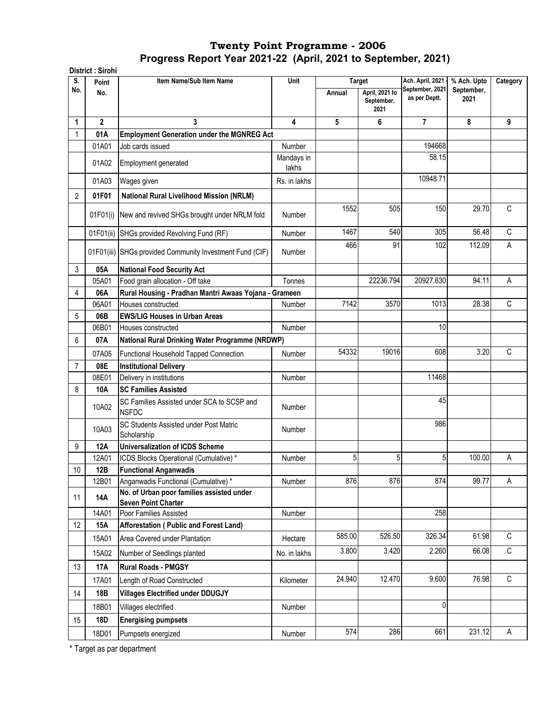|                | District: Sirohi |                                                            |                     |               |                                      |                                     |                           |          |
|----------------|------------------|------------------------------------------------------------|---------------------|---------------|--------------------------------------|-------------------------------------|---------------------------|----------|
| S.<br>No.      | Point            | Item Name/Sub Item Name                                    | Unit                | <b>Target</b> |                                      | Ach. April, 2021<br>September, 2021 | % Ach. Upto<br>September, | Category |
|                | No.              |                                                            |                     | Annual        | April, 2021 to<br>September,<br>2021 | as per Deptt.                       | 2021                      |          |
| 1              | $\overline{2}$   | 3                                                          | 4                   | 5             | 6                                    | $\overline{\mathbf{r}}$             | 8                         | 9        |
| 1              | 01A              | <b>Employment Generation under the MGNREG Act</b>          |                     |               |                                      |                                     |                           |          |
|                | 01A01            | Job cards issued                                           | <b>Number</b>       |               |                                      | 194668                              |                           |          |
|                | 01A02            | Employment generated                                       | Mandays in<br>lakhs |               |                                      | 58.15                               |                           |          |
|                | 01A03            | Wages given                                                | Rs. in lakhs        |               |                                      | 10948.71                            |                           |          |
| $\overline{2}$ | 01F01            | <b>National Rural Livelihood Mission (NRLM)</b>            |                     |               |                                      |                                     |                           |          |
|                |                  |                                                            |                     | 1552          | 505                                  | 150                                 | 29.70                     | C        |
|                |                  | 01F01(i) New and revived SHGs brought under NRLM fold      | <b>Number</b>       |               |                                      |                                     |                           |          |
|                |                  | 01F01(ii) SHGs provided Revolving Fund (RF)                | Number              | 1467          | 540                                  | 305                                 | 56.48                     | C        |
|                |                  | 01F01(iii) SHGs provided Community Investment Fund (CIF)   | <b>Number</b>       | 466           | 91                                   | 102                                 | 112.09                    | А        |
| 3              | 05A              | <b>National Food Security Act</b>                          |                     |               |                                      |                                     |                           |          |
|                | 05A01            | Food grain allocation - Off take                           | Tonnes              |               | 22236.794                            | 20927.630                           | 94.11                     | A        |
| 4              | 06A              | Rural Housing - Pradhan Mantri Awaas Yojana - Grameen      |                     |               |                                      |                                     |                           |          |
|                | 06A01            | Houses constructed                                         | Number              | 7142          | 3570                                 | 1013                                | 28.38                     | С        |
| 5              | 06B              | <b>EWS/LIG Houses in Urban Areas</b>                       |                     |               |                                      |                                     |                           |          |
|                | 06B01            | Houses constructed                                         | Number              |               |                                      | 10                                  |                           |          |
| 6              | 07A              | National Rural Drinking Water Programme (NRDWP)            |                     |               |                                      |                                     |                           |          |
|                | 07A05            | Functional Household Tapped Connection                     | Number              | 54332         | 19016                                | 608                                 | 3.20                      | C        |
| $\overline{7}$ | 08E              | <b>Institutional Delivery</b>                              |                     |               |                                      |                                     |                           |          |
|                | 08E01            | Delivery in institutions                                   | Number              |               |                                      | 11468                               |                           |          |
| 8              | 10A              | <b>SC Families Assisted</b>                                |                     |               |                                      |                                     |                           |          |
|                | 10A02            | SC Families Assisted under SCA to SCSP and<br><b>NSFDC</b> | <b>Number</b>       |               |                                      | 45                                  |                           |          |
|                | 10A03            | SC Students Assisted under Post Matric<br>Scholarship      | <b>Number</b>       |               |                                      | 986                                 |                           |          |
| 9              | <b>12A</b>       | <b>Universalization of ICDS Scheme</b>                     |                     |               |                                      |                                     |                           |          |
|                | 12A01            | ICDS Blocks Operational (Cumulative) *                     | Number              | 5             | 5                                    | 5                                   | 100.00                    | Α        |
| $10\,$         | 12B              | <b>Functional Anganwadis</b>                               |                     |               |                                      |                                     |                           |          |
|                | 12B01            | Anganwadis Functional (Cumulative) *                       | Number              | 876           | 876                                  | 874                                 | 99.77                     | A        |
| 11             | <b>14A</b>       | No. of Urban poor families assisted under                  |                     |               |                                      |                                     |                           |          |
|                | 14A01            | <b>Seven Point Charter</b><br>Poor Families Assisted       | Number              |               |                                      | 258                                 |                           |          |
| 12             | 15A              | Afforestation (Public and Forest Land)                     |                     |               |                                      |                                     |                           |          |
|                | 15A01            | Area Covered under Plantation                              | Hectare             | 585.00        | 526.50                               | 326.34                              | 61.98                     | С        |
|                | 15A02            | Number of Seedlings planted                                | No. in lakhs        | 3.800         | 3.420                                | 2.260                               | 66.08                     | C        |
| 13             | <b>17A</b>       | <b>Rural Roads - PMGSY</b>                                 |                     |               |                                      |                                     |                           |          |
|                |                  |                                                            | Kilometer           | 24.940        | 12.470                               | 9.600                               | 76.98                     | C        |
|                | 17A01            | Length of Road Constructed                                 |                     |               |                                      |                                     |                           |          |
| 14             | 18B              | <b>Villages Electrified under DDUGJY</b>                   |                     |               |                                      | $\pmb{0}$                           |                           |          |
|                | 18B01            | Villages electrified                                       | Number              |               |                                      |                                     |                           |          |
| 15             | 18D              | <b>Energising pumpsets</b>                                 |                     |               |                                      |                                     |                           |          |
|                | 18D01            | Pumpsets energized                                         | Number              | 574           | 286                                  | 661                                 | 231.12                    | Α        |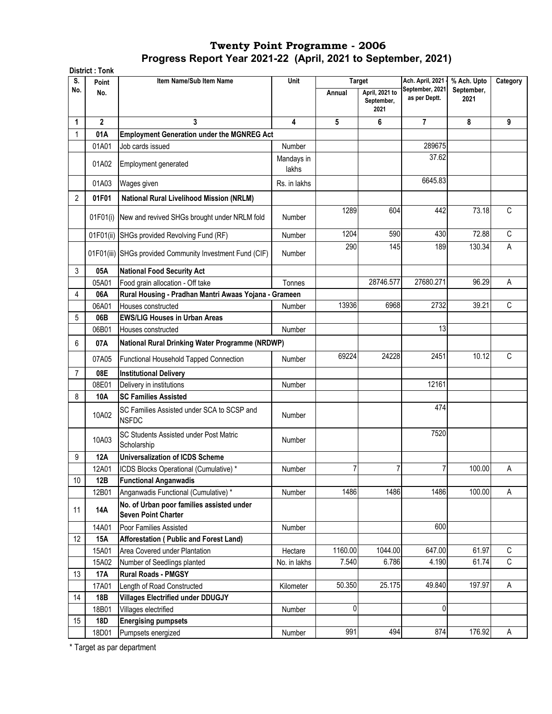|                | <b>District: Tonk</b> |                                                                         |                     |         |                                                       |                                                      |                                   |             |
|----------------|-----------------------|-------------------------------------------------------------------------|---------------------|---------|-------------------------------------------------------|------------------------------------------------------|-----------------------------------|-------------|
| S.<br>No.      | Point<br>No.          | Item Name/Sub Item Name                                                 | Unit                | Annual  | <b>Target</b><br>April, 2021 to<br>September,<br>2021 | Ach. April, 2021<br>September, 2021<br>as per Deptt. | % Ach. Upto<br>September,<br>2021 | Category    |
| 1              | $\overline{2}$        | 3                                                                       | 4                   | 5       | 6                                                     | $\overline{7}$                                       | 8                                 | 9           |
| 1              | 01A                   | <b>Employment Generation under the MGNREG Act</b>                       |                     |         |                                                       |                                                      |                                   |             |
|                | 01A01                 | Job cards issued                                                        | Number              |         |                                                       | 289675                                               |                                   |             |
|                | 01A02                 | Employment generated                                                    | Mandays in<br>lakhs |         |                                                       | 37.62                                                |                                   |             |
|                | 01A03                 | Wages given                                                             | Rs. in lakhs        |         |                                                       | 6645.83                                              |                                   |             |
| $\overline{2}$ | 01F01                 | <b>National Rural Livelihood Mission (NRLM)</b>                         |                     |         |                                                       |                                                      |                                   |             |
|                | 01F01(i)              | New and revived SHGs brought under NRLM fold                            | <b>Number</b>       | 1289    | 604                                                   | 442                                                  | 73.18                             | $\mathsf C$ |
|                | 01F01(ii)             | SHGs provided Revolving Fund (RF)                                       | Number              | 1204    | 590                                                   | 430                                                  | 72.88                             | C           |
|                |                       | 01F01(iii) SHGs provided Community Investment Fund (CIF)                | <b>Number</b>       | 290     | 145                                                   | 189                                                  | 130.34                            | A           |
| 3              | 05A                   | <b>National Food Security Act</b>                                       |                     |         |                                                       |                                                      |                                   |             |
|                | 05A01                 | Food grain allocation - Off take                                        | Tonnes              |         | 28746.577                                             | 27680.271                                            | 96.29                             | A           |
| 4              | 06A                   | Rural Housing - Pradhan Mantri Awaas Yojana - Grameen                   |                     |         |                                                       |                                                      |                                   |             |
|                | 06A01                 | Houses constructed                                                      | <b>Number</b>       | 13936   | 6968                                                  | 2732                                                 | 39.21                             | C           |
| 5              | 06B                   | <b>EWS/LIG Houses in Urban Areas</b>                                    |                     |         |                                                       |                                                      |                                   |             |
|                | 06B01                 | Houses constructed                                                      | Number              |         |                                                       | 13                                                   |                                   |             |
| 6              | 07A                   | National Rural Drinking Water Programme (NRDWP)                         |                     |         |                                                       |                                                      |                                   |             |
|                |                       |                                                                         |                     |         |                                                       |                                                      |                                   |             |
|                | 07A05                 | Functional Household Tapped Connection                                  | <b>Number</b>       | 69224   | 24228                                                 | 2451                                                 | 10.12                             | $\mathsf C$ |
| 7              | 08E                   | <b>Institutional Delivery</b>                                           |                     |         |                                                       |                                                      |                                   |             |
|                | 08E01                 | Delivery in institutions                                                | <b>Number</b>       |         |                                                       | 12161                                                |                                   |             |
| 8              | 10A                   | <b>SC Families Assisted</b>                                             |                     |         |                                                       |                                                      |                                   |             |
|                | 10A02                 | SC Families Assisted under SCA to SCSP and<br><b>NSFDC</b>              | Number              |         |                                                       | 474                                                  |                                   |             |
|                | 10A03                 | SC Students Assisted under Post Matric<br>Scholarship                   | <b>Number</b>       |         |                                                       | 7520                                                 |                                   |             |
| 9              | 12A                   | <b>Universalization of ICDS Scheme</b>                                  |                     |         |                                                       |                                                      |                                   |             |
|                | 12A01                 | ICDS Blocks Operational (Cumulative) *                                  | Number              | 7       | $\overline{7}$                                        | 7                                                    | 100.00                            | Α           |
| 10             | 12B                   | <b>Functional Anganwadis</b>                                            |                     |         |                                                       |                                                      |                                   |             |
|                | 12B01                 | Anganwadis Functional (Cumulative) *                                    | Number              | 1486    | 1486                                                  | 1486                                                 | 100.00                            | A           |
| 11             | 14A                   | No. of Urban poor families assisted under<br><b>Seven Point Charter</b> |                     |         |                                                       |                                                      |                                   |             |
|                | 14A01                 | Poor Families Assisted                                                  | Number              |         |                                                       | 600                                                  |                                   |             |
| 12             | 15A                   | Afforestation (Public and Forest Land)                                  |                     |         |                                                       |                                                      |                                   |             |
|                | 15A01                 | Area Covered under Plantation                                           | Hectare             | 1160.00 | 1044.00                                               | 647.00                                               | 61.97                             | C           |
|                | 15A02                 | Number of Seedlings planted                                             | No. in lakhs        | 7.540   | 6.786                                                 | 4.190                                                | 61.74                             | $\mathsf C$ |
| 13             | 17A                   | <b>Rural Roads - PMGSY</b>                                              |                     |         |                                                       |                                                      |                                   |             |
|                | 17A01                 | Length of Road Constructed                                              | Kilometer           | 50.350  | 25.175                                                | 49.840                                               | 197.97                            | Α           |
| 14             | 18B                   | <b>Villages Electrified under DDUGJY</b>                                |                     |         |                                                       |                                                      |                                   |             |
|                | 18B01                 | Villages electrified                                                    | Number              | 0       |                                                       | 0                                                    |                                   |             |
| 15             | 18D                   | <b>Energising pumpsets</b>                                              |                     |         |                                                       |                                                      |                                   |             |
|                | 18D01                 | Pumpsets energized                                                      | Number              | 991     | 494                                                   | 874                                                  | 176.92                            | А           |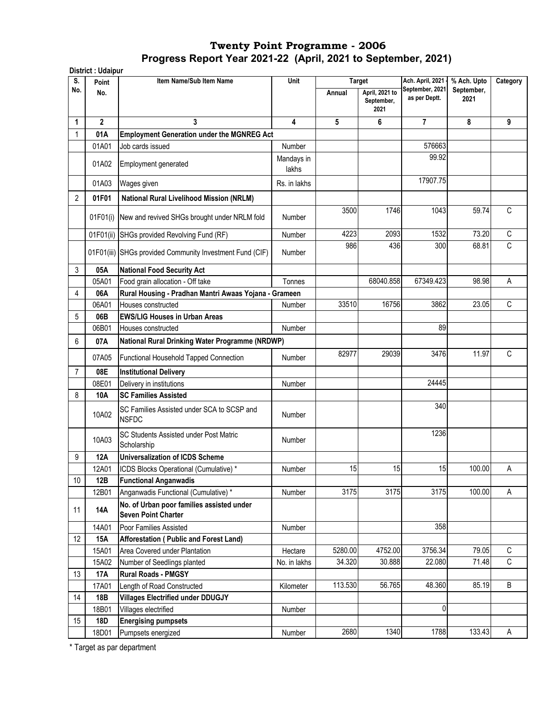|                | District: Udaipur |                                                                         |                     |         |                                                       |                                                      |                                   |              |
|----------------|-------------------|-------------------------------------------------------------------------|---------------------|---------|-------------------------------------------------------|------------------------------------------------------|-----------------------------------|--------------|
| S.<br>No.      | Point<br>No.      | Item Name/Sub Item Name                                                 | Unit                | Annual  | <b>Target</b><br>April, 2021 to<br>September,<br>2021 | Ach. April, 2021<br>September, 2021<br>as per Deptt. | % Ach. Upto<br>September,<br>2021 | Category     |
| 1              | $\overline{2}$    | 3                                                                       | 4                   | 5       | 6                                                     | $\overline{7}$                                       | 8                                 | 9            |
| 1              | 01A               | <b>Employment Generation under the MGNREG Act</b>                       |                     |         |                                                       |                                                      |                                   |              |
|                | 01A01             | Job cards issued                                                        | Number              |         |                                                       | 576663                                               |                                   |              |
|                | 01A02             | Employment generated                                                    | Mandays in<br>lakhs |         |                                                       | 99.92                                                |                                   |              |
|                | 01A03             | Wages given                                                             | Rs. in lakhs        |         |                                                       | 17907.75                                             |                                   |              |
| $\overline{2}$ | 01F01             | <b>National Rural Livelihood Mission (NRLM)</b>                         |                     |         |                                                       |                                                      |                                   |              |
|                | 01F01(i)          | New and revived SHGs brought under NRLM fold                            | <b>Number</b>       | 3500    | 1746                                                  | 1043                                                 | 59.74                             | $\mathsf C$  |
|                | 01F01(ii)         | SHGs provided Revolving Fund (RF)                                       | Number              | 4223    | 2093                                                  | 1532                                                 | 73.20                             | $\mathbb C$  |
|                |                   | 01F01(iii) SHGs provided Community Investment Fund (CIF)                | <b>Number</b>       | 986     | 436                                                   | 300                                                  | 68.81                             | $\mathsf C$  |
| 3              | 05A               | <b>National Food Security Act</b>                                       |                     |         |                                                       |                                                      |                                   |              |
|                | 05A01             | Food grain allocation - Off take                                        | Tonnes              |         | 68040.858                                             | 67349.423                                            | 98.98                             | А            |
| 4              | 06A               | Rural Housing - Pradhan Mantri Awaas Yojana - Grameen                   |                     |         |                                                       |                                                      |                                   |              |
|                | 06A01             | Houses constructed                                                      | <b>Number</b>       | 33510   | 16756                                                 | 3862                                                 | 23.05                             | C            |
| 5              | 06B               | <b>EWS/LIG Houses in Urban Areas</b>                                    |                     |         |                                                       |                                                      |                                   |              |
|                | 06B01             | Houses constructed                                                      | Number              |         |                                                       | 89                                                   |                                   |              |
| 6              | 07A               | <b>National Rural Drinking Water Programme (NRDWP)</b>                  |                     |         |                                                       |                                                      |                                   |              |
|                | 07A05             | Functional Household Tapped Connection                                  | <b>Number</b>       | 82977   | 29039                                                 | 3476                                                 | 11.97                             | C            |
| 7              | 08E               | <b>Institutional Delivery</b>                                           |                     |         |                                                       |                                                      |                                   |              |
|                | 08E01             | Delivery in institutions                                                | Number              |         |                                                       | 24445                                                |                                   |              |
| 8              | 10A               | <b>SC Families Assisted</b>                                             |                     |         |                                                       |                                                      |                                   |              |
|                | 10A02             | SC Families Assisted under SCA to SCSP and<br><b>NSFDC</b>              | <b>Number</b>       |         |                                                       | 340                                                  |                                   |              |
|                | 10A03             | SC Students Assisted under Post Matric<br>Scholarship                   | Number              |         |                                                       | 1236                                                 |                                   |              |
| 9              | 12A               | <b>Universalization of ICDS Scheme</b>                                  |                     |         |                                                       |                                                      |                                   |              |
|                | 12A01             | ICDS Blocks Operational (Cumulative) *                                  | Number              | 15      | 15                                                    | 15                                                   | 100.00                            | Α            |
| 10             | 12B               | <b>Functional Anganwadis</b>                                            |                     |         |                                                       |                                                      |                                   |              |
|                | 12B01             | Anganwadis Functional (Cumulative) *                                    | Number              | 3175    | 3175                                                  | 3175                                                 | 100.00                            | A            |
| 11             | <b>14A</b>        | No. of Urban poor families assisted under<br><b>Seven Point Charter</b> |                     |         |                                                       |                                                      |                                   |              |
|                | 14A01             | Poor Families Assisted                                                  | Number              |         |                                                       | 358                                                  |                                   |              |
| 12             | 15A               | Afforestation (Public and Forest Land)                                  |                     |         |                                                       |                                                      |                                   |              |
|                | 15A01             | Area Covered under Plantation                                           | Hectare             | 5280.00 | 4752.00                                               | 3756.34                                              | 79.05                             | C            |
|                | 15A02             | Number of Seedlings planted                                             | No. in lakhs        | 34.320  | 30.888                                                | 22.080                                               | 71.48                             | $\mathsf{C}$ |
| 13             | 17A               | <b>Rural Roads - PMGSY</b>                                              |                     |         |                                                       |                                                      |                                   |              |
|                | 17A01             | Length of Road Constructed                                              | Kilometer           | 113.530 | 56.765                                                | 48.360                                               | 85.19                             | B            |
| 14             | 18B               | <b>Villages Electrified under DDUGJY</b>                                |                     |         |                                                       |                                                      |                                   |              |
|                | 18B01             | Villages electrified                                                    | Number              |         |                                                       | 0                                                    |                                   |              |
| 15             | 18D               | <b>Energising pumpsets</b>                                              |                     |         |                                                       |                                                      |                                   |              |
|                | 18D01             | Pumpsets energized                                                      | Number              | 2680    | 1340                                                  | 1788                                                 | 133.43                            | А            |